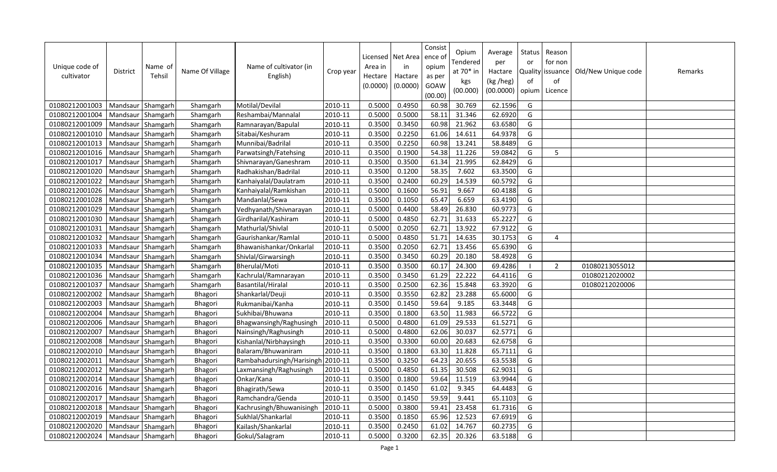| Unique code of<br>cultivator | <b>District</b>     | Name of<br>Tehsil | Name Of Village | Name of cultivator (in<br>English) | Crop year | Licensed<br>Area in<br>Hectare<br>(0.0000) | Net Area<br>in<br>Hactare<br>(0.0000) | Consist<br>ence o<br>opium<br>as per<br>GOAW<br>(00.00) | Opium<br>Tendered<br>at $70*$ in<br>kgs<br>(00.000) | Average<br>per<br>Hactare<br>(kg /heg)<br>(00.0000) | Status<br>or<br><b>Quality</b><br>of<br>opium | Reason<br>for non<br>issuance<br>of<br>Licence | Old/New Unique code | Remarks |
|------------------------------|---------------------|-------------------|-----------------|------------------------------------|-----------|--------------------------------------------|---------------------------------------|---------------------------------------------------------|-----------------------------------------------------|-----------------------------------------------------|-----------------------------------------------|------------------------------------------------|---------------------|---------|
| 01080212001003               | Mandsaur   Shamgarh |                   | Shamgarh        | Motilal/Devilal                    | 2010-11   | 0.5000                                     | 0.4950                                | 60.98                                                   | 30.769                                              | 62.1596                                             | G                                             |                                                |                     |         |
| 01080212001004               | Mandsaur Shamgarh   |                   | Shamgarh        | Reshambai/Mannalal                 | 2010-11   | 0.5000                                     | 0.5000                                | 58.11                                                   | 31.346                                              | 62.6920                                             | G                                             |                                                |                     |         |
| 01080212001009               | Mandsaur            | Shamgarh          | Shamgarh        | Ramnarayan/Bapulal                 | 2010-11   | 0.3500                                     | 0.3450                                | 60.98                                                   | 21.962                                              | 63.6580                                             | G                                             |                                                |                     |         |
| 01080212001010               | Mandsaur Shamgarh   |                   | Shamgarh        | Sitabai/Keshuram                   | 2010-11   | 0.3500                                     | 0.2250                                | 61.06                                                   | 14.611                                              | 64.9378                                             | G                                             |                                                |                     |         |
| 01080212001013               | Mandsaur Shamgarh   |                   | Shamgarh        | Munnibai/Badrilal                  | 2010-11   | 0.3500                                     | 0.2250                                | 60.98                                                   | 13.241                                              | 58.8489                                             | G                                             |                                                |                     |         |
| 01080212001016               | Mandsaur Shamgarh   |                   | Shamgarh        | Parwatsingh/Fatehsing              | 2010-11   | 0.3500                                     | 0.1900                                | 54.38                                                   | 11.226                                              | 59.0842                                             | G                                             | 5                                              |                     |         |
| 01080212001017               | Mandsaur   Shamgarh |                   | Shamgarh        | Shivnarayan/Ganeshram              | 2010-11   | 0.3500                                     | 0.3500                                | 61.34                                                   | 21.995                                              | 62.8429                                             | G                                             |                                                |                     |         |
| 01080212001020               | Mandsaur Shamgarh   |                   | Shamgarh        | Radhakishan/Badrilal               | 2010-11   | 0.3500                                     | 0.1200                                | 58.35                                                   | 7.602                                               | 63.3500                                             | G                                             |                                                |                     |         |
| 01080212001022               | Mandsaur Shamgarh   |                   | Shamgarh        | Kanhaiyalal/Daulatram              | 2010-11   | 0.3500                                     | 0.2400                                | 60.29                                                   | 14.539                                              | 60.5792                                             | G                                             |                                                |                     |         |
| 01080212001026               | Mandsaur            | Shamgarh          | Shamgarh        | Kanhaiyalal/Ramkishan              | 2010-11   | 0.5000                                     | 0.1600                                | 56.91                                                   | 9.667                                               | 60.4188                                             | G                                             |                                                |                     |         |
| 01080212001028               | Mandsaur            | Shamgarh          | Shamgarh        | Mandanlal/Sewa                     | 2010-11   | 0.3500                                     | 0.1050                                | 65.47                                                   | 6.659                                               | 63.4190                                             | G                                             |                                                |                     |         |
| 01080212001029               | Mandsaur            | Shamgarh          | Shamgarh        | Vedhyanath/Shivnarayan             | 2010-11   | 0.5000                                     | 0.4400                                | 58.49                                                   | 26.830                                              | 60.9773                                             | G                                             |                                                |                     |         |
| 01080212001030               | Mandsaur            | Shamgarh          | Shamgarh        | Girdharilal/Kashiram               | 2010-11   | 0.5000                                     | 0.4850                                | 62.71                                                   | 31.633                                              | 65.2227                                             | G                                             |                                                |                     |         |
| 01080212001031               | Mandsaur            | Shamgarh          | Shamgarh        | Mathurlal/Shivlal                  | 2010-11   | 0.5000                                     | 0.2050                                | 62.71                                                   | 13.922                                              | 67.9122                                             | G                                             |                                                |                     |         |
| 01080212001032               | Mandsaur Shamgarh   |                   | Shamgarh        | Gaurishankar/Ramlal                | 2010-11   | 0.5000                                     | 0.4850                                | 51.71                                                   | 14.635                                              | 30.1753                                             | G                                             | 4                                              |                     |         |
| 01080212001033               | Mandsaur Shamgarh   |                   | Shamgarh        | Bhawanishankar/Onkarlal            | 2010-11   | 0.3500                                     | 0.2050                                | 62.71                                                   | 13.456                                              | 65.6390                                             | G                                             |                                                |                     |         |
| 01080212001034               | Mandsaur            | Shamgarh          | Shamgarh        | Shivlal/Girwarsingh                | 2010-11   | 0.3500                                     | 0.3450                                | 60.29                                                   | 20.180                                              | 58.4928                                             | G                                             |                                                |                     |         |
| 01080212001035               | Mandsaur            | Shamgarh          | Shamgarh        | Bherulal/Moti                      | 2010-11   | 0.3500                                     | 0.3500                                | 60.17                                                   | 24.300                                              | 69.4286                                             |                                               | 2                                              | 01080213055012      |         |
| 01080212001036               | Mandsaur            | Shamgarh          | Shamgarh        | Kachrulal/Ramnarayan               | 2010-11   | 0.3500                                     | 0.3450                                | 61.29                                                   | 22.222                                              | 64.4116                                             | G                                             |                                                | 01080212020002      |         |
| 01080212001037               | Mandsaur            | Shamgarh          | Shamgarh        | Basantilal/Hiralal                 | 2010-11   | 0.3500                                     | 0.2500                                | 62.36                                                   | 15.848                                              | 63.3920                                             | G                                             |                                                | 01080212020006      |         |
| 01080212002002               | Mandsaur            | Shamgarh          | Bhagori         | Shankarlal/Deuji                   | 2010-11   | 0.3500                                     | 0.3550                                | 62.82                                                   | 23.288                                              | 65.6000                                             | G                                             |                                                |                     |         |
| 01080212002003               | Mandsaur Shamgarh   |                   | Bhagori         | Rukmanibai/Kanha                   | 2010-11   | 0.3500                                     | 0.1450                                | 59.64                                                   | 9.185                                               | 63.3448                                             | G                                             |                                                |                     |         |
| 01080212002004               | Mandsaur Shamgarh   |                   | Bhagori         | Sukhibai/Bhuwana                   | 2010-11   | 0.3500                                     | 0.1800                                | 63.50                                                   | 11.983                                              | 66.5722                                             | G                                             |                                                |                     |         |
| 01080212002006               | Mandsaur Shamgarh   |                   | Bhagori         | Bhagwansingh/Raghusingh            | 2010-11   | 0.5000                                     | 0.4800                                | 61.09                                                   | 29.533                                              | 61.5271                                             | G                                             |                                                |                     |         |
| 01080212002007               | Mandsaur Shamgarh   |                   | Bhagori         | Nainsingh/Raghusingh               | 2010-11   | 0.5000                                     | 0.4800                                | 62.06                                                   | 30.037                                              | 62.5771                                             | G                                             |                                                |                     |         |
| 01080212002008               | Mandsaur Shamgarh   |                   | Bhagori         | Kishanlal/Nirbhaysingh             | 2010-11   | 0.3500                                     | 0.3300                                | 60.00                                                   | 20.683                                              | 62.6758                                             | G                                             |                                                |                     |         |
| 01080212002010               | Mandsaur            | Shamgarh          | Bhagori         | Balaram/Bhuwaniram                 | 2010-11   | 0.3500                                     | 0.1800                                | 63.30                                                   | 11.828                                              | 65.7111                                             | G                                             |                                                |                     |         |
| 01080212002011               | Mandsaur   Shamgarh |                   | Bhagori         | Rambahadursingh/Harisingh 2010-11  |           | 0.3500                                     | 0.3250                                | 64.23                                                   | 20.655                                              | 63.5538                                             | G                                             |                                                |                     |         |
| 01080212002012               | Mandsaur            | Shamgarh          | Bhagori         | Laxmansingh/Raghusingh             | 2010-11   | 0.5000                                     | 0.4850                                | 61.35                                                   | 30.508                                              | 62.9031                                             | G                                             |                                                |                     |         |
| 01080212002014               | Mandsaur            | Shamgarh          | Bhagori         | Onkar/Kana                         | 2010-11   | 0.3500                                     | 0.1800                                | 59.64                                                   | 11.519                                              | 63.9944                                             | G                                             |                                                |                     |         |
| 01080212002016               | Mandsaur            | Shamgarh          | Bhagori         | Bhagirath/Sewa                     | 2010-11   | 0.3500                                     | 0.1450                                | 61.02                                                   | 9.345                                               | 64.4483                                             | G                                             |                                                |                     |         |
| 01080212002017               | Mandsaur Shamgarh   |                   | Bhagori         | Ramchandra/Genda                   | 2010-11   | 0.3500                                     | 0.1450                                | 59.59                                                   | 9.441                                               | 65.1103                                             | G                                             |                                                |                     |         |
| 01080212002018               | Mandsaur            | Shamgarh          | Bhagori         | Kachrusingh/Bhuwanisingh           | 2010-11   | 0.5000                                     | 0.3800                                | 59.41                                                   | 23.458                                              | 61.7316                                             | G                                             |                                                |                     |         |
| 01080212002019               | Mandsaur            | Shamgarh          | Bhagori         | Sukhlal/Shankarlal                 | 2010-11   | 0.3500                                     | 0.1850                                | 65.96                                                   | 12.523                                              | 67.6919                                             | G                                             |                                                |                     |         |
| 01080212002020               | Mandsaur            | Shamgarh          | Bhagori         | Kailash/Shankarlal                 | 2010-11   | 0.3500                                     | 0.2450                                | 61.02                                                   | 14.767                                              | 60.2735                                             | G                                             |                                                |                     |         |
| 01080212002024               | Mandsaur Shamgarh   |                   | Bhagori         | Gokul/Salagram                     | 2010-11   | 0.5000                                     | 0.3200                                | 62.35                                                   | 20.326                                              | 63.5188                                             | G                                             |                                                |                     |         |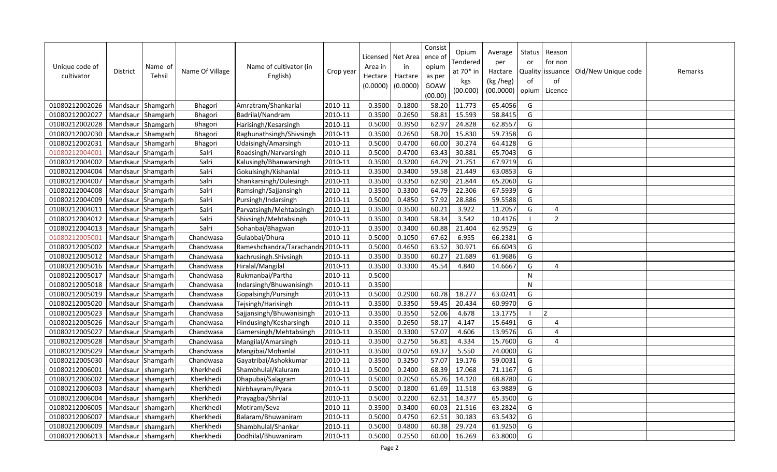| Unique code of<br>cultivator | <b>District</b>     | Name of<br>Tehsil | Name Of Village | Name of cultivator (in<br>English) | Crop year | Area in<br>Hectare<br>(0.0000) | Licensed   Net Area<br>in<br>Hactare<br>(0.0000) | Consist<br>ence of<br>opium<br>as per<br>GOAW<br>(00.00) | Opium<br>Tendered<br>at 70* in<br>kgs<br>(00.000) | Average<br>per<br>Hactare<br>(kg /heg)<br>(00.0000) | Status<br>or<br>of<br>opium | Reason<br>for non<br>Quality issuance<br>of<br>Licence | Old/New Unique code | Remarks |
|------------------------------|---------------------|-------------------|-----------------|------------------------------------|-----------|--------------------------------|--------------------------------------------------|----------------------------------------------------------|---------------------------------------------------|-----------------------------------------------------|-----------------------------|--------------------------------------------------------|---------------------|---------|
| 01080212002026               | Mandsaur Shamgarh   |                   | Bhagori         | Amratram/Shankarlal                | 2010-11   | 0.3500                         | 0.1800                                           | 58.20                                                    | 11.773                                            | 65.4056                                             | G                           |                                                        |                     |         |
| 01080212002027               | Mandsaur Shamgarh   |                   | Bhagori         | Badrilal/Nandram                   | 2010-11   | 0.3500                         | 0.2650                                           | 58.81                                                    | 15.593                                            | 58.8415                                             | G                           |                                                        |                     |         |
| 01080212002028               | Mandsaur Shamgarh   |                   | Bhagori         | Harisingh/Kesarsingh               | 2010-11   | 0.5000                         | 0.3950                                           | 62.97                                                    | 24.828                                            | 62.8557                                             | G                           |                                                        |                     |         |
| 01080212002030               | Mandsaur Shamgarh   |                   | Bhagori         | Raghunathsingh/Shivsingh           | 2010-11   | 0.3500                         | 0.2650                                           | 58.20                                                    | 15.830                                            | 59.7358                                             | G                           |                                                        |                     |         |
| 01080212002031               | Mandsaur Shamgarh   |                   | Bhagori         | Udaisingh/Amarsingh                | 2010-11   | 0.5000                         | 0.4700                                           | 60.00                                                    | 30.274                                            | 64.4128                                             | G                           |                                                        |                     |         |
| 01080212004001               | Mandsaur Shamgarh   |                   | Salri           | Roadsingh/Narvarsingh              | 2010-11   | 0.5000                         | 0.4700                                           | 63.43                                                    | 30.881                                            | 65.7043                                             | G                           |                                                        |                     |         |
| 01080212004002               | Mandsaur Shamgarh   |                   | Salri           | Kalusingh/Bhanwarsingh             | 2010-11   | 0.3500                         | 0.3200                                           | 64.79                                                    | 21.751                                            | 67.9719                                             | G                           |                                                        |                     |         |
| 01080212004004               | Mandsaur Shamgarh   |                   | Salri           | Gokulsingh/Kishanlal               | 2010-11   | 0.3500                         | 0.3400                                           | 59.58                                                    | 21.449                                            | 63.0853                                             | G                           |                                                        |                     |         |
| 01080212004007               | Mandsaur Shamgarh   |                   | Salri           | Shankarsingh/Dulesingh             | 2010-11   | 0.3500                         | 0.3350                                           | 62.90                                                    | 21.844                                            | 65.2060                                             | G                           |                                                        |                     |         |
| 01080212004008               | Mandsaur Shamgarh   |                   | Salri           | Ramsingh/Sajjansingh               | 2010-11   | 0.3500                         | 0.3300                                           | 64.79                                                    | 22.306                                            | 67.5939                                             | G                           |                                                        |                     |         |
| 01080212004009               | Mandsaur Shamgarh   |                   | Salri           | Pursingh/Indarsingh                | 2010-11   | 0.5000                         | 0.4850                                           | 57.92                                                    | 28.886                                            | 59.5588                                             | G                           |                                                        |                     |         |
| 01080212004011               | Mandsaur Shamgarh   |                   | Salri           | Parvatsingh/Mehtabsingh            | 2010-11   | 0.3500                         | 0.3500                                           | 60.21                                                    | 3.922                                             | 11.2057                                             | G                           | 4                                                      |                     |         |
| 01080212004012               | Mandsaur Shamgarh   |                   | Salri           | Shivsingh/Mehtabsingh              | 2010-11   | 0.3500                         | 0.3400                                           | 58.34                                                    | 3.542                                             | 10.4176                                             |                             | $\overline{2}$                                         |                     |         |
| 01080212004013               | Mandsaur Shamgarh   |                   | Salri           | Sohanbai/Bhagwan                   | 2010-11   | 0.3500                         | 0.3400                                           | 60.88                                                    | 21.404                                            | 62.9529                                             | G                           |                                                        |                     |         |
| 01080212005001               | Mandsaur Shamgarh   |                   | Chandwasa       | Gulabbai/Dhura                     | 2010-11   | 0.5000                         | 0.1050                                           | 67.62                                                    | 6.955                                             | 66.2381                                             | G                           |                                                        |                     |         |
| 01080212005002               | Mandsaur Shamgarh   |                   | Chandwasa       | Rameshchandra/Tarachandra 2010-11  |           | 0.5000                         | 0.4650                                           | 63.52                                                    | 30.971                                            | 66.6043                                             | G                           |                                                        |                     |         |
| 01080212005012               | Mandsaur Shamgarh   |                   | Chandwasa       | kachrusingh.Shivsingh              | 2010-11   | 0.3500                         | 0.3500                                           | 60.27                                                    | 21.689                                            | 61.9686                                             | G                           |                                                        |                     |         |
| 01080212005016               | Mandsaur Shamgarh   |                   | Chandwasa       | Hiralal/Mangilal                   | 2010-11   | 0.3500                         | 0.3300                                           | 45.54                                                    | 4.840                                             | 14.6667                                             | G                           | $\overline{4}$                                         |                     |         |
| 01080212005017               | Mandsaur Shamgarh   |                   | Chandwasa       | Rukmanbai/Partha                   | 2010-11   | 0.5000                         |                                                  |                                                          |                                                   |                                                     | N                           |                                                        |                     |         |
| 01080212005018               | Mandsaur Shamgarh   |                   | Chandwasa       | Indarsingh/Bhuwanisingh            | 2010-11   | 0.3500                         |                                                  |                                                          |                                                   |                                                     | N                           |                                                        |                     |         |
| 01080212005019               | Mandsaur Shamgarh   |                   | Chandwasa       | Gopalsingh/Pursingh                | 2010-11   | 0.5000                         | 0.2900                                           | 60.78                                                    | 18.277                                            | 63.0241                                             | G                           |                                                        |                     |         |
| 01080212005020               | Mandsaur Shamgarh   |                   | Chandwasa       | Tejsingh/Harisingh                 | 2010-11   | 0.3500                         | 0.3350                                           | 59.45                                                    | 20.434                                            | 60.9970                                             | G                           |                                                        |                     |         |
| 01080212005023               | Mandsaur Shamgarh   |                   | Chandwasa       | Sajjansingh/Bhuwanisingh           | 2010-11   | 0.3500                         | 0.3550                                           | 52.06                                                    | 4.678                                             | 13.1775                                             | $\blacksquare$              | 12                                                     |                     |         |
| 01080212005026               | Mandsaur Shamgarh   |                   | Chandwasa       | Hindusingh/Kesharsingh             | 2010-11   | 0.3500                         | 0.2650                                           | 58.17                                                    | 4.147                                             | 15.6491                                             | G                           | $\overline{4}$                                         |                     |         |
| 01080212005027               | Mandsaur Shamgarh   |                   | Chandwasa       | Gamersingh/Mehtabsingh             | 2010-11   | 0.3500                         | 0.3300                                           | 57.07                                                    | 4.606                                             | 13.9576                                             | G                           | $\overline{4}$                                         |                     |         |
| 01080212005028               | Mandsaur Shamgarh   |                   | Chandwasa       | Mangilal/Amarsingh                 | 2010-11   | 0.3500                         | 0.2750                                           | 56.81                                                    | 4.334                                             | 15.7600                                             | G                           | 4                                                      |                     |         |
| 01080212005029               | Mandsaur Shamgarh   |                   | Chandwasa       | Mangibai/Mohanlal                  | 2010-11   | 0.3500                         | 0.0750                                           | 69.37                                                    | 5.550                                             | 74.0000                                             | G                           |                                                        |                     |         |
| 01080212005030               | Mandsaur Shamgarh   |                   | Chandwasa       | Gayatribai/Ashokkumar              | 2010-11   | 0.3500                         | 0.3250                                           | 57.07                                                    | 19.176                                            | 59.0031                                             | G                           |                                                        |                     |         |
| 01080212006001               | Mandsaur            | shamgarh          | Kherkhedi       | Shambhulal/Kaluram                 | 2010-11   | 0.5000                         | 0.2400                                           | 68.39                                                    | 17.068                                            | 71.1167                                             | G                           |                                                        |                     |         |
| 01080212006002               | Mandsaur            | shamgarh          | Kherkhedi       | Dhapubai/Salagram                  | 2010-11   | 0.5000                         | 0.2050                                           | 65.76                                                    | 14.120                                            | 68.8780                                             | G                           |                                                        |                     |         |
| 01080212006003               | Mandsaur            | shamgarh          | Kherkhedi       | Nirbhayram/Pyara                   | 2010-11   | 0.5000                         | 0.1800                                           | 61.69                                                    | 11.518                                            | 63.9889                                             | G                           |                                                        |                     |         |
| 01080212006004               | Mandsaur            | shamgarh          | Kherkhedi       | Prayagbai/Shrilal                  | 2010-11   | 0.5000                         | 0.2200                                           | 62.51                                                    | 14.377                                            | 65.3500                                             | G                           |                                                        |                     |         |
| 01080212006005               | Mandsaur            | shamgarh          | Kherkhedi       | Motiram/Seva                       | 2010-11   | 0.3500                         | 0.3400                                           | 60.03                                                    | 21.516                                            | 63.2824                                             | G                           |                                                        |                     |         |
| 01080212006007               | Mandsaur            | shamgarh          | Kherkhedi       | Balaram/Bhuwaniram                 | 2010-11   | 0.5000                         | 0.4750                                           | 62.51                                                    | 30.183                                            | 63.5432                                             | G                           |                                                        |                     |         |
| 01080212006009               | Mandsaur            | shamgarh          | Kherkhedi       | Shambhulal/Shankar                 | 2010-11   | 0.5000                         | 0.4800                                           | 60.38                                                    | 29.724                                            | 61.9250                                             | G                           |                                                        |                     |         |
| 01080212006013               | Mandsaur   shamgarh |                   | Kherkhedi       | Dodhilal/Bhuwaniram                | 2010-11   | 0.5000                         | 0.2550                                           | 60.00                                                    | 16.269                                            | 63.8000                                             | G                           |                                                        |                     |         |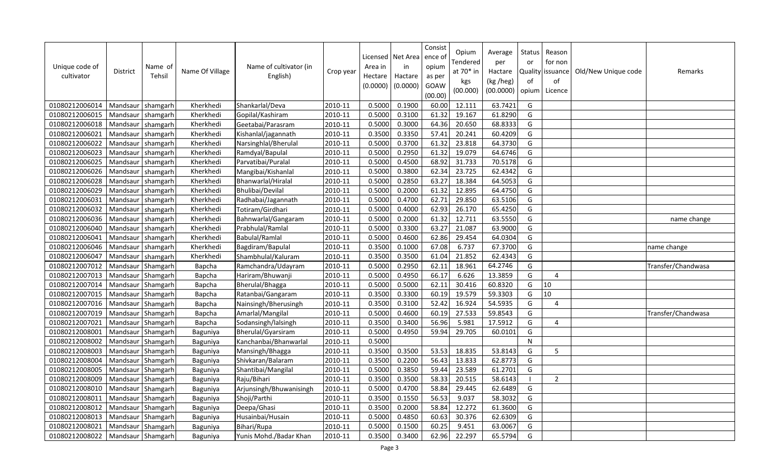| Unique code of<br>cultivator | <b>District</b>   | Name of<br>Tehsil | Name Of Village | Name of cultivator (in<br>English) | Crop year | Area in<br>Hectare<br>(0.0000) | Licensed   Net Area<br>in<br>Hactare<br>(0.0000) | Consist<br>ence of<br>opium<br>as per<br>GOAW<br>(00.00) | Opium<br>Tendered<br>at $70*$ in<br>kgs<br>(00.000) | Average<br>per<br>Hactare<br>(kg /heg)<br>(00.0000) | Status<br>or<br>of<br>opium | Reason<br>for non<br>Quality issuance<br>of<br>Licence | Old/New Unique code | Remarks            |
|------------------------------|-------------------|-------------------|-----------------|------------------------------------|-----------|--------------------------------|--------------------------------------------------|----------------------------------------------------------|-----------------------------------------------------|-----------------------------------------------------|-----------------------------|--------------------------------------------------------|---------------------|--------------------|
| 01080212006014               | Mandsaur          | shamgarh          | Kherkhedi       | Shankarlal/Deva                    | 2010-11   | 0.5000                         | 0.1900                                           | 60.00                                                    | 12.111                                              | 63.7421                                             | G                           |                                                        |                     |                    |
| 01080212006015               | Mandsaur          | shamgarh          | Kherkhedi       | Gopilal/Kashiram                   | 2010-11   | 0.5000                         | 0.3100                                           | 61.32                                                    | 19.167                                              | 61.8290                                             | G                           |                                                        |                     |                    |
| 01080212006018               | Mandsaur          | shamgarh          | Kherkhedi       | Geetabai/Parasram                  | 2010-11   | 0.5000                         | 0.3000                                           | 64.36                                                    | 20.650                                              | 68.8333                                             | G                           |                                                        |                     |                    |
| 01080212006021               | Mandsaur          | shamgarh          | Kherkhedi       | Kishanlal/jagannath                | 2010-11   | 0.3500                         | 0.3350                                           | 57.41                                                    | 20.241                                              | 60.4209                                             | G                           |                                                        |                     |                    |
| 01080212006022               | Mandsaur          | shamgarh          | Kherkhedi       | Narsinghlal/Bherulal               | 2010-11   | 0.5000                         | 0.3700                                           | 61.32                                                    | 23.818                                              | 64.3730                                             | G                           |                                                        |                     |                    |
| 01080212006023               | Mandsaur          | shamgarh          | Kherkhedi       | Ramdyal/Bapulal                    | 2010-11   | 0.5000                         | 0.2950                                           | 61.32                                                    | 19.079                                              | 64.6746                                             | G                           |                                                        |                     |                    |
| 01080212006025               | Mandsaur          | shamgarh          | Kherkhedi       | Parvatibai/Puralal                 | 2010-11   | 0.5000                         | 0.4500                                           | 68.92                                                    | 31.733                                              | 70.5178                                             | G                           |                                                        |                     |                    |
| 01080212006026               | Mandsaur          | shamgarh          | Kherkhedi       | Mangibai/Kishanlal                 | 2010-11   | 0.5000                         | 0.3800                                           | 62.34                                                    | 23.725                                              | 62.4342                                             | G                           |                                                        |                     |                    |
| 01080212006028               | Mandsaur          | shamgarh          | Kherkhedi       | Bhanwarlal/Hiralal                 | 2010-11   | 0.5000                         | 0.2850                                           | 63.27                                                    | 18.384                                              | 64.5053                                             | G                           |                                                        |                     |                    |
| 01080212006029               | Mandsaur          | shamgarh          | Kherkhedi       | Bhulibai/Devilal                   | 2010-11   | 0.5000                         | 0.2000                                           | 61.32                                                    | 12.895                                              | 64.4750                                             | G                           |                                                        |                     |                    |
| 01080212006031               | Mandsaur          | shamgarh          | Kherkhedi       | Radhabai/Jagannath                 | 2010-11   | 0.5000                         | 0.4700                                           | 62.71                                                    | 29.850                                              | 63.5106                                             | G                           |                                                        |                     |                    |
| 01080212006032               | Mandsaur          | shamgarh          | Kherkhedi       | Totiram/Girdhari                   | 2010-11   | 0.5000                         | 0.4000                                           | 62.93                                                    | 26.170                                              | 65.4250                                             | G                           |                                                        |                     |                    |
| 01080212006036               | Mandsaur          | shamgarh          | Kherkhedi       | Bahnwarlal/Gangaram                | 2010-11   | 0.5000                         | 0.2000                                           | 61.32                                                    | 12.711                                              | 63.5550                                             | G                           |                                                        |                     | name change        |
| 01080212006040               | Mandsaur          | shamgarh          | Kherkhedi       | Prabhulal/Ramlal                   | 2010-11   | 0.5000                         | 0.3300                                           | 63.27                                                    | 21.087                                              | 63.9000                                             | G                           |                                                        |                     |                    |
| 01080212006041               | Mandsaur          | shamgarh          | Kherkhedi       | <b>Babulal/Ramlal</b>              | 2010-11   | 0.5000                         | 0.4600                                           | 62.86                                                    | 29.454                                              | 64.0304                                             | G                           |                                                        |                     |                    |
| 01080212006046               | Mandsaur          | shamgarh          | Kherkhedi       | Bagdiram/Bapulal                   | 2010-11   | 0.3500                         | 0.1000                                           | 67.08                                                    | 6.737                                               | 67.3700                                             | G                           |                                                        |                     | name change        |
| 01080212006047               | Mandsaur          | shamgarh          | Kherkhedi       | Shambhulal/Kaluram                 | 2010-11   | 0.3500                         | 0.3500                                           | 61.04                                                    | 21.852                                              | 62.4343                                             | G                           |                                                        |                     |                    |
| 01080212007012               | Mandsaur          | Shamgarh          | Bapcha          | Ramchandra/Udayram                 | 2010-11   | 0.5000                         | 0.2950                                           | 62.11                                                    | 18.961                                              | 64.2746                                             | G                           |                                                        |                     | Transfer/Chandwasa |
| 01080212007013               | Mandsaur          | Shamgarh          | Bapcha          | Hariram/Bhuwanji                   | 2010-11   | 0.5000                         | 0.4950                                           | 66.17                                                    | 6.626                                               | 13.3859                                             | G                           | $\boldsymbol{\Delta}$                                  |                     |                    |
| 01080212007014               | Mandsaur          | Shamgarh          | Bapcha          | Bherulal/Bhagga                    | 2010-11   | 0.5000                         | 0.5000                                           | 62.11                                                    | 30.416                                              | 60.8320                                             | G                           | 10                                                     |                     |                    |
| 01080212007015               | Mandsaur          | Shamgarh          | Bapcha          | Ratanbai/Gangaram                  | 2010-11   | 0.3500                         | 0.3300                                           | 60.19                                                    | 19.579                                              | 59.3303                                             | G                           | 10                                                     |                     |                    |
| 01080212007016               | Mandsaur Shamgarh |                   | Bapcha          | Nainsingh/Bherusingh               | 2010-11   | 0.3500                         | 0.3100                                           | 52.42                                                    | 16.924                                              | 54.5935                                             | G                           | 4                                                      |                     |                    |
| 01080212007019               | Mandsaur Shamgarh |                   | Bapcha          | Amarlal/Mangilal                   | 2010-11   | 0.5000                         | 0.4600                                           | 60.19                                                    | 27.533                                              | 59.8543                                             | G                           |                                                        |                     | Transfer/Chandwasa |
| 01080212007021               | Mandsaur Shamgarh |                   | Bapcha          | Sodansingh/lalsingh                | 2010-11   | 0.3500                         | 0.3400                                           | 56.96                                                    | 5.981                                               | 17.5912                                             | G                           | $\overline{4}$                                         |                     |                    |
| 01080212008001               | Mandsaur Shamgarh |                   | Baguniya        | Bherulal/Gyarsiram                 | 2010-11   | 0.5000                         | 0.4950                                           | 59.94                                                    | 29.705                                              | 60.0101                                             | G                           |                                                        |                     |                    |
| 01080212008002               | Mandsaur Shamgarh |                   | Baguniya        | Kanchanbai/Bhanwarlal              | 2010-11   | 0.5000                         |                                                  |                                                          |                                                     |                                                     | N                           |                                                        |                     |                    |
| 01080212008003               | Mandsaur Shamgarh |                   | Baguniya        | Mansingh/Bhagga                    | 2010-11   | 0.3500                         | 0.3500                                           | 53.53                                                    | 18.835                                              | 53.8143                                             | G                           | 5                                                      |                     |                    |
| 01080212008004               | Mandsaur Shamgarh |                   | Baguniya        | Shivkaran/Balaram                  | 2010-11   | 0.3500                         | 0.2200                                           | 56.43                                                    | 13.833                                              | 62.8773                                             | G                           |                                                        |                     |                    |
| 01080212008005               | Mandsaur          | Shamgarh          | Baguniya        | Shantibai/Mangilal                 | 2010-11   | 0.5000                         | 0.3850                                           | 59.44                                                    | 23.589                                              | 61.2701                                             | G                           |                                                        |                     |                    |
| 01080212008009               | Mandsaur          | Shamgarh          | Baguniya        | Raju/Bihari                        | 2010-11   | 0.3500                         | 0.3500                                           | 58.33                                                    | 20.515                                              | 58.6143                                             |                             | $\overline{2}$                                         |                     |                    |
| 01080212008010               | Mandsaur          | Shamgarh          | Baguniya        | Arjunsingh/Bhuwanisingh            | 2010-11   | 0.5000                         | 0.4700                                           | 58.84                                                    | 29.445                                              | 62.6489                                             | G                           |                                                        |                     |                    |
| 01080212008011               | Mandsaur Shamgarh |                   | Baguniya        | Shoji/Parthi                       | 2010-11   | 0.3500                         | 0.1550                                           | 56.53                                                    | 9.037                                               | 58.3032                                             | G                           |                                                        |                     |                    |
| 01080212008012               | Mandsaur          | Shamgarh          | Baguniya        | Deepa/Ghasi                        | 2010-11   | 0.3500                         | 0.2000                                           | 58.84                                                    | 12.272                                              | 61.3600                                             | G                           |                                                        |                     |                    |
| 01080212008013               | Mandsaur          | Shamgarh          | Baguniya        | Husainbai/Husain                   | 2010-11   | 0.5000                         | 0.4850                                           | 60.63                                                    | 30.376                                              | 62.6309                                             | G                           |                                                        |                     |                    |
| 01080212008021               | Mandsaur          | Shamgarh          | Baguniya        | Bihari/Rupa                        | 2010-11   | 0.5000                         | 0.1500                                           | 60.25                                                    | 9.451                                               | 63.0067                                             | G                           |                                                        |                     |                    |
| 01080212008022               | Mandsaur Shamgarh |                   | Baguniya        | Yunis Mohd./Badar Khan             | 2010-11   | 0.3500                         | 0.3400                                           | 62.96                                                    | 22.297                                              | 65.5794                                             | G                           |                                                        |                     |                    |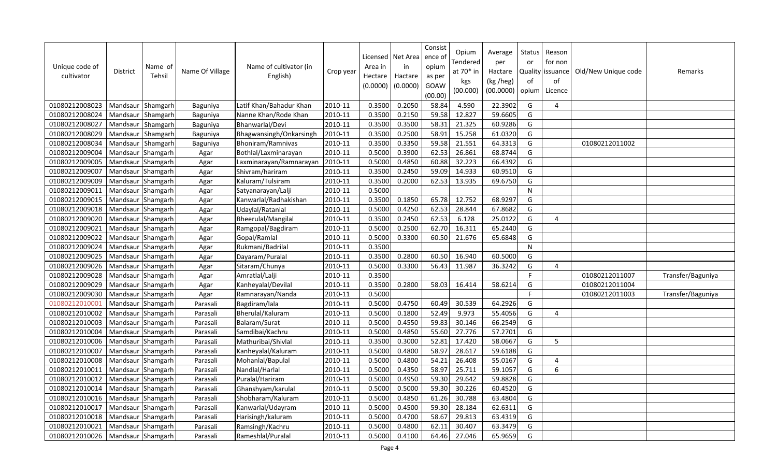| Unique code of<br>cultivator | <b>District</b>   | Name of<br>Tehsil | Name Of Village | Name of cultivator (in<br>English) | Crop year | Area in<br>Hectare<br>(0.0000) | Licensed   Net Area<br>in<br>Hactare<br>(0.0000) | Consist<br>ence of<br>opium<br>as per<br>GOAW<br>(00.00) | Opium<br>Tendered<br>at 70* in<br>kgs<br>(00.000) | Average<br>per<br>Hactare<br>(kg /heg)<br>(00.0000) | Status<br>or<br>of<br>opium | Reason<br>for non<br>Quality issuance<br>of<br>Licence | Old/New Unique code | Remarks           |
|------------------------------|-------------------|-------------------|-----------------|------------------------------------|-----------|--------------------------------|--------------------------------------------------|----------------------------------------------------------|---------------------------------------------------|-----------------------------------------------------|-----------------------------|--------------------------------------------------------|---------------------|-------------------|
| 01080212008023               | Mandsaur Shamgarh |                   | Baguniya        | Latif Khan/Bahadur Khan            | 2010-11   | 0.3500                         | 0.2050                                           | 58.84                                                    | 4.590                                             | 22.3902                                             | G                           | 4                                                      |                     |                   |
| 01080212008024               | Mandsaur Shamgarh |                   | Baguniya        | Nanne Khan/Rode Khan               | 2010-11   | 0.3500                         | 0.2150                                           | 59.58                                                    | 12.827                                            | 59.6605                                             | G                           |                                                        |                     |                   |
| 01080212008027               | Mandsaur Shamgarh |                   | Baguniya        | Bhanwarlal/Devi                    | 2010-11   | 0.3500                         | 0.3500                                           | 58.31                                                    | 21.325                                            | 60.9286                                             | G                           |                                                        |                     |                   |
| 01080212008029               | Mandsaur Shamgarh |                   | Baguniya        | Bhagwansingh/Onkarsingh            | 2010-11   | 0.3500                         | 0.2500                                           | 58.91                                                    | 15.258                                            | 61.0320                                             | G                           |                                                        |                     |                   |
| 01080212008034               | Mandsaur Shamgarh |                   | Baguniya        | Bhoniram/Ramnivas                  | 2010-11   | 0.3500                         | 0.3350                                           | 59.58                                                    | 21.551                                            | 64.3313                                             | G                           |                                                        | 01080212011002      |                   |
| 01080212009004               | Mandsaur Shamgarh |                   | Agar            | Bothlal/Laxminarayan               | 2010-11   | 0.5000                         | 0.3900                                           | 62.53                                                    | 26.861                                            | 68.8744                                             | G                           |                                                        |                     |                   |
| 01080212009005               | Mandsaur Shamgarh |                   | Agar            | Laxminarayan/Ramnarayan            | 2010-11   | 0.5000                         | 0.4850                                           | 60.88                                                    | 32.223                                            | 66.4392                                             | G                           |                                                        |                     |                   |
| 01080212009007               | Mandsaur Shamgarh |                   | Agar            | Shivram/hariram                    | 2010-11   | 0.3500                         | 0.2450                                           | 59.09                                                    | 14.933                                            | 60.9510                                             | G                           |                                                        |                     |                   |
| 01080212009009               | Mandsaur          | Shamgarh          | Agar            | Kaluram/Tulsiram                   | 2010-11   | 0.3500                         | 0.2000                                           | 62.53                                                    | 13.935                                            | 69.6750                                             | G                           |                                                        |                     |                   |
| 01080212009011               | Mandsaur Shamgarh |                   | Agar            | Satyanarayan/Lalji                 | 2010-11   | 0.5000                         |                                                  |                                                          |                                                   |                                                     | N                           |                                                        |                     |                   |
| 01080212009015               | Mandsaur Shamgarh |                   | Agar            | Kanwarlal/Radhakishan              | 2010-11   | 0.3500                         | 0.1850                                           | 65.78                                                    | 12.752                                            | 68.9297                                             | G                           |                                                        |                     |                   |
| 01080212009018               | Mandsaur Shamgarh |                   | Agar            | Udaylal/Ratanlal                   | 2010-11   | 0.5000                         | 0.4250                                           | 62.53                                                    | 28.844                                            | 67.8682                                             | G                           |                                                        |                     |                   |
| 01080212009020               | Mandsaur Shamgarh |                   | Agar            | Bheerulal/Mangilal                 | 2010-11   | 0.3500                         | 0.2450                                           | 62.53                                                    | 6.128                                             | 25.0122                                             | G                           | 4                                                      |                     |                   |
| 01080212009021               | Mandsaur Shamgarh |                   | Agar            | Ramgopal/Bagdiram                  | 2010-11   | 0.5000                         | 0.2500                                           | 62.70                                                    | 16.311                                            | 65.2440                                             | G                           |                                                        |                     |                   |
| 01080212009022               | Mandsaur Shamgarh |                   | Agar            | Gopal/Ramlal                       | 2010-11   | 0.5000                         | 0.3300                                           | 60.50                                                    | 21.676                                            | 65.6848                                             | G                           |                                                        |                     |                   |
| 01080212009024               | Mandsaur Shamgarh |                   | Agar            | Rukmani/Badrilal                   | 2010-11   | 0.3500                         |                                                  |                                                          |                                                   |                                                     | N                           |                                                        |                     |                   |
| 01080212009025               | Mandsaur Shamgarh |                   | Agar            | Dayaram/Puralal                    | 2010-11   | 0.3500                         | 0.2800                                           | 60.50                                                    | 16.940                                            | 60.5000                                             | G                           |                                                        |                     |                   |
| 01080212009026               | Mandsaur Shamgarh |                   | Agar            | Sitaram/Chunya                     | 2010-11   | 0.5000                         | 0.3300                                           | 56.43                                                    | 11.987                                            | 36.3242                                             | G                           | $\overline{4}$                                         |                     |                   |
| 01080212009028               | Mandsaur Shamgarh |                   | Agar            | Amratlal/Lalji                     | 2010-11   | 0.3500                         |                                                  |                                                          |                                                   |                                                     | F                           |                                                        | 01080212011007      | Transfer/Baguniya |
| 01080212009029               | Mandsaur Shamgarh |                   | Agar            | Kanheyalal/Devilal                 | 2010-11   | 0.3500                         | 0.2800                                           | 58.03                                                    | 16.414                                            | 58.6214                                             | G                           |                                                        | 01080212011004      |                   |
| 01080212009030               | Mandsaur Shamgarh |                   | Agar            | Ramnarayan/Nanda                   | 2010-11   | 0.5000                         |                                                  |                                                          |                                                   |                                                     | F                           |                                                        | 01080212011003      | Transfer/Baguniya |
| 01080212010001               | Mandsaur Shamgarh |                   | Parasali        | Bagdiram/lala                      | 2010-11   | 0.5000                         | 0.4750                                           | 60.49                                                    | 30.539                                            | 64.2926                                             | G                           |                                                        |                     |                   |
| 01080212010002               | Mandsaur Shamgarh |                   | Parasali        | Bherulal/Kaluram                   | 2010-11   | 0.5000                         | 0.1800                                           | 52.49                                                    | 9.973                                             | 55.4056                                             | G                           | 4                                                      |                     |                   |
| 01080212010003               | Mandsaur Shamgarh |                   | Parasali        | Balaram/Surat                      | 2010-11   | 0.5000                         | 0.4550                                           | 59.83                                                    | 30.146                                            | 66.2549                                             | G                           |                                                        |                     |                   |
| 01080212010004               | Mandsaur Shamgarh |                   | Parasali        | Samdibai/Kachru                    | 2010-11   | 0.5000                         | 0.4850                                           | 55.60                                                    | 27.776                                            | 57.2701                                             | G                           |                                                        |                     |                   |
| 01080212010006               | Mandsaur Shamgarh |                   | Parasali        | Mathuribai/Shivlal                 | 2010-11   | 0.3500                         | 0.3000                                           | 52.81                                                    | 17.420                                            | 58.0667                                             | G                           | 5                                                      |                     |                   |
| 01080212010007               | Mandsaur Shamgarh |                   | Parasali        | Kanheyalal/Kaluram                 | 2010-11   | 0.5000                         | 0.4800                                           | 58.97                                                    | 28.617                                            | 59.6188                                             | G                           |                                                        |                     |                   |
| 01080212010008               | Mandsaur Shamgarh |                   | Parasali        | Mohanlal/Bapulal                   | 2010-11   | 0.5000                         | 0.4800                                           | 54.21                                                    | 26.408                                            | 55.0167                                             | G                           | 4                                                      |                     |                   |
| 01080212010011               | Mandsaur Shamgarh |                   | Parasali        | Nandlal/Harlal                     | 2010-11   | 0.5000                         | 0.4350                                           | 58.97                                                    | 25.711                                            | 59.1057                                             | G                           | 6                                                      |                     |                   |
| 01080212010012               | Mandsaur Shamgarh |                   | Parasali        | Puralal/Hariram                    | 2010-11   | 0.5000                         | 0.4950                                           | 59.30                                                    | 29.642                                            | 59.8828                                             | G                           |                                                        |                     |                   |
| 01080212010014               | Mandsaur Shamgarh |                   | Parasali        | Ghanshyam/karulal                  | 2010-11   | 0.5000                         | 0.5000                                           | 59.30                                                    | 30.226                                            | 60.4520                                             | G                           |                                                        |                     |                   |
| 01080212010016               | Mandsaur Shamgarh |                   | Parasali        | Shobharam/Kaluram                  | 2010-11   | 0.5000                         | 0.4850                                           | 61.26                                                    | 30.788                                            | 63.4804                                             | G                           |                                                        |                     |                   |
| 01080212010017               | Mandsaur Shamgarh |                   | Parasali        | Kanwarlal/Udayram                  | 2010-11   | 0.5000                         | 0.4500                                           | 59.30                                                    | 28.184                                            | 62.6311                                             | G                           |                                                        |                     |                   |
| 01080212010018               | Mandsaur Shamgarh |                   | Parasali        | Harisingh/kaluram                  | 2010-11   | 0.5000                         | 0.4700                                           | 58.67                                                    | 29.813                                            | 63.4319                                             | G                           |                                                        |                     |                   |
| 01080212010021               | Mandsaur Shamgarh |                   | Parasali        | Ramsingh/Kachru                    | 2010-11   | 0.5000                         | 0.4800                                           | 62.11                                                    | 30.407                                            | 63.3479                                             | G                           |                                                        |                     |                   |
| 01080212010026               | Mandsaur Shamgarh |                   | Parasali        | Rameshlal/Puralal                  | 2010-11   | 0.5000                         | 0.4100                                           | 64.46                                                    | 27.046                                            | 65.9659                                             | G                           |                                                        |                     |                   |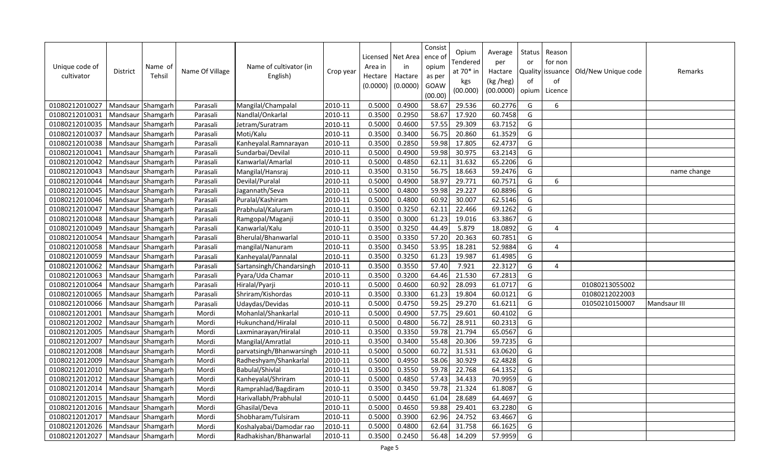| Unique code of<br>cultivator | <b>District</b>   | Name of<br>Tehsil | Name Of Village | Name of cultivator (in<br>English) | Crop year | Area in<br>Hectare<br>(0.0000) | Licensed   Net Area<br>in<br>Hactare<br>(0.0000) | Consist<br>ence of<br>opium<br>as per<br>GOAW<br>(00.00) | Opium<br>Tendered<br>at 70* in<br>kgs<br>(00.000) | Average<br>per<br>Hactare<br>(kg /heg)<br>(00.0000) | Status<br>or<br>of<br>opium | Reason<br>for non<br>Quality issuance<br>of<br>Licence | Old/New Unique code | Remarks      |
|------------------------------|-------------------|-------------------|-----------------|------------------------------------|-----------|--------------------------------|--------------------------------------------------|----------------------------------------------------------|---------------------------------------------------|-----------------------------------------------------|-----------------------------|--------------------------------------------------------|---------------------|--------------|
| 01080212010027               | Mandsaur Shamgarh |                   | Parasali        | Mangilal/Champalal                 | 2010-11   | 0.5000                         | 0.4900                                           | 58.67                                                    | 29.536                                            | 60.2776                                             | G                           | 6                                                      |                     |              |
| 01080212010031               | Mandsaur Shamgarh |                   | Parasali        | Nandlal/Onkarlal                   | 2010-11   | 0.3500                         | 0.2950                                           | 58.67                                                    | 17.920                                            | 60.7458                                             | G                           |                                                        |                     |              |
| 01080212010035               | Mandsaur Shamgarh |                   | Parasali        | Jetram/Suratram                    | 2010-11   | 0.5000                         | 0.4600                                           | 57.55                                                    | 29.309                                            | 63.7152                                             | G                           |                                                        |                     |              |
| 01080212010037               | Mandsaur Shamgarh |                   | Parasali        | Moti/Kalu                          | 2010-11   | 0.3500                         | 0.3400                                           | 56.75                                                    | 20.860                                            | 61.3529                                             | G                           |                                                        |                     |              |
| 01080212010038               | Mandsaur Shamgarh |                   | Parasali        | Kanheyalal.Ramnarayan              | 2010-11   | 0.3500                         | 0.2850                                           | 59.98                                                    | 17.805                                            | 62.4737                                             | G                           |                                                        |                     |              |
| 01080212010041               | Mandsaur Shamgarh |                   | Parasali        | Sundarbai/Devilal                  | 2010-11   | 0.5000                         | 0.4900                                           | 59.98                                                    | 30.975                                            | 63.2143                                             | G                           |                                                        |                     |              |
| 01080212010042               | Mandsaur Shamgarh |                   | Parasali        | Kanwarlal/Amarlal                  | 2010-11   | 0.5000                         | 0.4850                                           | 62.11                                                    | 31.632                                            | 65.2206                                             | G                           |                                                        |                     |              |
| 01080212010043               | Mandsaur Shamgarh |                   | Parasali        | Mangilal/Hansraj                   | 2010-11   | 0.3500                         | 0.3150                                           | 56.75                                                    | 18.663                                            | 59.2476                                             | G                           |                                                        |                     | name change  |
| 01080212010044               | Mandsaur Shamgarh |                   | Parasali        | Devilal/Puralal                    | 2010-11   | 0.5000                         | 0.4900                                           | 58.97                                                    | 29.771                                            | 60.7571                                             | G                           | 6                                                      |                     |              |
| 01080212010045               | Mandsaur Shamgarh |                   | Parasali        | Jagannath/Seva                     | 2010-11   | 0.5000                         | 0.4800                                           | 59.98                                                    | 29.227                                            | 60.8896                                             | G                           |                                                        |                     |              |
| 01080212010046               | Mandsaur Shamgarh |                   | Parasali        | Puralal/Kashiram                   | 2010-11   | 0.5000                         | 0.4800                                           | 60.92                                                    | 30.007                                            | 62.5146                                             | G                           |                                                        |                     |              |
| 01080212010047               | Mandsaur Shamgarh |                   | Parasali        | Prabhulal/Kaluram                  | 2010-11   | 0.3500                         | 0.3250                                           | 62.11                                                    | 22.466                                            | 69.1262                                             | G                           |                                                        |                     |              |
| 01080212010048               | Mandsaur Shamgarh |                   | Parasali        | Ramgopal/Maganji                   | 2010-11   | 0.3500                         | 0.3000                                           | 61.23                                                    | 19.016                                            | 63.3867                                             | G                           |                                                        |                     |              |
| 01080212010049               | Mandsaur Shamgarh |                   | Parasali        | Kanwarlal/Kalu                     | 2010-11   | 0.3500                         | 0.3250                                           | 44.49                                                    | 5.879                                             | 18.0892                                             | G                           | $\overline{4}$                                         |                     |              |
| 01080212010054               | Mandsaur Shamgarh |                   | Parasali        | Bherulal/Bhanwarlal                | 2010-11   | 0.3500                         | 0.3350                                           | 57.20                                                    | 20.363                                            | 60.7851                                             | G                           |                                                        |                     |              |
| 01080212010058               | Mandsaur Shamgarh |                   | Parasali        | mangilal/Nanuram                   | 2010-11   | 0.3500                         | 0.3450                                           | 53.95                                                    | 18.281                                            | 52.9884                                             | G                           | 4                                                      |                     |              |
| 01080212010059               | Mandsaur Shamgarh |                   | Parasali        | Kanheyalal/Pannalal                | 2010-11   | 0.3500                         | 0.3250                                           | 61.23                                                    | 19.987                                            | 61.4985                                             | G                           |                                                        |                     |              |
| 01080212010062               | Mandsaur Shamgarh |                   | Parasali        | Sartansingh/Chandarsingh           | 2010-11   | 0.3500                         | 0.3550                                           | 57.40                                                    | 7.921                                             | 22.3127                                             | G                           | 4                                                      |                     |              |
| 01080212010063               | Mandsaur Shamgarh |                   | Parasali        | Pyara/Uda Chamar                   | 2010-11   | 0.3500                         | 0.3200                                           | 64.46                                                    | 21.530                                            | 67.2813                                             | G                           |                                                        |                     |              |
| 01080212010064               | Mandsaur Shamgarh |                   | Parasali        | Hiralal/Pyarji                     | 2010-11   | 0.5000                         | 0.4600                                           | 60.92                                                    | 28.093                                            | 61.0717                                             | G                           |                                                        | 01080213055002      |              |
| 01080212010065               | Mandsaur Shamgarh |                   | Parasali        | Shriram/Kishordas                  | 2010-11   | 0.3500                         | 0.3300                                           | 61.23                                                    | 19.804                                            | 60.0121                                             | G                           |                                                        | 01080212022003      |              |
| 01080212010066               | Mandsaur Shamgarh |                   | Parasali        | Udaydas/Devidas                    | 2010-11   | 0.5000                         | 0.4750                                           | 59.25                                                    | 29.270                                            | 61.6211                                             | G                           |                                                        | 01050210150007      | Mandsaur III |
| 01080212012001               | Mandsaur Shamgarh |                   | Mordi           | Mohanlal/Shankarlal                | 2010-11   | 0.5000                         | 0.4900                                           | 57.75                                                    | 29.601                                            | 60.4102                                             | G                           |                                                        |                     |              |
| 01080212012002               | Mandsaur Shamgarh |                   | Mordi           | Hukunchand/Hiralal                 | 2010-11   | 0.5000                         | 0.4800                                           | 56.72                                                    | 28.911                                            | 60.2313                                             | G                           |                                                        |                     |              |
| 01080212012005               | Mandsaur Shamgarh |                   | Mordi           | Laxminarayan/Hiralal               | 2010-11   | 0.3500                         | 0.3350                                           | 59.78                                                    | 21.794                                            | 65.0567                                             | G                           |                                                        |                     |              |
| 01080212012007               | Mandsaur Shamgarh |                   | Mordi           | Mangilal/Amratlal                  | 2010-11   | 0.3500                         | 0.3400                                           | 55.48                                                    | 20.306                                            | 59.7235                                             | G                           |                                                        |                     |              |
| 01080212012008               | Mandsaur Shamgarh |                   | Mordi           | parvatsingh/Bhanwarsingh           | 2010-11   | 0.5000                         | 0.5000                                           | 60.72                                                    | 31.531                                            | 63.0620                                             | G                           |                                                        |                     |              |
| 01080212012009               | Mandsaur Shamgarh |                   | Mordi           | Radheshyam/Shankarlal              | 2010-11   | 0.5000                         | 0.4950                                           | 58.06                                                    | 30.929                                            | 62.4828                                             | G                           |                                                        |                     |              |
| 01080212012010               | Mandsaur Shamgarh |                   | Mordi           | <b>Babulal/Shivlal</b>             | 2010-11   | 0.3500                         | 0.3550                                           | 59.78                                                    | 22.768                                            | 64.1352                                             | G                           |                                                        |                     |              |
| 01080212012012               | Mandsaur Shamgarh |                   | Mordi           | Kanheyalal/Shriram                 | 2010-11   | 0.5000                         | 0.4850                                           | 57.43                                                    | 34.433                                            | 70.9959                                             | G                           |                                                        |                     |              |
| 01080212012014               | Mandsaur Shamgarh |                   | Mordi           | Ramprahlad/Bagdiram                | 2010-11   | 0.3500                         | 0.3450                                           | 59.78                                                    | 21.324                                            | 61.8087                                             | G                           |                                                        |                     |              |
| 01080212012015               | Mandsaur Shamgarh |                   | Mordi           | Harivallabh/Prabhulal              | 2010-11   | 0.5000                         | 0.4450                                           | 61.04                                                    | 28.689                                            | 64.4697                                             | G                           |                                                        |                     |              |
| 01080212012016               | Mandsaur Shamgarh |                   | Mordi           | Ghasilal/Deva                      | 2010-11   | 0.5000                         | 0.4650                                           | 59.88                                                    | 29.401                                            | 63.2280                                             | G                           |                                                        |                     |              |
| 01080212012017               | Mandsaur          | Shamgarh          | Mordi           | Shobharam/Tulsiram                 | 2010-11   | 0.5000                         | 0.3900                                           | 62.96                                                    | 24.752                                            | 63.4667                                             | G                           |                                                        |                     |              |
| 01080212012026               | Mandsaur Shamgarh |                   | Mordi           | Koshalyabai/Damodar rao            | 2010-11   | 0.5000                         | 0.4800                                           | 62.64                                                    | 31.758                                            | 66.1625                                             | G                           |                                                        |                     |              |
| 01080212012027               | Mandsaur Shamgarh |                   | Mordi           | Radhakishan/Bhanwarlal             | 2010-11   | 0.3500                         | 0.2450                                           | 56.48                                                    | 14.209                                            | 57.9959                                             | G                           |                                                        |                     |              |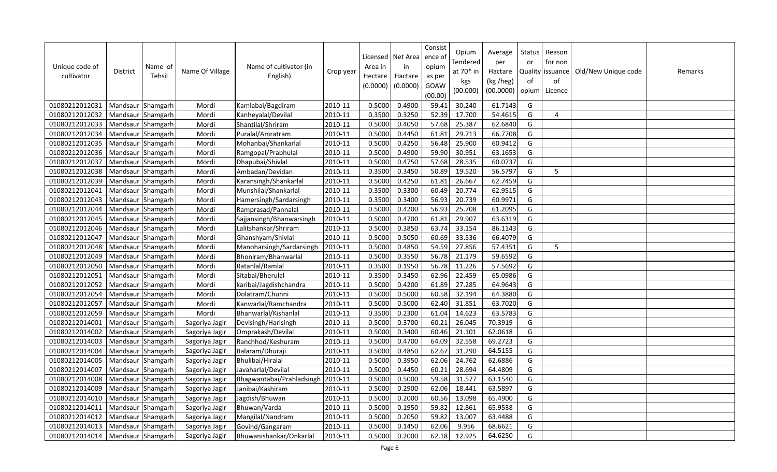| Unique code of<br>cultivator | <b>District</b>   | Name of<br>Tehsil | Name Of Village | Name of cultivator (in<br>English) | Crop year | Licensed<br>Area in<br>Hectare<br>(0.0000) | Net Area<br>in<br>Hactare<br>(0.0000) | Consist<br>ence of<br>opium<br>as per<br>GOAW<br>(00.00) | Opium<br>Tendered<br>at 70* in<br>kgs<br>(00.000) | Average<br>per<br>Hactare<br>(kg /heg)<br>(00.0000) | <b>Status</b><br>or<br>of<br>opium | Reason<br>for non<br>Quality issuance<br>of<br>Licence | Old/New Unique code | Remarks |
|------------------------------|-------------------|-------------------|-----------------|------------------------------------|-----------|--------------------------------------------|---------------------------------------|----------------------------------------------------------|---------------------------------------------------|-----------------------------------------------------|------------------------------------|--------------------------------------------------------|---------------------|---------|
| 01080212012031               | Mandsaur Shamgarh |                   | Mordi           | Kamlabai/Bagdiram                  | 2010-11   | 0.5000                                     | 0.4900                                | 59.41                                                    | 30.240                                            | 61.7143                                             | G                                  |                                                        |                     |         |
| 01080212012032               | Mandsaur Shamgarh |                   | Mordi           | Kanheyalal/Devilal                 | 2010-11   | 0.3500                                     | 0.3250                                | 52.39                                                    | 17.700                                            | 54.4615                                             | G                                  | $\overline{4}$                                         |                     |         |
| 01080212012033               | Mandsaur          | Shamgarh          | Mordi           | Shantilal/Shriram                  | 2010-11   | 0.5000                                     | 0.4050                                | 57.68                                                    | 25.387                                            | 62.6840                                             | G                                  |                                                        |                     |         |
| 01080212012034               | Mandsaur          | Shamgarh          | Mordi           | Puralal/Amratram                   | 2010-11   | 0.5000                                     | 0.4450                                | 61.81                                                    | 29.713                                            | 66.7708                                             | G                                  |                                                        |                     |         |
| 01080212012035               | Mandsaur Shamgarh |                   | Mordi           | Mohanbai/Shankarlal                | 2010-11   | 0.5000                                     | 0.4250                                | 56.48                                                    | 25.900                                            | 60.9412                                             | G                                  |                                                        |                     |         |
| 01080212012036               | Mandsaur Shamgarh |                   | Mordi           | Ramgopal/Prabhulal                 | 2010-11   | 0.5000                                     | 0.4900                                | 59.90                                                    | 30.951                                            | 63.1653                                             | G                                  |                                                        |                     |         |
| 01080212012037               | Mandsaur Shamgarh |                   | Mordi           | Dhapubai/Shivlal                   | 2010-11   | 0.5000                                     | 0.4750                                | 57.68                                                    | 28.535                                            | 60.0737                                             | G                                  |                                                        |                     |         |
| 01080212012038               | Mandsaur Shamgarh |                   | Mordi           | Ambadan/Devidan                    | 2010-11   | 0.3500                                     | 0.3450                                | 50.89                                                    | 19.520                                            | 56.5797                                             | G                                  | 5                                                      |                     |         |
| 01080212012039               | Mandsaur          | Shamgarh          | Mordi           | Karansingh/Shankarlal              | 2010-11   | 0.5000                                     | 0.4250                                | 61.81                                                    | 26.667                                            | 62.7459                                             | G                                  |                                                        |                     |         |
| 01080212012041               | Mandsaur Shamgarh |                   | Mordi           | Munshilal/Shankarlal               | 2010-11   | 0.3500                                     | 0.3300                                | 60.49                                                    | 20.774                                            | 62.9515                                             | G                                  |                                                        |                     |         |
| 01080212012043               | Mandsaur          | Shamgarh          | Mordi           | Hamersingh/Sardarsingh             | 2010-11   | 0.3500                                     | 0.3400                                | 56.93                                                    | 20.739                                            | 60.9971                                             | G                                  |                                                        |                     |         |
| 01080212012044               | Mandsaur          | Shamgarh          | Mordi           | Ramprasad/Pannalal                 | 2010-11   | 0.5000                                     | 0.4200                                | 56.93                                                    | 25.708                                            | 61.2095                                             | G                                  |                                                        |                     |         |
| 01080212012045               | Mandsaur          | Shamgarh          | Mordi           | Sajjansingh/Bhanwarsingh           | 2010-11   | 0.5000                                     | 0.4700                                | 61.81                                                    | 29.907                                            | 63.6319                                             | G                                  |                                                        |                     |         |
| 01080212012046               | Mandsaur Shamgarh |                   | Mordi           | Lalitshankar/Shriram               | 2010-11   | 0.5000                                     | 0.3850                                | 63.74                                                    | 33.154                                            | 86.1143                                             | G                                  |                                                        |                     |         |
| 01080212012047               | Mandsaur Shamgarh |                   | Mordi           | Ghanshyam/Shivlal                  | 2010-11   | 0.5000                                     | 0.5050                                | 60.69                                                    | 33.536                                            | 66.4079                                             | G                                  |                                                        |                     |         |
| 01080212012048               | Mandsaur Shamgarh |                   | Mordi           | Manoharsingh/Sardarsingh           | 2010-11   | 0.5000                                     | 0.4850                                | 54.59                                                    | 27.856                                            | 57.4351                                             | G                                  | 5                                                      |                     |         |
| 01080212012049               | Mandsaur Shamgarh |                   | Mordi           | Bhoniram/Bhanwarlal                | 2010-11   | 0.5000                                     | 0.3550                                | 56.78                                                    | 21.179                                            | 59.6592                                             | G                                  |                                                        |                     |         |
| 01080212012050               | Mandsaur          | Shamgarh          | Mordi           | Ratanlal/Ramlal                    | 2010-11   | 0.3500                                     | 0.1950                                | 56.78                                                    | 11.226                                            | 57.5692                                             | G                                  |                                                        |                     |         |
| 01080212012051               | Mandsaur Shamgarh |                   | Mordi           | Sitabai/Bherulal                   | 2010-11   | 0.3500                                     | 0.3450                                | 62.96                                                    | 22.459                                            | 65.0986                                             | G                                  |                                                        |                     |         |
| 01080212012052               | Mandsaur          | Shamgarh          | Mordi           | karibai/Jagdishchandra             | 2010-11   | 0.5000                                     | 0.4200                                | 61.89                                                    | 27.285                                            | 64.9643                                             | G                                  |                                                        |                     |         |
| 01080212012054               | Mandsaur          | Shamgarh          | Mordi           | Dolatram/Chunni                    | 2010-11   | 0.5000                                     | 0.5000                                | 60.58                                                    | 32.194                                            | 64.3880                                             | G                                  |                                                        |                     |         |
| 01080212012057               | Mandsaur          | Shamgarh          | Mordi           | Kanwarlal/Ramchandra               | 2010-11   | 0.5000                                     | 0.5000                                | 62.40                                                    | 31.851                                            | 63.7020                                             | G                                  |                                                        |                     |         |
| 01080212012059               | Mandsaur Shamgarh |                   | Mordi           | Bhanwarlal/Kishanlal               | 2010-11   | 0.3500                                     | 0.2300                                | 61.04                                                    | 14.623                                            | 63.5783                                             | G                                  |                                                        |                     |         |
| 01080212014001               | Mandsaur Shamgarh |                   | Sagoriya Jagir  | Devisingh/Harisingh                | 2010-11   | 0.5000                                     | 0.3700                                | 60.21                                                    | 26.045                                            | 70.3919                                             | G                                  |                                                        |                     |         |
| 01080212014002               | Mandsaur Shamgarh |                   | Sagoriya Jagir  | Omprakash/Devilal                  | 2010-11   | 0.5000                                     | 0.3400                                | 60.46                                                    | 21.101                                            | 62.0618                                             | G                                  |                                                        |                     |         |
| 01080212014003               | Mandsaur          | Shamgarh          | Sagoriya Jagir  | Ranchhod/Keshuram                  | 2010-11   | 0.5000                                     | 0.4700                                | 64.09                                                    | 32.558                                            | 69.2723                                             | G                                  |                                                        |                     |         |
| 01080212014004               | Mandsaur Shamgarh |                   | Sagoriya Jagir  | Balaram/Dhuraji                    | 2010-11   | 0.5000                                     | 0.4850                                | 62.67                                                    | 31.290                                            | 64.5155                                             | G                                  |                                                        |                     |         |
| 01080212014005               | Mandsaur          | Shamgarh          | Sagoriya Jagir  | Bhulibai/Hiralal                   | 2010-11   | 0.5000                                     | 0.3950                                | 62.06                                                    | 24.762                                            | 62.6886                                             | G                                  |                                                        |                     |         |
| 01080212014007               | Mandsaur Shamgarh |                   | Sagoriya Jagir  | Javaharlal/Devilal                 | 2010-11   | 0.5000                                     | 0.4450                                | 60.21                                                    | 28.694                                            | 64.4809                                             | G                                  |                                                        |                     |         |
| 01080212014008               | Mandsaur          | Shamgarh          | Sagoriya Jagir  | Bhagwantabai/Prahladsingh          | 2010-11   | 0.5000                                     | 0.5000                                | 59.58                                                    | 31.577                                            | 63.1540                                             | G                                  |                                                        |                     |         |
| 01080212014009               | Mandsaur Shamgarh |                   | Sagoriya Jagir  | Janibai/Kashiram                   | 2010-11   | 0.5000                                     | 0.2900                                | 62.06                                                    | 18.441                                            | 63.5897                                             | G                                  |                                                        |                     |         |
| 01080212014010               | Mandsaur Shamgarh |                   | Sagoriya Jagir  | Jagdish/Bhuwan                     | 2010-11   | 0.5000                                     | 0.2000                                | 60.56                                                    | 13.098                                            | 65.4900                                             | G                                  |                                                        |                     |         |
| 01080212014011               | Mandsaur Shamgarh |                   | Sagoriya Jagir  | Bhuwan/Varda                       | 2010-11   | 0.5000                                     | 0.1950                                | 59.82                                                    | 12.861                                            | 65.9538                                             | G                                  |                                                        |                     |         |
| 01080212014012               | Mandsaur          | Shamgarh          | Sagoriya Jagir  | Mangilal/Nandram                   | 2010-11   | 0.5000                                     | 0.2050                                | 59.82                                                    | 13.007                                            | 63.4488                                             | G                                  |                                                        |                     |         |
| 01080212014013               | Mandsaur Shamgarh |                   | Sagoriya Jagir  | Govind/Gangaram                    | 2010-11   | 0.5000                                     | 0.1450                                | 62.06                                                    | 9.956                                             | 68.6621                                             | G                                  |                                                        |                     |         |
| 01080212014014               | Mandsaur Shamgarh |                   | Sagoriya Jagir  | Bhuwanishankar/Onkarlal            | 2010-11   | 0.5000                                     | 0.2000                                | 62.18                                                    | 12.925                                            | 64.6250                                             | G                                  |                                                        |                     |         |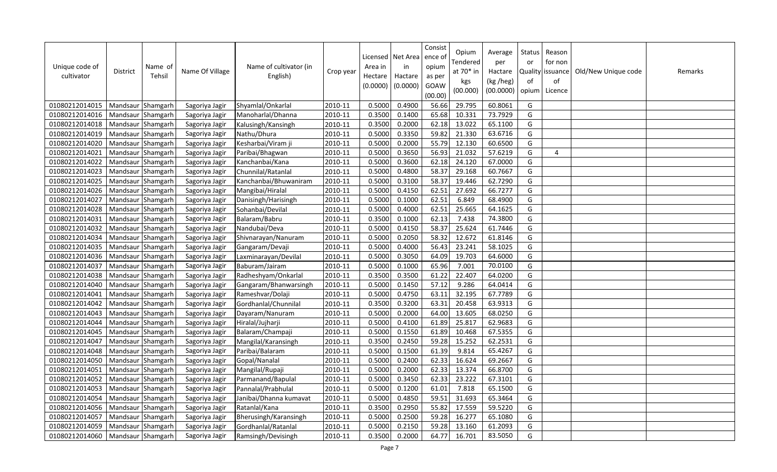| Unique code of<br>cultivator | <b>District</b>   | Name of<br>Tehsil | Name Of Village | Name of cultivator (in<br>English) | Crop year | Area in<br>Hectare<br>(0.0000) | Licensed   Net Area<br>in<br>Hactare<br>(0.0000) | Consist<br>ence of<br>opium<br>as per<br>GOAW<br>(00.00) | Opium<br>Tendered<br>at 70* in<br>kgs<br>(00.000) | Average<br>per<br>Hactare<br>(kg /heg)<br>(00.0000) | Status<br>or<br>of<br>opium | Reason<br>for non<br>Quality issuance<br>of<br>Licence | Old/New Unique code | Remarks |
|------------------------------|-------------------|-------------------|-----------------|------------------------------------|-----------|--------------------------------|--------------------------------------------------|----------------------------------------------------------|---------------------------------------------------|-----------------------------------------------------|-----------------------------|--------------------------------------------------------|---------------------|---------|
| 01080212014015               | Mandsaur Shamgarh |                   | Sagoriya Jagir  | Shyamlal/Onkarlal                  | 2010-11   | 0.5000                         | 0.4900                                           | 56.66                                                    | 29.795                                            | 60.8061                                             | G                           |                                                        |                     |         |
| 01080212014016               | Mandsaur Shamgarh |                   | Sagoriya Jagir  | Manoharlal/Dhanna                  | 2010-11   | 0.3500                         | 0.1400                                           | 65.68                                                    | 10.331                                            | 73.7929                                             | G                           |                                                        |                     |         |
| 01080212014018               | Mandsaur Shamgarh |                   | Sagoriya Jagir  | Kalusingh/Kansingh                 | 2010-11   | 0.3500                         | 0.2000                                           | 62.18                                                    | 13.022                                            | 65.1100                                             | G                           |                                                        |                     |         |
| 01080212014019               | Mandsaur Shamgarh |                   | Sagoriya Jagir  | Nathu/Dhura                        | 2010-11   | 0.5000                         | 0.3350                                           | 59.82                                                    | 21.330                                            | 63.6716                                             | G                           |                                                        |                     |         |
| 01080212014020               | Mandsaur Shamgarh |                   | Sagoriya Jagir  | Kesharbai/Viram ji                 | 2010-11   | 0.5000                         | 0.2000                                           | 55.79                                                    | 12.130                                            | 60.6500                                             | G                           |                                                        |                     |         |
| 01080212014021               | Mandsaur Shamgarh |                   | Sagoriya Jagir  | Paribai/Bhagwan                    | 2010-11   | 0.5000                         | 0.3650                                           | 56.93                                                    | 21.032                                            | 57.6219                                             | G                           | 4                                                      |                     |         |
| 01080212014022               | Mandsaur Shamgarh |                   | Sagoriya Jagir  | Kanchanbai/Kana                    | 2010-11   | 0.5000                         | 0.3600                                           | 62.18                                                    | 24.120                                            | 67.0000                                             | G                           |                                                        |                     |         |
| 01080212014023               | Mandsaur Shamgarh |                   | Sagoriya Jagir  | Chunnilal/Ratanlal                 | 2010-11   | 0.5000                         | 0.4800                                           | 58.37                                                    | 29.168                                            | 60.7667                                             | G                           |                                                        |                     |         |
| 01080212014025               | Mandsaur Shamgarh |                   | Sagoriya Jagir  | Kanchanbai/Bhuwaniram              | 2010-11   | 0.5000                         | 0.3100                                           | 58.37                                                    | 19.446                                            | 62.7290                                             | G                           |                                                        |                     |         |
| 01080212014026               | Mandsaur Shamgarh |                   | Sagoriya Jagir  | Mangibai/Hiralal                   | 2010-11   | 0.5000                         | 0.4150                                           | 62.51                                                    | 27.692                                            | 66.7277                                             | G                           |                                                        |                     |         |
| 01080212014027               | Mandsaur Shamgarh |                   | Sagoriya Jagir  | Danisingh/Harisingh                | 2010-11   | 0.5000                         | 0.1000                                           | 62.51                                                    | 6.849                                             | 68.4900                                             | G                           |                                                        |                     |         |
| 01080212014028               | Mandsaur Shamgarh |                   | Sagoriya Jagir  | Sohanbai/Devilal                   | 2010-11   | 0.5000                         | 0.4000                                           | 62.51                                                    | 25.665                                            | 64.1625                                             | G                           |                                                        |                     |         |
| 01080212014031               | Mandsaur Shamgarh |                   | Sagoriya Jagir  | Balaram/Babru                      | 2010-11   | 0.3500                         | 0.1000                                           | 62.13                                                    | 7.438                                             | 74.3800                                             | G                           |                                                        |                     |         |
| 01080212014032               | Mandsaur Shamgarh |                   | Sagoriya Jagir  | Nandubai/Deva                      | 2010-11   | 0.5000                         | 0.4150                                           | 58.37                                                    | 25.624                                            | 61.7446                                             | G                           |                                                        |                     |         |
| 01080212014034               | Mandsaur Shamgarh |                   | Sagoriya Jagir  | Shivnarayan/Nanuram                | 2010-11   | 0.5000                         | 0.2050                                           | 58.32                                                    | 12.672                                            | 61.8146                                             | G                           |                                                        |                     |         |
| 01080212014035               | Mandsaur Shamgarh |                   | Sagoriya Jagir  | Gangaram/Devaji                    | 2010-11   | 0.5000                         | 0.4000                                           | 56.43                                                    | 23.241                                            | 58.1025                                             | G                           |                                                        |                     |         |
| 01080212014036               | Mandsaur Shamgarh |                   | Sagoriya Jagir  | Laxminarayan/Devilal               | 2010-11   | 0.5000                         | 0.3050                                           | 64.09                                                    | 19.703                                            | 64.6000                                             | G                           |                                                        |                     |         |
| 01080212014037               | Mandsaur Shamgarh |                   | Sagoriya Jagir  | Baburam/Jairam                     | 2010-11   | 0.5000                         | 0.1000                                           | 65.96                                                    | 7.001                                             | 70.0100                                             | G                           |                                                        |                     |         |
| 01080212014038               | Mandsaur Shamgarh |                   | Sagoriya Jagir  | Radheshyam/Onkarlal                | 2010-11   | 0.3500                         | 0.3500                                           | 61.22                                                    | 22.407                                            | 64.0200                                             | G                           |                                                        |                     |         |
| 01080212014040               | Mandsaur          | Shamgarh          | Sagoriya Jagir  | Gangaram/Bhanwarsingh              | 2010-11   | 0.5000                         | 0.1450                                           | 57.12                                                    | 9.286                                             | 64.0414                                             | G                           |                                                        |                     |         |
| 01080212014041               | Mandsaur Shamgarh |                   | Sagoriya Jagir  | Rameshvar/Dolaji                   | 2010-11   | 0.5000                         | 0.4750                                           | 63.11                                                    | 32.195                                            | 67.7789                                             | G                           |                                                        |                     |         |
| 01080212014042               | Mandsaur Shamgarh |                   | Sagoriya Jagir  | Gordhanlal/Chunnilal               | 2010-11   | 0.3500                         | 0.3200                                           | 63.31                                                    | 20.458                                            | 63.9313                                             | G                           |                                                        |                     |         |
| 01080212014043               | Mandsaur Shamgarh |                   | Sagoriya Jagir  | Dayaram/Nanuram                    | 2010-11   | 0.5000                         | 0.2000                                           | 64.00                                                    | 13.605                                            | 68.0250                                             | G                           |                                                        |                     |         |
| 01080212014044               | Mandsaur Shamgarh |                   | Sagoriya Jagir  | Hiralal/Jujharji                   | 2010-11   | 0.5000                         | 0.4100                                           | 61.89                                                    | 25.817                                            | 62.9683                                             | G                           |                                                        |                     |         |
| 01080212014045               | Mandsaur Shamgarh |                   | Sagoriya Jagir  | Balaram/Champaji                   | 2010-11   | 0.5000                         | 0.1550                                           | 61.89                                                    | 10.468                                            | 67.5355                                             | G                           |                                                        |                     |         |
| 01080212014047               | Mandsaur Shamgarh |                   | Sagoriya Jagir  | Mangilal/Karansingh                | 2010-11   | 0.3500                         | 0.2450                                           | 59.28                                                    | 15.252                                            | 62.2531                                             | G                           |                                                        |                     |         |
| 01080212014048               | Mandsaur Shamgarh |                   | Sagoriya Jagir  | Paribai/Balaram                    | 2010-11   | 0.5000                         | 0.1500                                           | 61.39                                                    | 9.814                                             | 65.4267                                             | G                           |                                                        |                     |         |
| 01080212014050               | Mandsaur          | Shamgarh          | Sagoriya Jagir  | Gopal/Nanalal                      | 2010-11   | 0.5000                         | 0.2400                                           | 62.33                                                    | 16.624                                            | 69.2667                                             | G                           |                                                        |                     |         |
| 01080212014051               | Mandsaur          | Shamgarh          | Sagoriya Jagir  | Mangilal/Rupaji                    | 2010-11   | 0.5000                         | 0.2000                                           | 62.33                                                    | 13.374                                            | 66.8700                                             | G                           |                                                        |                     |         |
| 01080212014052               | Mandsaur          | Shamgarh          | Sagoriya Jagir  | Parmanand/Bapulal                  | 2010-11   | 0.5000                         | 0.3450                                           | 62.33                                                    | 23.222                                            | 67.3101                                             | G                           |                                                        |                     |         |
| 01080212014053               | Mandsaur Shamgarh |                   | Sagoriya Jagir  | Pannalal/Prabhulal                 | 2010-11   | 0.5000                         | 0.1200                                           | 61.01                                                    | 7.818                                             | 65.1500                                             | G                           |                                                        |                     |         |
| 01080212014054               | Mandsaur Shamgarh |                   | Sagoriya Jagir  | Janibai/Dhanna kumavat             | 2010-11   | 0.5000                         | 0.4850                                           | 59.51                                                    | 31.693                                            | 65.3464                                             | G                           |                                                        |                     |         |
| 01080212014056               | Mandsaur Shamgarh |                   | Sagoriya Jagir  | Ratanlal/Kana                      | 2010-11   | 0.3500                         | 0.2950                                           | 55.82                                                    | 17.559                                            | 59.5220                                             | G                           |                                                        |                     |         |
| 01080212014057               | Mandsaur Shamgarh |                   | Sagoriya Jagir  | Bherusingh/Karansingh              | 2010-11   | 0.5000                         | 0.2500                                           | 59.28                                                    | 16.277                                            | 65.1080                                             | G                           |                                                        |                     |         |
| 01080212014059               | Mandsaur Shamgarh |                   | Sagoriya Jagir  | Gordhanlal/Ratanlal                | 2010-11   | 0.5000                         | 0.2150                                           | 59.28                                                    | 13.160                                            | 61.2093                                             | G                           |                                                        |                     |         |
| 01080212014060               | Mandsaur Shamgarh |                   | Sagoriya Jagir  | Ramsingh/Devisingh                 | 2010-11   | 0.3500                         | 0.2000                                           | 64.77                                                    | 16.701                                            | 83.5050                                             | G                           |                                                        |                     |         |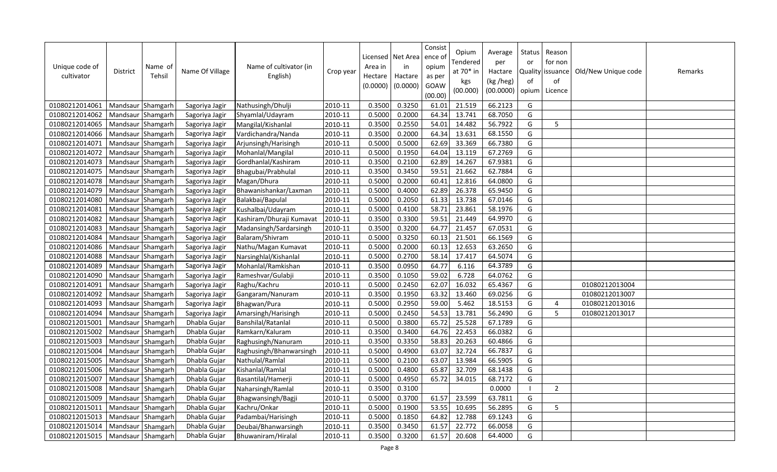| Unique code of<br>cultivator | District          | Name of<br>Tehsil | Name Of Village | Name of cultivator (in<br>English) | Crop year | Area in<br>Hectare<br>(0.0000) | Licensed   Net Area<br>in<br>Hactare<br>(0.0000) | Consist<br>ence of<br>opium<br>as per<br>GOAW<br>(00.00) | Opium<br>Tendered<br>at 70* in<br>kgs<br>(00.000) | Average<br>per<br>Hactare<br>(kg /heg)<br>(00.0000) | Status<br>or<br>Quality<br>of<br>opium | Reason<br>for non<br>issuance<br>of<br>Licence | Old/New Unique code | Remarks |
|------------------------------|-------------------|-------------------|-----------------|------------------------------------|-----------|--------------------------------|--------------------------------------------------|----------------------------------------------------------|---------------------------------------------------|-----------------------------------------------------|----------------------------------------|------------------------------------------------|---------------------|---------|
| 01080212014061               | Mandsaur Shamgarh |                   | Sagoriya Jagir  | Nathusingh/Dhulji                  | 2010-11   | 0.3500                         | 0.3250                                           | 61.01                                                    | 21.519                                            | 66.2123                                             | G                                      |                                                |                     |         |
| 01080212014062               | Mandsaur Shamgarh |                   | Sagoriya Jagir  | Shyamlal/Udayram                   | 2010-11   | 0.5000                         | 0.2000                                           | 64.34                                                    | 13.741                                            | 68.7050                                             | G                                      |                                                |                     |         |
| 01080212014065               | Mandsaur Shamgarh |                   | Sagoriya Jagir  | Mangilal/Kishanlal                 | 2010-11   | 0.3500                         | 0.2550                                           | 54.01                                                    | 14.482                                            | 56.7922                                             | G                                      | 5                                              |                     |         |
| 01080212014066               | Mandsaur Shamgarh |                   | Sagoriya Jagir  | Vardichandra/Nanda                 | 2010-11   | 0.3500                         | 0.2000                                           | 64.34                                                    | 13.631                                            | 68.1550                                             | G                                      |                                                |                     |         |
| 01080212014071               | Mandsaur Shamgarh |                   | Sagoriya Jagir  | Arjunsingh/Harisingh               | 2010-11   | 0.5000                         | 0.5000                                           | 62.69                                                    | 33.369                                            | 66.7380                                             | G                                      |                                                |                     |         |
| 01080212014072               | Mandsaur Shamgarh |                   | Sagoriya Jagir  | Mohanlal/Mangilal                  | 2010-11   | 0.5000                         | 0.1950                                           | 64.04                                                    | 13.119                                            | 67.2769                                             | G                                      |                                                |                     |         |
| 01080212014073               | Mandsaur Shamgarh |                   | Sagoriya Jagir  | Gordhanlal/Kashiram                | 2010-11   | 0.3500                         | 0.2100                                           | 62.89                                                    | 14.267                                            | 67.9381                                             | G                                      |                                                |                     |         |
| 01080212014075               | Mandsaur Shamgarh |                   | Sagoriya Jagir  | Bhagubai/Prabhulal                 | 2010-11   | 0.3500                         | 0.3450                                           | 59.51                                                    | 21.662                                            | 62.7884                                             | G                                      |                                                |                     |         |
| 01080212014078               | Mandsaur Shamgarh |                   | Sagoriya Jagir  | Magan/Dhura                        | 2010-11   | 0.5000                         | 0.2000                                           | 60.41                                                    | 12.816                                            | 64.0800                                             | G                                      |                                                |                     |         |
| 01080212014079               | Mandsaur Shamgarh |                   | Sagoriya Jagir  | Bhawanishankar/Laxman              | 2010-11   | 0.5000                         | 0.4000                                           | 62.89                                                    | 26.378                                            | 65.9450                                             | G                                      |                                                |                     |         |
| 01080212014080               | Mandsaur Shamgarh |                   | Sagoriya Jagir  | Balakbai/Bapulal                   | 2010-11   | 0.5000                         | 0.2050                                           | 61.33                                                    | 13.738                                            | 67.0146                                             | G                                      |                                                |                     |         |
| 01080212014081               | Mandsaur Shamgarh |                   | Sagoriya Jagir  | Kushalbai/Udayram                  | 2010-11   | 0.5000                         | 0.4100                                           | 58.71                                                    | 23.861                                            | 58.1976                                             | G                                      |                                                |                     |         |
| 01080212014082               | Mandsaur Shamgarh |                   | Sagoriya Jagir  | Kashiram/Dhuraji Kumavat           | 2010-11   | 0.3500                         | 0.3300                                           | 59.51                                                    | 21.449                                            | 64.9970                                             | G                                      |                                                |                     |         |
| 01080212014083               | Mandsaur Shamgarh |                   | Sagoriya Jagir  | Madansingh/Sardarsingh             | 2010-11   | 0.3500                         | 0.3200                                           | 64.77                                                    | 21.457                                            | 67.0531                                             | G                                      |                                                |                     |         |
| 01080212014084               | Mandsaur Shamgarh |                   | Sagoriya Jagir  | Balaram/Shivram                    | 2010-11   | 0.5000                         | 0.3250                                           | 60.13                                                    | 21.501                                            | 66.1569                                             | G                                      |                                                |                     |         |
| 01080212014086               | Mandsaur Shamgarh |                   | Sagoriya Jagir  | Nathu/Magan Kumavat                | 2010-11   | 0.5000                         | 0.2000                                           | 60.13                                                    | 12.653                                            | 63.2650                                             | G                                      |                                                |                     |         |
| 01080212014088               | Mandsaur Shamgarh |                   | Sagoriya Jagir  | Narsinghlal/Kishanlal              | 2010-11   | 0.5000                         | 0.2700                                           | 58.14                                                    | 17.417                                            | 64.5074                                             | G                                      |                                                |                     |         |
| 01080212014089               | Mandsaur Shamgarh |                   | Sagoriya Jagir  | Mohanlal/Ramkishan                 | 2010-11   | 0.3500                         | 0.0950                                           | 64.77                                                    | 6.116                                             | 64.3789                                             | G                                      |                                                |                     |         |
| 01080212014090               | Mandsaur Shamgarh |                   | Sagoriya Jagir  | Rameshvar/Gulabji                  | 2010-11   | 0.3500                         | 0.1050                                           | 59.02                                                    | 6.728                                             | 64.0762                                             | G                                      |                                                |                     |         |
| 01080212014091               | Mandsaur Shamgarh |                   | Sagoriya Jagir  | Raghu/Kachru                       | 2010-11   | 0.5000                         | 0.2450                                           | 62.07                                                    | 16.032                                            | 65.4367                                             | G                                      |                                                | 01080212013004      |         |
| 01080212014092               | Mandsaur Shamgarh |                   | Sagoriya Jagir  | Gangaram/Nanuram                   | 2010-11   | 0.3500                         | 0.1950                                           | 63.32                                                    | 13.460                                            | 69.0256                                             | G                                      |                                                | 01080212013007      |         |
| 01080212014093               | Mandsaur Shamgarh |                   | Sagoriya Jagir  | Bhagwan/Pura                       | 2010-11   | 0.5000                         | 0.2950                                           | 59.00                                                    | 5.462                                             | 18.5153                                             | G                                      | 4                                              | 01080212013016      |         |
| 01080212014094               | Mandsaur Shamgarh |                   | Sagoriya Jagir  | Amarsingh/Harisingh                | 2010-11   | 0.5000                         | 0.2450                                           | 54.53                                                    | 13.781                                            | 56.2490                                             | G                                      | 5                                              | 01080212013017      |         |
| 01080212015001               | Mandsaur Shamgarh |                   | Dhabla Gujar    | Banshilal/Ratanlal                 | 2010-11   | 0.5000                         | 0.3800                                           | 65.72                                                    | 25.528                                            | 67.1789                                             | G                                      |                                                |                     |         |
| 01080212015002               | Mandsaur Shamgarh |                   | Dhabla Gujar    | Ramkarn/Kaluram                    | 2010-11   | 0.3500                         | 0.3400                                           | 64.76                                                    | 22.453                                            | 66.0382                                             | G                                      |                                                |                     |         |
| 01080212015003               | Mandsaur Shamgarh |                   | Dhabla Gujar    | Raghusingh/Nanuram                 | 2010-11   | 0.3500                         | 0.3350                                           | 58.83                                                    | 20.263                                            | 60.4866                                             | G                                      |                                                |                     |         |
| 01080212015004               | Mandsaur          | Shamgarh          | Dhabla Gujar    | Raghusingh/Bhanwarsingh            | 2010-11   | 0.5000                         | 0.4900                                           | 63.07                                                    | 32.724                                            | 66.7837                                             | G                                      |                                                |                     |         |
| 01080212015005               | Mandsaur          | Shamgarh          | Dhabla Gujar    | Nathulal/Ramlal                    | 2010-11   | 0.5000                         | 0.2100                                           | 63.07                                                    | 13.984                                            | 66.5905                                             | G                                      |                                                |                     |         |
| 01080212015006               | Mandsaur          | Shamgarh          | Dhabla Gujar    | Kishanlal/Ramlal                   | 2010-11   | 0.5000                         | 0.4800                                           | 65.87                                                    | 32.709                                            | 68.1438                                             | G                                      |                                                |                     |         |
| 01080212015007               | Mandsaur          | Shamgarh          | Dhabla Gujar    | Basantilal/Hamerji                 | 2010-11   | 0.5000                         | 0.4950                                           | 65.72                                                    | 34.015                                            | 68.7172                                             | G                                      |                                                |                     |         |
| 01080212015008               | Mandsaur Shamgarh |                   | Dhabla Gujar    | Naharsingh/Ramlal                  | 2010-11   | 0.3500                         | 0.3100                                           |                                                          |                                                   | 0.0000                                              |                                        | 2                                              |                     |         |
| 01080212015009               | Mandsaur Shamgarh |                   | Dhabla Gujar    | Bhagwansingh/Bagji                 | 2010-11   | 0.5000                         | 0.3700                                           | 61.57                                                    | 23.599                                            | 63.7811                                             | G                                      |                                                |                     |         |
| 01080212015011               | Mandsaur          | Shamgarh          | Dhabla Gujar    | Kachru/Onkar                       | 2010-11   | 0.5000                         | 0.1900                                           | 53.55                                                    | 10.695                                            | 56.2895                                             | G                                      | 5                                              |                     |         |
| 01080212015013               | Mandsaur          | Shamgarh          | Dhabla Gujar    | Padambai/Harisingh                 | 2010-11   | 0.5000                         | 0.1850                                           | 64.82                                                    | 12.788                                            | 69.1243                                             | G                                      |                                                |                     |         |
| 01080212015014               | Mandsaur          | Shamgarh          | Dhabla Gujar    | Deubai/Bhanwarsingh                | 2010-11   | 0.3500                         | 0.3450                                           | 61.57                                                    | 22.772                                            | 66.0058                                             | G                                      |                                                |                     |         |
| 01080212015015               | Mandsaur Shamgarh |                   | Dhabla Gujar    | Bhuwaniram/Hiralal                 | 2010-11   | 0.3500                         | 0.3200                                           | 61.57                                                    | 20.608                                            | 64.4000                                             | G                                      |                                                |                     |         |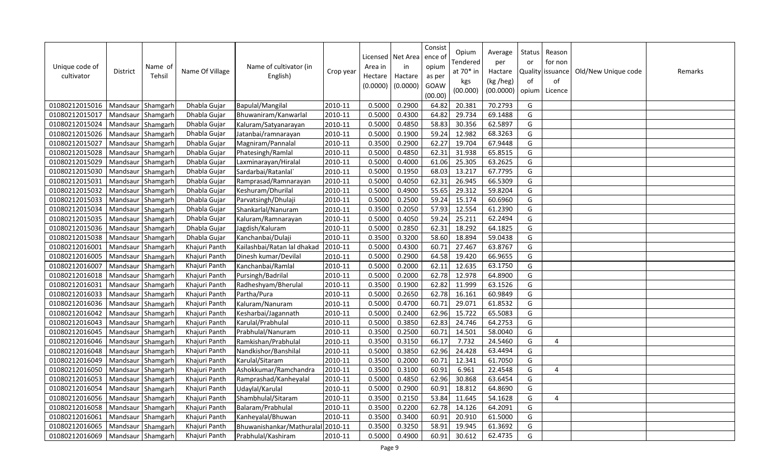| Unique code of<br>cultivator | <b>District</b>   | Name of<br>Tehsil | Name Of Village | Name of cultivator (in<br>English) | Crop year | Area in<br>Hectare<br>(0.0000) | Licensed   Net Area<br>in<br>Hactare<br>(0.0000) | Consist<br>ence of<br>opium<br>as per<br>GOAW<br>(00.00) | Opium<br>Tendered<br>at 70* in<br>kgs<br>(00.000) | Average<br>per<br>Hactare<br>(kg /heg)<br>(00.0000) | Status<br>or<br>of<br>opium | Reason<br>for non<br>Quality issuance<br>of<br>Licence | Old/New Unique code | Remarks |
|------------------------------|-------------------|-------------------|-----------------|------------------------------------|-----------|--------------------------------|--------------------------------------------------|----------------------------------------------------------|---------------------------------------------------|-----------------------------------------------------|-----------------------------|--------------------------------------------------------|---------------------|---------|
| 01080212015016               | Mandsaur Shamgarh |                   | Dhabla Gujar    | Bapulal/Mangilal                   | 2010-11   | 0.5000                         | 0.2900                                           | 64.82                                                    | 20.381                                            | 70.2793                                             | G                           |                                                        |                     |         |
| 01080212015017               | Mandsaur Shamgarh |                   | Dhabla Gujar    | Bhuwaniram/Kanwarlal               | 2010-11   | 0.5000                         | 0.4300                                           | 64.82                                                    | 29.734                                            | 69.1488                                             | G                           |                                                        |                     |         |
| 01080212015024               | Mandsaur          | Shamgarh          | Dhabla Gujar    | Kaluram/Satyanarayan               | 2010-11   | 0.5000                         | 0.4850                                           | 58.83                                                    | 30.356                                            | 62.5897                                             | G                           |                                                        |                     |         |
| 01080212015026               | Mandsaur Shamgarh |                   | Dhabla Gujar    | Jatanbai/ramnarayan                | 2010-11   | 0.5000                         | 0.1900                                           | 59.24                                                    | 12.982                                            | 68.3263                                             | G                           |                                                        |                     |         |
| 01080212015027               | Mandsaur Shamgarh |                   | Dhabla Gujar    | Magniram/Pannalal                  | 2010-11   | 0.3500                         | 0.2900                                           | 62.27                                                    | 19.704                                            | 67.9448                                             | G                           |                                                        |                     |         |
| 01080212015028               | Mandsaur Shamgarh |                   | Dhabla Gujar    | Phatesingh/Ramlal                  | 2010-11   | 0.5000                         | 0.4850                                           | 62.31                                                    | 31.938                                            | 65.8515                                             | G                           |                                                        |                     |         |
| 01080212015029               | Mandsaur Shamgarh |                   | Dhabla Gujar    | Laxminarayan/Hiralal               | 2010-11   | 0.5000                         | 0.4000                                           | 61.06                                                    | 25.305                                            | 63.2625                                             | G                           |                                                        |                     |         |
| 01080212015030               | Mandsaur Shamgarh |                   | Dhabla Gujar    | Sardarbai/Ratanlal                 | 2010-11   | 0.5000                         | 0.1950                                           | 68.03                                                    | 13.217                                            | 67.7795                                             | G                           |                                                        |                     |         |
| 01080212015031               | Mandsaur          | Shamgarh          | Dhabla Gujar    | Ramprasad/Ramnarayan               | 2010-11   | 0.5000                         | 0.4050                                           | 62.31                                                    | 26.945                                            | 66.5309                                             | G                           |                                                        |                     |         |
| 01080212015032               | Mandsaur          | Shamgarh          | Dhabla Gujar    | Keshuram/Dhurilal                  | 2010-11   | 0.5000                         | 0.4900                                           | 55.65                                                    | 29.312                                            | 59.8204                                             | G                           |                                                        |                     |         |
| 01080212015033               | Mandsaur          | Shamgarh          | Dhabla Gujar    | Parvatsingh/Dhulaji                | 2010-11   | 0.5000                         | 0.2500                                           | 59.24                                                    | 15.174                                            | 60.6960                                             | G                           |                                                        |                     |         |
| 01080212015034               | Mandsaur          | Shamgarh          | Dhabla Gujar    | Shankarlal/Nanuram                 | 2010-11   | 0.3500                         | 0.2050                                           | 57.93                                                    | 12.554                                            | 61.2390                                             | G                           |                                                        |                     |         |
| 01080212015035               | Mandsaur          | Shamgarh          | Dhabla Gujar    | Kaluram/Ramnarayan                 | 2010-11   | 0.5000                         | 0.4050                                           | 59.24                                                    | 25.211                                            | 62.2494                                             | G                           |                                                        |                     |         |
| 01080212015036               | Mandsaur          | Shamgarh          | Dhabla Gujar    | Jagdish/Kaluram                    | 2010-11   | 0.5000                         | 0.2850                                           | 62.31                                                    | 18.292                                            | 64.1825                                             | G                           |                                                        |                     |         |
| 01080212015038               | Mandsaur Shamgarh |                   | Dhabla Gujar    | Kanchanbai/Dulaji                  | 2010-11   | 0.3500                         | 0.3200                                           | 58.60                                                    | 18.894                                            | 59.0438                                             | G                           |                                                        |                     |         |
| 01080212016001               | Mandsaur Shamgarh |                   | Khajuri Panth   | Kailashbai/Ratan lal dhakad        | 2010-11   | 0.5000                         | 0.4300                                           | 60.71                                                    | 27.467                                            | 63.8767                                             | G                           |                                                        |                     |         |
| 01080212016005               | Mandsaur Shamgarh |                   | Khajuri Panth   | Dinesh kumar/Devilal               | 2010-11   | 0.5000                         | 0.2900                                           | 64.58                                                    | 19.420                                            | 66.9655                                             | G                           |                                                        |                     |         |
| 01080212016007               | Mandsaur          | Shamgarh          | Khajuri Panth   | Kanchanbai/Ramlal                  | 2010-11   | 0.5000                         | 0.2000                                           | 62.11                                                    | 12.635                                            | 63.1750                                             | G                           |                                                        |                     |         |
| 01080212016018               | Mandsaur Shamgarh |                   | Khajuri Panth   | Pursingh/Badrilal                  | 2010-11   | 0.5000                         | 0.2000                                           | 62.78                                                    | 12.978                                            | 64.8900                                             | G                           |                                                        |                     |         |
| 01080212016031               | Mandsaur          | Shamgarh          | Khajuri Panth   | Radheshyam/Bherulal                | 2010-11   | 0.3500                         | 0.1900                                           | 62.82                                                    | 11.999                                            | 63.1526                                             | G                           |                                                        |                     |         |
| 01080212016033               | Mandsaur          | Shamgarh          | Khajuri Panth   | Partha/Pura                        | 2010-11   | 0.5000                         | 0.2650                                           | 62.78                                                    | 16.161                                            | 60.9849                                             | G                           |                                                        |                     |         |
| 01080212016036               | Mandsaur Shamgarh |                   | Khajuri Panth   | Kaluram/Nanuram                    | 2010-11   | 0.5000                         | 0.4700                                           | 60.71                                                    | 29.071                                            | 61.8532                                             | G                           |                                                        |                     |         |
| 01080212016042               | Mandsaur Shamgarh |                   | Khajuri Panth   | Kesharbai/Jagannath                | 2010-11   | 0.5000                         | 0.2400                                           | 62.96                                                    | 15.722                                            | 65.5083                                             | G                           |                                                        |                     |         |
| 01080212016043               | Mandsaur Shamgarh |                   | Khajuri Panth   | Karulal/Prabhulal                  | 2010-11   | 0.5000                         | 0.3850                                           | 62.83                                                    | 24.746                                            | 64.2753                                             | G                           |                                                        |                     |         |
| 01080212016045               | Mandsaur Shamgarh |                   | Khajuri Panth   | Prabhulal/Nanuram                  | 2010-11   | 0.3500                         | 0.2500                                           | 60.71                                                    | 14.501                                            | 58.0040                                             | G                           |                                                        |                     |         |
| 01080212016046               | Mandsaur          | Shamgarh          | Khajuri Panth   | Ramkishan/Prabhulal                | 2010-11   | 0.3500                         | 0.3150                                           | 66.17                                                    | 7.732                                             | 24.5460                                             | G                           | 4                                                      |                     |         |
| 01080212016048               | Mandsaur          | Shamgarh          | Khajuri Panth   | Nandkishor/Banshilal               | 2010-11   | 0.5000                         | 0.3850                                           | 62.96                                                    | 24.428                                            | 63.4494                                             | G                           |                                                        |                     |         |
| 01080212016049               | Mandsaur          | Shamgarh          | Khajuri Panth   | Karulal/Sitaram                    | 2010-11   | 0.3500                         | 0.2000                                           | 60.71                                                    | 12.341                                            | 61.7050                                             | G                           |                                                        |                     |         |
| 01080212016050               | Mandsaur          | Shamgarh          | Khajuri Panth   | Ashokkumar/Ramchandra              | 2010-11   | 0.3500                         | 0.3100                                           | 60.91                                                    | 6.961                                             | 22.4548                                             | G                           | $\overline{4}$                                         |                     |         |
| 01080212016053               | Mandsaur          | Shamgarh          | Khajuri Panth   | Ramprashad/Kanheyalal              | 2010-11   | 0.5000                         | 0.4850                                           | 62.96                                                    | 30.868                                            | 63.6454                                             | G                           |                                                        |                     |         |
| 01080212016054               | Mandsaur Shamgarh |                   | Khajuri Panth   | Udaylal/Karulal                    | 2010-11   | 0.5000                         | 0.2900                                           | 60.91                                                    | 18.812                                            | 64.8690                                             | G                           |                                                        |                     |         |
| 01080212016056               | Mandsaur Shamgarh |                   | Khajuri Panth   | Shambhulal/Sitaram                 | 2010-11   | 0.3500                         | 0.2150                                           | 53.84                                                    | 11.645                                            | 54.1628                                             | G                           | $\overline{4}$                                         |                     |         |
| 01080212016058               | Mandsaur          | Shamgarh          | Khajuri Panth   | Balaram/Prabhulal                  | 2010-11   | 0.3500                         | 0.2200                                           | 62.78                                                    | 14.126                                            | 64.2091                                             | G                           |                                                        |                     |         |
| 01080212016061               | Mandsaur          | Shamgarh          | Khajuri Panth   | Kanheyalal/Bhuwan                  | 2010-11   | 0.3500                         | 0.3400                                           | 60.91                                                    | 20.910                                            | 61.5000                                             | G                           |                                                        |                     |         |
| 01080212016065               | Mandsaur          | Shamgarh          | Khajuri Panth   | Bhuwanishankar/Mathuralal          | 2010-11   | 0.3500                         | 0.3250                                           | 58.91                                                    | 19.945                                            | 61.3692                                             | G                           |                                                        |                     |         |
| 01080212016069               | Mandsaur Shamgarh |                   | Khajuri Panth   | Prabhulal/Kashiram                 | 2010-11   | 0.5000                         | 0.4900                                           | 60.91                                                    | 30.612                                            | 62.4735                                             | G                           |                                                        |                     |         |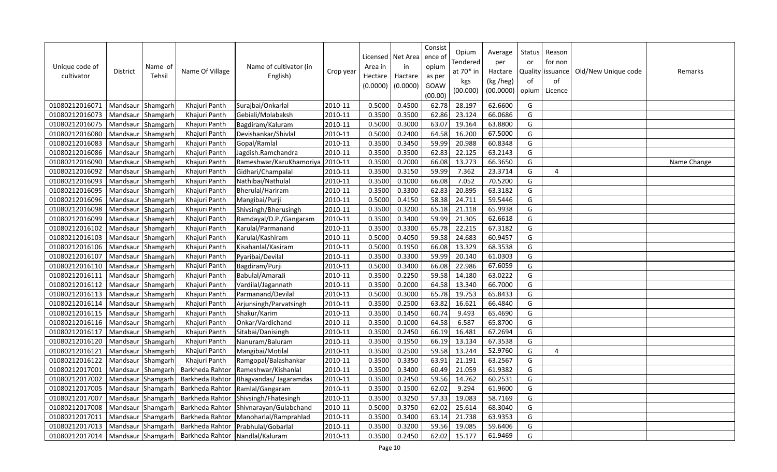| Unique code of<br>cultivator | <b>District</b>   | Name of<br>Tehsil | Name Of Village                 | Name of cultivator (in<br>English) | Crop year | Licensed<br>Area in<br>Hectare<br>(0.0000) | Net Area<br>in<br>Hactare<br>(0.0000) | Consist<br>ence of<br>opium<br>as per<br>GOAW<br>(00.00) | Opium<br>Tendered<br>at 70* in<br>kgs<br>(00.000) | Average<br>per<br>Hactare<br>(kg /heg)<br>(00.0000) | <b>Status</b><br>or<br>of<br>opium | Reason<br>for non<br>Quality issuance<br>of<br>Licence | Old/New Unique code | Remarks     |
|------------------------------|-------------------|-------------------|---------------------------------|------------------------------------|-----------|--------------------------------------------|---------------------------------------|----------------------------------------------------------|---------------------------------------------------|-----------------------------------------------------|------------------------------------|--------------------------------------------------------|---------------------|-------------|
| 01080212016071               | Mandsaur          | Shamgarh          | Khajuri Panth                   | Surajbai/Onkarlal                  | 2010-11   | 0.5000                                     | 0.4500                                | 62.78                                                    | 28.197                                            | 62.6600                                             | G                                  |                                                        |                     |             |
| 01080212016073               | Mandsaur          | Shamgarh          | Khajuri Panth                   | Gebiali/Molabaksh                  | 2010-11   | 0.3500                                     | 0.3500                                | 62.86                                                    | 23.124                                            | 66.0686                                             | G                                  |                                                        |                     |             |
| 01080212016075               | Mandsaur          | Shamgarh          | Khajuri Panth                   | Bagdiram/Kaluram                   | 2010-11   | 0.5000                                     | 0.3000                                | 63.07                                                    | 19.164                                            | 63.8800                                             | G                                  |                                                        |                     |             |
| 01080212016080               | Mandsaur          | Shamgarh          | Khajuri Panth                   | Devishankar/Shivlal                | 2010-11   | 0.5000                                     | 0.2400                                | 64.58                                                    | 16.200                                            | 67.5000                                             | G                                  |                                                        |                     |             |
| 01080212016083               | Mandsaur          | Shamgarh          | Khajuri Panth                   | Gopal/Ramlal                       | 2010-11   | 0.3500                                     | 0.3450                                | 59.99                                                    | 20.988                                            | 60.8348                                             | G                                  |                                                        |                     |             |
| 01080212016086               | Mandsaur          | Shamgarh          | Khajuri Panth                   | Jagdish.Ramchandra                 | 2010-11   | 0.3500                                     | 0.3500                                | 62.83                                                    | 22.125                                            | 63.2143                                             | G                                  |                                                        |                     |             |
| 01080212016090               | Mandsaur          | Shamgarh          | Khajuri Panth                   | Rameshwar/KaruKhamoriya            | 2010-11   | 0.3500                                     | 0.2000                                | 66.08                                                    | 13.273                                            | 66.3650                                             | G                                  |                                                        |                     | Name Change |
| 01080212016092               | Mandsaur          | Shamgarh          | Khajuri Panth                   | Gidhari/Champalal                  | 2010-11   | 0.3500                                     | 0.3150                                | 59.99                                                    | 7.362                                             | 23.3714                                             | G                                  | $\overline{4}$                                         |                     |             |
| 01080212016093               | Mandsaur          | Shamgarh          | Khajuri Panth                   | Nathibai/Nathulal                  | 2010-11   | 0.3500                                     | 0.1000                                | 66.08                                                    | 7.052                                             | 70.5200                                             | G                                  |                                                        |                     |             |
| 01080212016095               | Mandsaur          | Shamgarh          | Khajuri Panth                   | Bherulal/Hariram                   | 2010-11   | 0.3500                                     | 0.3300                                | 62.83                                                    | 20.895                                            | 63.3182                                             | G                                  |                                                        |                     |             |
| 01080212016096               | Mandsaur          | Shamgarh          | Khajuri Panth                   | Mangibai/Purji                     | 2010-11   | 0.5000                                     | 0.4150                                | 58.38                                                    | 24.711                                            | 59.5446                                             | G                                  |                                                        |                     |             |
| 01080212016098               | Mandsaur          | Shamgarh          | Khajuri Panth                   | Shivsingh/Bherusingh               | 2010-11   | 0.3500                                     | 0.3200                                | 65.18                                                    | 21.118                                            | 65.9938                                             | G                                  |                                                        |                     |             |
| 01080212016099               | Mandsaur          | Shamgarh          | Khajuri Panth                   | Ramdayal/D.P./Gangaram             | 2010-11   | 0.3500                                     | 0.3400                                | 59.99                                                    | 21.305                                            | 62.6618                                             | G                                  |                                                        |                     |             |
| 01080212016102               | Mandsaur          | Shamgarh          | Khajuri Panth                   | Karulal/Parmanand                  | 2010-11   | 0.3500                                     | 0.3300                                | 65.78                                                    | 22.215                                            | 67.3182                                             | G                                  |                                                        |                     |             |
| 01080212016103               | Mandsaur          | Shamgarh          | Khajuri Panth                   | Karulal/Kashiram                   | 2010-11   | 0.5000                                     | 0.4050                                | 59.58                                                    | 24.683                                            | 60.9457                                             | G                                  |                                                        |                     |             |
| 01080212016106               | Mandsaur          | Shamgarh          | Khajuri Panth                   | Kisahanlal/Kasiram                 | 2010-11   | 0.5000                                     | 0.1950                                | 66.08                                                    | 13.329                                            | 68.3538                                             | G                                  |                                                        |                     |             |
| 01080212016107               | Mandsaur          | Shamgarh          | Khajuri Panth                   | Pyaribai/Devilal                   | 2010-11   | 0.3500                                     | 0.3300                                | 59.99                                                    | 20.140                                            | 61.0303                                             | G                                  |                                                        |                     |             |
| 01080212016110               | Mandsaur          | Shamgarh          | Khajuri Panth                   | Bagdiram/Purji                     | 2010-11   | 0.5000                                     | 0.3400                                | 66.08                                                    | 22.986                                            | 67.6059                                             | G                                  |                                                        |                     |             |
| 01080212016111               | Mandsaur          | Shamgarh          | Khajuri Panth                   | Babulal/AmaraJi                    | 2010-11   | 0.3500                                     | 0.2250                                | 59.58                                                    | 14.180                                            | 63.0222                                             | G                                  |                                                        |                     |             |
| 01080212016112               | Mandsaur          | Shamgarh          | Khajuri Panth                   | Vardilal/Jagannath                 | 2010-11   | 0.3500                                     | 0.2000                                | 64.58                                                    | 13.340                                            | 66.7000                                             | G                                  |                                                        |                     |             |
| 01080212016113               | Mandsaur          | Shamgarh          | Khajuri Panth                   | Parmanand/Devilal                  | 2010-11   | 0.5000                                     | 0.3000                                | 65.78                                                    | 19.753                                            | 65.8433                                             | G                                  |                                                        |                     |             |
| 01080212016114               | Mandsaur          | Shamgarh          | Khajuri Panth                   | Arjunsingh/Parvatsingh             | 2010-11   | 0.3500                                     | 0.2500                                | 63.82                                                    | 16.621                                            | 66.4840                                             | G                                  |                                                        |                     |             |
| 01080212016115               | Mandsaur          | Shamgarh          | Khajuri Panth                   | Shakur/Karim                       | 2010-11   | 0.3500                                     | 0.1450                                | 60.74                                                    | 9.493                                             | 65.4690                                             | G                                  |                                                        |                     |             |
| 01080212016116               | Mandsaur          | Shamgarh          | Khajuri Panth                   | Onkar/Vardichand                   | 2010-11   | 0.3500                                     | 0.1000                                | 64.58                                                    | 6.587                                             | 65.8700                                             | G                                  |                                                        |                     |             |
| 01080212016117               | Mandsaur          | Shamgarh          | Khajuri Panth                   | Sitabai/Danisingh                  | 2010-11   | 0.3500                                     | 0.2450                                | 66.19                                                    | 16.481                                            | 67.2694                                             | G                                  |                                                        |                     |             |
| 01080212016120               | Mandsaur          | Shamgarh          | Khajuri Panth                   | Nanuram/Baluram                    | 2010-11   | 0.3500                                     | 0.1950                                | 66.19                                                    | 13.134                                            | 67.3538                                             | G                                  |                                                        |                     |             |
| 01080212016121               | Mandsaur          | Shamgarh          | Khajuri Panth                   | Mangibai/Motilal                   | 2010-11   | 0.3500                                     | 0.2500                                | 59.58                                                    | 13.244                                            | 52.9760                                             | G                                  | $\overline{4}$                                         |                     |             |
| 01080212016122               | Mandsaur          | Shamgarh          | Khajuri Panth                   | Ramgopal/Balashankar               | 2010-11   | 0.3500                                     | 0.3350                                | 63.91                                                    | 21.191                                            | 63.2567                                             | G                                  |                                                        |                     |             |
| 01080212017001               | Mandsaur          | Shamgarh          | Barkheda Rahtor                 | Rameshwar/Kishanlal                | 2010-11   | 0.3500                                     | 0.3400                                | 60.49                                                    | 21.059                                            | 61.9382                                             | G                                  |                                                        |                     |             |
| 01080212017002               | Mandsaur Shamgarh |                   | Barkheda Rahtor                 | Bhagvandas/Jagaramdas              | 2010-11   | 0.3500                                     | 0.2450                                | 59.56                                                    | 14.762                                            | 60.2531                                             | G                                  |                                                        |                     |             |
| 01080212017005               | Mandsaur Shamgarh |                   | Barkheda Rahtor                 | Ramlal/Gangaram                    | 2010-11   | 0.3500                                     | 0.1500                                | 62.02                                                    | 9.294                                             | 61.9600                                             | G                                  |                                                        |                     |             |
| 01080212017007               | Mandsaur Shamgarh |                   | Barkheda Rahtor                 | Shivsingh/Fhatesingh               | 2010-11   | 0.3500                                     | 0.3250                                | 57.33                                                    | 19.083                                            | 58.7169                                             | G                                  |                                                        |                     |             |
| 01080212017008               | Mandsaur          | Shamgarh          | Barkheda Rahtor                 | Shivnarayan/Gulabchand             | 2010-11   | 0.5000                                     | 0.3750                                | 62.02                                                    | 25.614                                            | 68.3040                                             | G                                  |                                                        |                     |             |
| 01080212017011               | Mandsaur Shamgarh |                   | Barkheda Rahtor                 | Manoharlal/Ramprahlad              | 2010-11   | 0.3500                                     | 0.3400                                | 63.14                                                    | 21.738                                            | 63.9353                                             | G                                  |                                                        |                     |             |
| 01080212017013               | Mandsaur Shamgarh |                   | Barkheda Rahtor                 | Prabhulal/Gobarlal                 | 2010-11   | 0.3500                                     | 0.3200                                | 59.56                                                    | 19.085                                            | 59.6406                                             | G                                  |                                                        |                     |             |
| 01080212017014               | Mandsaur Shamgarh |                   | Barkheda Rahtor Nandlal/Kaluram |                                    | 2010-11   | 0.3500                                     | 0.2450                                | 62.02                                                    | 15.177                                            | 61.9469                                             | G                                  |                                                        |                     |             |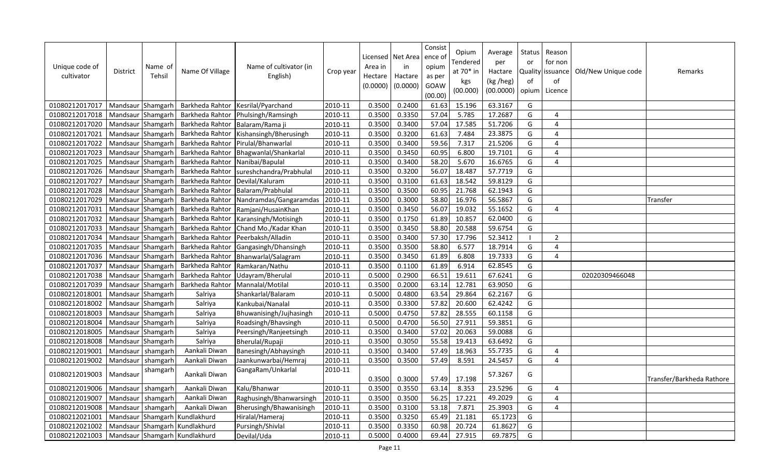| Unique code of<br>cultivator | District          | Name of<br>Tehsil | Name Of Village               | Name of cultivator (in<br>English) | Crop year | Area in<br>Hectare<br>(0.0000) | Licensed   Net Area<br>in<br>Hactare<br>(0.0000) | Consist<br>ence of<br>opium<br>as per<br>GOAW<br>(00.00) | Opium<br>Tendered<br>at 70* in<br>kgs<br>(00.000) | Average<br>per<br>Hactare<br>(kg /heg)<br>(00.0000) | Status<br>or<br>of<br>opium | Reason<br>for non<br>Quality issuance<br>of<br>Licence | Old/New Unique code | Remarks                   |
|------------------------------|-------------------|-------------------|-------------------------------|------------------------------------|-----------|--------------------------------|--------------------------------------------------|----------------------------------------------------------|---------------------------------------------------|-----------------------------------------------------|-----------------------------|--------------------------------------------------------|---------------------|---------------------------|
| 01080212017017               | Mandsaur Shamgarh |                   | Barkheda Rahtor               | Kesrilal/Pyarchand                 | 2010-11   | 0.3500                         | 0.2400                                           | 61.63                                                    | 15.196                                            | 63.3167                                             | G                           |                                                        |                     |                           |
| 01080212017018               | Mandsaur Shamgarh |                   | Barkheda Rahtor               | Phulsingh/Ramsingh                 | 2010-11   | 0.3500                         | 0.3350                                           | 57.04                                                    | 5.785                                             | 17.2687                                             | G                           | $\overline{4}$                                         |                     |                           |
| 01080212017020               | Mandsaur Shamgarh |                   | Barkheda Rahtor               | Balaram/Rama ji                    | 2010-11   | 0.3500                         | 0.3400                                           | 57.04                                                    | 17.585                                            | 51.7206                                             | G                           | $\overline{4}$                                         |                     |                           |
| 01080212017021               | Mandsaur Shamgarh |                   | Barkheda Rahtor               | Kishansingh/Bherusingh             | 2010-11   | 0.3500                         | 0.3200                                           | 61.63                                                    | 7.484                                             | 23.3875                                             | G                           | $\overline{4}$                                         |                     |                           |
| 01080212017022               | Mandsaur Shamgarh |                   | Barkheda Rahtor               | Pirulal/Bhanwarlal                 | 2010-11   | 0.3500                         | 0.3400                                           | 59.56                                                    | 7.317                                             | 21.5206                                             | G                           | $\overline{4}$                                         |                     |                           |
| 01080212017023               | Mandsaur Shamgarh |                   | Barkheda Rahtor               | Bhagwanlal/Shankarlal              | 2010-11   | 0.3500                         | 0.3450                                           | 60.95                                                    | 6.800                                             | 19.7101                                             | G                           | $\overline{4}$                                         |                     |                           |
| 01080212017025               | Mandsaur Shamgarh |                   | Barkheda Rahtor               | Nanibai/Bapulal                    | 2010-11   | 0.3500                         | 0.3400                                           | 58.20                                                    | 5.670                                             | 16.6765                                             | G                           | $\overline{4}$                                         |                     |                           |
| 01080212017026               | Mandsaur Shamgarh |                   | Barkheda Rahtor               | sureshchandra/Prabhulal            | 2010-11   | 0.3500                         | 0.3200                                           | 56.07                                                    | 18.487                                            | 57.7719                                             | G                           |                                                        |                     |                           |
| 01080212017027               | Mandsaur Shamgarh |                   | Barkheda Rahtor               | Devilal/Kaluram                    | 2010-11   | 0.3500                         | 0.3100                                           | 61.63                                                    | 18.542                                            | 59.8129                                             | G                           |                                                        |                     |                           |
| 01080212017028               | Mandsaur Shamgarh |                   | Barkheda Rahtor               | Balaram/Prabhulal                  | 2010-11   | 0.3500                         | 0.3500                                           | 60.95                                                    | 21.768                                            | 62.1943                                             | G                           |                                                        |                     |                           |
| 01080212017029               | Mandsaur Shamgarh |                   | Barkheda Rahtor               | Nandramdas/Gangaramdas             | 2010-11   | 0.3500                         | 0.3000                                           | 58.80                                                    | 16.976                                            | 56.5867                                             | G                           |                                                        |                     | Transfer                  |
| 01080212017031               | Mandsaur Shamgarh |                   | Barkheda Rahtor               | Ramjani/HusainKhan                 | 2010-11   | 0.3500                         | 0.3450                                           | 56.07                                                    | 19.032                                            | 55.1652                                             | G                           | $\overline{4}$                                         |                     |                           |
| 01080212017032               | Mandsaur Shamgarh |                   | Barkheda Rahtor               | Karansingh/Motisingh               | 2010-11   | 0.3500                         | 0.1750                                           | 61.89                                                    | 10.857                                            | 62.0400                                             | G                           |                                                        |                     |                           |
| 01080212017033               | Mandsaur Shamgarh |                   | Barkheda Rahtor               | Chand Mo./Kadar Khan               | 2010-11   | 0.3500                         | 0.3450                                           | 58.80                                                    | 20.588                                            | 59.6754                                             | G                           |                                                        |                     |                           |
| 01080212017034               | Mandsaur Shamgarh |                   | Barkheda Rahtor               | Peerbaksh/Alladin                  | 2010-11   | 0.3500                         | 0.3400                                           | 57.30                                                    | 17.796                                            | 52.3412                                             |                             | $\overline{2}$                                         |                     |                           |
| 01080212017035               | Mandsaur Shamgarh |                   | Barkheda Rahtor               | Gangasingh/Dhansingh               | 2010-11   | 0.3500                         | 0.3500                                           | 58.80                                                    | 6.577                                             | 18.7914                                             | G                           | $\overline{4}$                                         |                     |                           |
| 01080212017036               | Mandsaur          | Shamgarh          | Barkheda Rahtor               | Bhanwarlal/Salagram                | 2010-11   | 0.3500                         | 0.3450                                           | 61.89                                                    | 6.808                                             | 19.7333                                             | G                           | $\overline{4}$                                         |                     |                           |
| 01080212017037               | Mandsaur Shamgarh |                   | Barkheda Rahtor               | Ramkaran/Nathu                     | 2010-11   | 0.3500                         | 0.1100                                           | 61.89                                                    | 6.914                                             | 62.8545                                             | G                           |                                                        |                     |                           |
| 01080212017038               | Mandsaur          | Shamgarh          | Barkheda Rahtor               | Udayram/Bherulal                   | 2010-11   | 0.5000                         | 0.2900                                           | 66.51                                                    | 19.611                                            | 67.6241                                             | G                           |                                                        | 02020309466048      |                           |
| 01080212017039               | Mandsaur          | Shamgarh          | Barkheda Rahtor               | Mannalal/Motilal                   | 2010-11   | 0.3500                         | 0.2000                                           | 63.14                                                    | 12.781                                            | 63.9050                                             | G                           |                                                        |                     |                           |
| 01080212018001               | Mandsaur          | Shamgarh          | Salriya                       | Shankarlal/Balaram                 | 2010-11   | 0.5000                         | 0.4800                                           | 63.54                                                    | 29.864                                            | 62.2167                                             | G                           |                                                        |                     |                           |
| 01080212018002               | Mandsaur Shamgarh |                   | Salriya                       | Kankubai/Nanalal                   | 2010-11   | 0.3500                         | 0.3300                                           | 57.82                                                    | 20.600                                            | 62.4242                                             | G                           |                                                        |                     |                           |
| 01080212018003               | Mandsaur Shamgarh |                   | Salriya                       | Bhuwanisingh/Jujhasingh            | 2010-11   | 0.5000                         | 0.4750                                           | 57.82                                                    | 28.555                                            | 60.1158                                             | G                           |                                                        |                     |                           |
| 01080212018004               | Mandsaur Shamgarh |                   | Salriya                       | Roadsingh/Bhavsingh                | 2010-11   | 0.5000                         | 0.4700                                           | 56.50                                                    | 27.911                                            | 59.3851                                             | G                           |                                                        |                     |                           |
| 01080212018005               | Mandsaur Shamgarh |                   | Salriya                       | Peersingh/Ranjeetsingh             | 2010-11   | 0.3500                         | 0.3400                                           | 57.02                                                    | 20.063                                            | 59.0088                                             | G                           |                                                        |                     |                           |
| 01080212018008               | Mandsaur Shamgarh |                   | Salriya                       | Bherulal/Rupaji                    | 2010-11   | 0.3500                         | 0.3050                                           | 55.58                                                    | 19.413                                            | 63.6492                                             | G                           |                                                        |                     |                           |
| 01080212019001               | Mandsaur          | shamgarh          | Aankali Diwan                 | Banesingh/Abhaysingh               | 2010-11   | 0.3500                         | 0.3400                                           | 57.49                                                    | 18.963                                            | 55.7735                                             | G                           | $\overline{4}$                                         |                     |                           |
| 01080212019002               | Mandsaur          | shamgarh          | Aankali Diwan                 | Jaankunwarbai/Hemraj               | 2010-11   | 0.3500                         | 0.3500                                           | 57.49                                                    | 8.591                                             | 24.5457                                             | G                           | $\overline{4}$                                         |                     |                           |
| 01080212019003               | Mandsaur          | shamgarh          | Aankali Diwan                 | GangaRam/Unkarlal                  | 2010-11   | 0.3500                         | 0.3000                                           | 57.49                                                    | 17.198                                            | 57.3267                                             | G                           |                                                        |                     | Transfer/Barkheda Rathore |
| 01080212019006               | Mandsaur          | shamgarh          | Aankali Diwan                 | Kalu/Bhanwar                       | 2010-11   | 0.3500                         | 0.3550                                           | 63.14                                                    | 8.353                                             | 23.5296                                             | G                           | $\boldsymbol{\Delta}$                                  |                     |                           |
| 01080212019007               | Mandsaur          | shamgarh          | Aankali Diwan                 | Raghusingh/Bhanwarsingh            | 2010-11   | 0.3500                         | 0.3500                                           | 56.25                                                    | 17.221                                            | 49.2029                                             | G                           | $\overline{4}$                                         |                     |                           |
| 01080212019008               | Mandsaur          | shamgarh          | Aankali Diwan                 | Bherusingh/Bhawanisingh            | 2010-11   | 0.3500                         | 0.3100                                           | 53.18                                                    | 7.871                                             | 25.3903                                             | G                           | $\overline{4}$                                         |                     |                           |
| 01080212021001               | Mandsaur          | Shamgarh          | Kundlakhurd                   | Hiralal/Hameraj                    | 2010-11   | 0.3500                         | 0.3250                                           | 65.49                                                    | 21.181                                            | 65.1723                                             | G                           |                                                        |                     |                           |
| 01080212021002               |                   |                   | Mandsaur Shamgarh Kundlakhurd | Pursingh/Shivlal                   | 2010-11   | 0.3500                         | 0.3350                                           | 60.98                                                    | 20.724                                            | 61.8627                                             | G                           |                                                        |                     |                           |
| 01080212021003               |                   |                   | Mandsaur Shamgarh Kundlakhurd | Devilal/Uda                        | 2010-11   | 0.5000                         | 0.4000                                           | 69.44                                                    | 27.915                                            | 69.7875                                             | G                           |                                                        |                     |                           |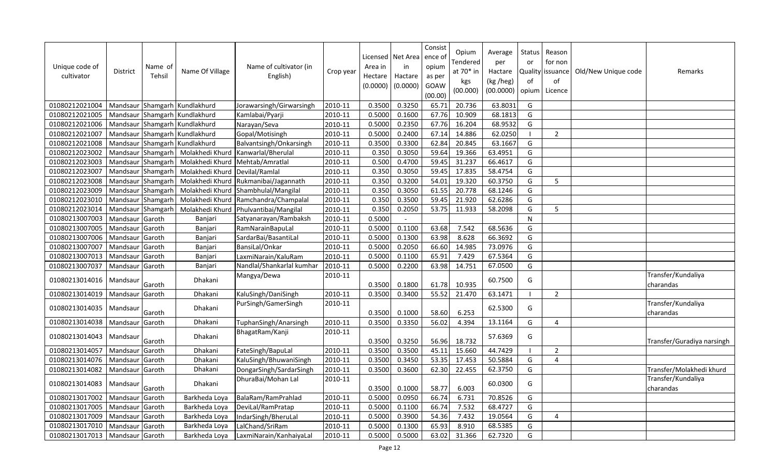| Unique code of<br>cultivator | District          | Name of<br>Tehsil | Name Of Village               | Name of cultivator (in<br>English) | Crop year | Licensed<br>Area in<br>Hectare<br>(0.0000) | Net Area<br>in<br>Hactare<br>(0.0000) | Consist<br>ence o<br>opium<br>as per<br>GOAW<br>(00.00) | Opium<br>Tendered<br>at $70*$ in<br>kgs<br>(00.000) | Average<br>per<br>Hactare<br>(kg /heg)<br>(00.0000) | Status<br>or<br>Quality<br>of<br>opium | Reason<br>for non<br>issuance<br>of<br>Licence | Old/New Unique code | Remarks                         |
|------------------------------|-------------------|-------------------|-------------------------------|------------------------------------|-----------|--------------------------------------------|---------------------------------------|---------------------------------------------------------|-----------------------------------------------------|-----------------------------------------------------|----------------------------------------|------------------------------------------------|---------------------|---------------------------------|
| 01080212021004               |                   |                   | Mandsaur Shamgarh Kundlakhurd | Jorawarsingh/Girwarsingh           | 2010-11   | 0.3500                                     | 0.3250                                | 65.71                                                   | 20.736                                              | 63.8031                                             | G                                      |                                                |                     |                                 |
| 01080212021005               |                   |                   | Mandsaur Shamgarh Kundlakhurd | Kamlabai/Pyarji                    | 2010-11   | 0.5000                                     | 0.1600                                | 67.76                                                   | 10.909                                              | 68.1813                                             | G                                      |                                                |                     |                                 |
| 01080212021006               | Mandsaur          |                   | Shamgarh Kundlakhurd          | Narayan/Seva                       | 2010-11   | 0.5000                                     | 0.2350                                | 67.76                                                   | 16.204                                              | 68.9532                                             | G                                      |                                                |                     |                                 |
| 01080212021007               | Mandsaur          |                   | Shamgarh Kundlakhurd          | Gopal/Motisingh                    | 2010-11   | 0.5000                                     | 0.2400                                | 67.14                                                   | 14.886                                              | 62.0250                                             | - 1                                    | $\overline{2}$                                 |                     |                                 |
| 01080212021008               |                   |                   | Mandsaur Shamgarh Kundlakhurd | Balvantsingh/Onkarsingh            | 2010-11   | 0.3500                                     | 0.3300                                | 62.84                                                   | 20.845                                              | 63.1667                                             | G                                      |                                                |                     |                                 |
| 01080212023002               | Mandsaur Shamgarh |                   | Molakhedi Khurd               | Kanwarlal/Bherulal                 | 2010-11   | 0.350                                      | 0.3050                                | 59.64                                                   | 19.366                                              | 63.4951                                             | G                                      |                                                |                     |                                 |
| 01080212023003               | Mandsaur Shamgarh |                   | Molakhedi Khurd               | Mehtab/Amratlal                    | 2010-11   | 0.500                                      | 0.4700                                | 59.45                                                   | 31.237                                              | 66.4617                                             | G                                      |                                                |                     |                                 |
| 01080212023007               | Mandsaur Shamgarh |                   | Molakhedi Khurd               | Devilal/Ramlal                     | 2010-11   | 0.350                                      | 0.3050                                | 59.45                                                   | 17.835                                              | 58.4754                                             | G                                      |                                                |                     |                                 |
| 01080212023008               | Mandsaur          | Shamgarh          | Molakhedi Khurd               | Rukmanibai/Jagannath               | 2010-11   | 0.350                                      | 0.3200                                | 54.01                                                   | 19.320                                              | 60.3750                                             | G                                      | 5                                              |                     |                                 |
| 01080212023009               | Mandsaur Shamgarh |                   | Molakhedi Khurd               | Shambhulal/Mangilal                | 2010-11   | 0.350                                      | 0.3050                                | 61.55                                                   | 20.778                                              | 68.1246                                             | G                                      |                                                |                     |                                 |
| 01080212023010               | Mandsaur          | Shamgarh          | Molakhedi Khurd               | Ramchandra/Champalal               | 2010-11   | 0.350                                      | 0.3500                                | 59.45                                                   | 21.920                                              | 62.6286                                             | G                                      |                                                |                     |                                 |
| 01080212023014               | Mandsaur          | Shamgarh          | Molakhedi Khurd               | Phulvantibai/Mangilal              | 2010-11   | 0.350                                      | 0.2050                                | 53.75                                                   | 11.933                                              | 58.2098                                             | G                                      | 5                                              |                     |                                 |
| 01080213007003               | Mandsaur          | Garoth            | Banjari                       | Satyanarayan/Rambaksh              | 2010-11   | 0.5000                                     |                                       |                                                         |                                                     |                                                     | $\mathsf{N}$                           |                                                |                     |                                 |
| 01080213007005               | Mandsaur          | Garoth            | Banjari                       | RamNarainBapuLal                   | 2010-11   | 0.5000                                     | 0.1100                                | 63.68                                                   | 7.542                                               | 68.5636                                             | G                                      |                                                |                     |                                 |
| 01080213007006               | Mandsaur          | Garoth            | Banjari                       | SardarBai/BasantiLal               | 2010-11   | 0.5000                                     | 0.1300                                | 63.98                                                   | 8.628                                               | 66.3692                                             | G                                      |                                                |                     |                                 |
| 01080213007007               | Mandsaur          | Garoth            | Banjari                       | BansiLal/Onkar                     | 2010-11   | 0.5000                                     | 0.2050                                | 66.60                                                   | 14.985                                              | 73.0976                                             | G                                      |                                                |                     |                                 |
| 01080213007013               | Mandsaur          | Garoth            | Banjari                       | LaxmiNarain/KaluRam                | 2010-11   | 0.5000                                     | 0.1100                                | 65.91                                                   | 7.429                                               | 67.5364                                             | G                                      |                                                |                     |                                 |
| 01080213007037               | Mandsaur          | Garoth            | Banjari                       | Nandlal/Shankarlal kumhar          | 2010-11   | 0.5000                                     | 0.2200                                | 63.98                                                   | 14.751                                              | 67.0500                                             | G                                      |                                                |                     |                                 |
| 01080213014016               | Mandsaur          | Garoth            | Dhakani                       | Mangya/Dewa                        | 2010-11   | 0.3500                                     | 0.1800                                | 61.78                                                   | 10.935                                              | 60.7500                                             | G                                      |                                                |                     | Transfer/Kundaliya<br>charandas |
| 01080213014019               | Mandsaur          | Garoth            | Dhakani                       | KaluSingh/DaniSingh                | 2010-11   | 0.3500                                     | 0.3400                                | 55.52                                                   | 21.470                                              | 63.1471                                             |                                        | $\overline{2}$                                 |                     |                                 |
| 01080213014035               | Mandsaur          | Garoth            | Dhakani                       | PurSingh/GamerSingh                | 2010-11   | 0.3500                                     | 0.1000                                | 58.60                                                   | 6.253                                               | 62.5300                                             | G                                      |                                                |                     | Transfer/Kundaliya<br>charandas |
| 01080213014038               | Mandsaur          | Garoth            | Dhakani                       | TuphanSingh/Anarsingh              | 2010-11   | 0.3500                                     | 0.3350                                | 56.02                                                   | 4.394                                               | 13.1164                                             | G                                      | 4                                              |                     |                                 |
| 01080213014043               | Mandsaur          | Garoth            | Dhakani                       | BhagatRam/Kanji                    | 2010-11   | 0.3500                                     | 0.3250                                | 56.96                                                   | 18.732                                              | 57.6369                                             | G                                      |                                                |                     | Transfer/Guradiya narsingh      |
| 01080213014057               | Mandsaur          | Garoth            | Dhakani                       | FateSingh/BapuLal                  | 2010-11   | 0.3500                                     | 0.3500                                | 45.11                                                   | 15.660                                              | 44.7429                                             | $\blacksquare$                         | 2                                              |                     |                                 |
| 01080213014076               | Mandsaur          | Garoth            | Dhakani                       | KaluSingh/BhuwaniSingh             | 2010-11   | 0.3500                                     | 0.3450                                | 53.35                                                   | 17.453                                              | 50.5884                                             | G                                      | $\overline{4}$                                 |                     |                                 |
| 01080213014082               | Mandsaur          | Garoth            | Dhakani                       | DongarSingh/SardarSingh            | 2010-11   | 0.3500                                     | 0.3600                                | 62.30                                                   | 22.455                                              | 62.3750                                             | G                                      |                                                |                     | Transfer/Molakhedi khurd        |
| 01080213014083               | Mandsaur          | Garoth            | Dhakani                       | DhuraBai/Mohan Lal                 | 2010-11   | 0.3500                                     | 0.1000                                | 58.77                                                   | 6.003                                               | 60.0300                                             | G                                      |                                                |                     | Transfer/Kundaliya<br>charandas |
| 01080213017002               | Mandsaur          | Garoth            | Barkheda Loya                 | BalaRam/RamPrahlad                 | 2010-11   | 0.5000                                     | 0.0950                                | 66.74                                                   | 6.731                                               | 70.8526                                             | G                                      |                                                |                     |                                 |
| 01080213017005               | Mandsaur          | Garoth            | Barkheda Loya                 | DeviLal/RamPratap                  | 2010-11   | 0.5000                                     | 0.1100                                | 66.74                                                   | 7.532                                               | 68.4727                                             | G                                      |                                                |                     |                                 |
| 01080213017009               | Mandsaur          | Garoth            | Barkheda Loya                 | IndarSingh/BheruLal                | 2010-11   | 0.5000                                     | 0.3900                                | 54.36                                                   | 7.432                                               | 19.0564                                             | G                                      | 4                                              |                     |                                 |
| 01080213017010               | Mandsaur          | Garoth            | Barkheda Loya                 | LalChand/SriRam                    | 2010-11   | 0.5000                                     | 0.1300                                | 65.93                                                   | 8.910                                               | 68.5385                                             | G                                      |                                                |                     |                                 |
| 01080213017013               | Mandsaur          | Garoth            | Barkheda Loya                 | LaxmiNarain/KanhaiyaLal            | 2010-11   | 0.5000                                     | 0.5000                                | 63.02                                                   | 31.366                                              | 62.7320                                             | G                                      |                                                |                     |                                 |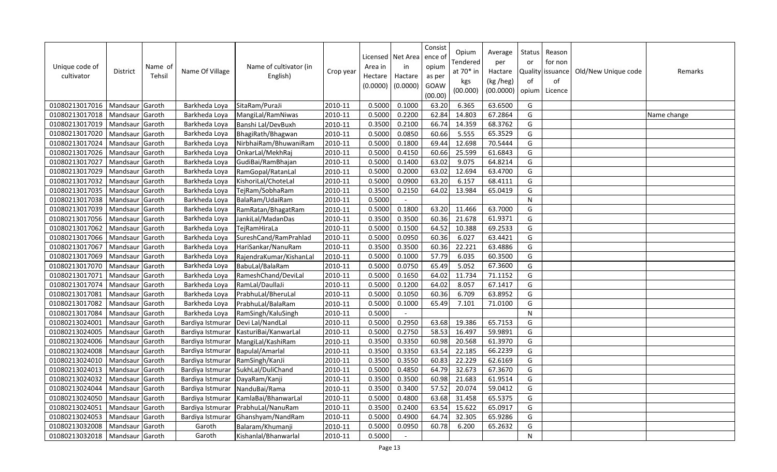| Unique code of<br>cultivator | <b>District</b> | Name of<br><b>Tehsil</b> | Name Of Village  | Name of cultivator (in<br>English) | Crop year | Area in<br>Hectare<br>(0.0000) | Licensed   Net Area<br>in<br>Hactare<br>(0.0000) | Consist<br>ence of<br>opium<br>as per<br>GOAW<br>(00.00) | Opium<br>Tendered<br>at 70* in<br>kgs<br>(00.000) | Average<br>per<br>Hactare<br>(kg /heg)<br>(00.0000) | <b>Status</b><br>or<br>of<br>opium | Reason<br>for non<br>Quality issuance<br>of<br>Licence | Old/New Unique code | Remarks     |
|------------------------------|-----------------|--------------------------|------------------|------------------------------------|-----------|--------------------------------|--------------------------------------------------|----------------------------------------------------------|---------------------------------------------------|-----------------------------------------------------|------------------------------------|--------------------------------------------------------|---------------------|-------------|
| 01080213017016               | Mandsaur        | Garoth                   | Barkheda Loya    | SitaRam/PuraJi                     | 2010-11   | 0.5000                         | 0.1000                                           | 63.20                                                    | 6.365                                             | 63.6500                                             | G                                  |                                                        |                     |             |
| 01080213017018               | Mandsaur        | Garoth                   | Barkheda Loya    | MangiLal/RamNiwas                  | 2010-11   | 0.5000                         | 0.2200                                           | 62.84                                                    | 14.803                                            | 67.2864                                             | G                                  |                                                        |                     | Name change |
| 01080213017019               | Mandsaur        | Garoth                   | Barkheda Loya    | Banshi Lal/DevBuxh                 | 2010-11   | 0.3500                         | 0.2100                                           | 66.74                                                    | 14.359                                            | 68.3762                                             | G                                  |                                                        |                     |             |
| 01080213017020               | Mandsaur        | Garoth                   | Barkheda Loya    | BhagiRath/Bhagwan                  | 2010-11   | 0.5000                         | 0.0850                                           | 60.66                                                    | 5.555                                             | 65.3529                                             | G                                  |                                                        |                     |             |
| 01080213017024               | Mandsaur        | Garoth                   | Barkheda Loya    | NirbhaiRam/BhuwaniRam              | 2010-11   | 0.5000                         | 0.1800                                           | 69.44                                                    | 12.698                                            | 70.5444                                             | G                                  |                                                        |                     |             |
| 01080213017026               | Mandsaur        | Garoth                   | Barkheda Loya    | OnkarLal/MekhRaj                   | 2010-11   | 0.5000                         | 0.4150                                           | 60.66                                                    | 25.599                                            | 61.6843                                             | G                                  |                                                        |                     |             |
| 01080213017027               | Mandsaur        | Garoth                   | Barkheda Loya    | GudiBai/RamBhajan                  | 2010-11   | 0.5000                         | 0.1400                                           | 63.02                                                    | 9.075                                             | 64.8214                                             | G                                  |                                                        |                     |             |
| 01080213017029               | Mandsaur        | Garoth                   | Barkheda Loya    | RamGopal/RatanLal                  | 2010-11   | 0.5000                         | 0.2000                                           | 63.02                                                    | 12.694                                            | 63.4700                                             | G                                  |                                                        |                     |             |
| 01080213017032               | Mandsaur        | Garoth                   | Barkheda Loya    | KishoriLal/ChoteLal                | 2010-11   | 0.5000                         | 0.0900                                           | 63.20                                                    | 6.157                                             | 68.4111                                             | G                                  |                                                        |                     |             |
| 01080213017035               | Mandsaur        | Garoth                   | Barkheda Loya    | TejRam/SobhaRam                    | 2010-11   | 0.3500                         | 0.2150                                           | 64.02                                                    | 13.984                                            | 65.0419                                             | G                                  |                                                        |                     |             |
| 01080213017038               | Mandsaur        | Garoth                   | Barkheda Loya    | BalaRam/UdaiRam                    | 2010-11   | 0.5000                         |                                                  |                                                          |                                                   |                                                     | N                                  |                                                        |                     |             |
| 01080213017039               | Mandsaur        | Garoth                   | Barkheda Loya    | RamRatan/BhagatRam                 | 2010-11   | 0.5000                         | 0.1800                                           | 63.20                                                    | 11.466                                            | 63.7000                                             | G                                  |                                                        |                     |             |
| 01080213017056               | Mandsaur        | Garoth                   | Barkheda Loya    | JankiLal/MadanDas                  | 2010-11   | 0.3500                         | 0.3500                                           | 60.36                                                    | 21.678                                            | 61.9371                                             | G                                  |                                                        |                     |             |
| 01080213017062               | Mandsaur        | Garoth                   | Barkheda Loya    | TejRamHiraLa                       | 2010-11   | 0.5000                         | 0.1500                                           | 64.52                                                    | 10.388                                            | 69.2533                                             | G                                  |                                                        |                     |             |
| 01080213017066               | Mandsaur        | Garoth                   | Barkheda Loya    | SureshCand/RamPrahlad              | 2010-11   | 0.5000                         | 0.0950                                           | 60.36                                                    | 6.027                                             | 63.4421                                             | G                                  |                                                        |                     |             |
| 01080213017067               | Mandsaur        | Garoth                   | Barkheda Loya    | HariSankar/NanuRam                 | 2010-11   | 0.3500                         | 0.3500                                           | 60.36                                                    | 22.221                                            | 63.4886                                             | G                                  |                                                        |                     |             |
| 01080213017069               | Mandsaur        | Garoth                   | Barkheda Loya    | RajendraKumar/KishanLal            | 2010-11   | 0.5000                         | 0.1000                                           | 57.79                                                    | 6.035                                             | 60.3500                                             | G                                  |                                                        |                     |             |
| 01080213017070               | Mandsaur        | Garoth                   | Barkheda Loya    | BabuLal/BalaRam                    | 2010-11   | 0.5000                         | 0.0750                                           | 65.49                                                    | 5.052                                             | 67.3600                                             | G                                  |                                                        |                     |             |
| 01080213017071               | Mandsaur        | Garoth                   | Barkheda Loya    | RameshChand/DeviLal                | 2010-11   | 0.5000                         | 0.1650                                           | 64.02                                                    | 11.734                                            | 71.1152                                             | G                                  |                                                        |                     |             |
| 01080213017074               | Mandsaur        | Garoth                   | Barkheda Loya    | RamLal/DaullaJi                    | 2010-11   | 0.5000                         | 0.1200                                           | 64.02                                                    | 8.057                                             | 67.1417                                             | G                                  |                                                        |                     |             |
| 01080213017081               | Mandsaur        | Garoth                   | Barkheda Loya    | PrabhuLal/BheruLal                 | 2010-11   | 0.5000                         | 0.1050                                           | 60.36                                                    | 6.709                                             | 63.8952                                             | G                                  |                                                        |                     |             |
| 01080213017082               | Mandsaur        | Garoth                   | Barkheda Loya    | PrabhuLal/BalaRam                  | 2010-11   | 0.5000                         | 0.1000                                           | 65.49                                                    | 7.101                                             | 71.0100                                             | G                                  |                                                        |                     |             |
| 01080213017084               | Mandsaur        | Garoth                   | Barkheda Loya    | RamSingh/KaluSingh                 | 2010-11   | 0.5000                         | $\overline{\phantom{a}}$                         |                                                          |                                                   |                                                     | $\mathsf{N}$                       |                                                        |                     |             |
| 01080213024001               | Mandsaur        | Garoth                   | Bardiya Istmurar | Devi Lal/NandLal                   | 2010-11   | 0.5000                         | 0.2950                                           | 63.68                                                    | 19.386                                            | 65.7153                                             | G                                  |                                                        |                     |             |
| 01080213024005               | Mandsaur        | Garoth                   | Bardiya Istmurar | KasturiBai/KanwarLal               | 2010-11   | 0.5000                         | 0.2750                                           | 58.53                                                    | 16.497                                            | 59.9891                                             | G                                  |                                                        |                     |             |
| 01080213024006               | Mandsaur        | Garoth                   | Bardiya Istmurar | MangiLal/KashiRam                  | 2010-11   | 0.3500                         | 0.3350                                           | 60.98                                                    | 20.568                                            | 61.3970                                             | G                                  |                                                        |                     |             |
| 01080213024008               | Mandsaur        | Garoth                   | Bardiya Istmurar | Bapulal/Amarlal                    | 2010-11   | 0.3500                         | 0.3350                                           | 63.54                                                    | 22.185                                            | 66.2239                                             | G                                  |                                                        |                     |             |
| 01080213024010               | Mandsaur        | Garoth                   | Bardiya Istmurar | RamSingh/KanJi                     | 2010-11   | 0.3500                         | 0.3550                                           | 60.83                                                    | 22.229                                            | 62.6169                                             | G                                  |                                                        |                     |             |
| 01080213024013               | Mandsaur        | Garoth                   | Bardiya Istmurar | SukhLal/DuliChand                  | 2010-11   | 0.5000                         | 0.4850                                           | 64.79                                                    | 32.673                                            | 67.3670                                             | G                                  |                                                        |                     |             |
| 01080213024032               | Mandsaur        | Garoth                   | Bardiya Istmurar | DayaRam/Kanji                      | 2010-11   | 0.3500                         | 0.3500                                           | 60.98                                                    | 21.683                                            | 61.9514                                             | G                                  |                                                        |                     |             |
| 01080213024044               | Mandsaur        | Garoth                   | Bardiya Istmurar | NanduBai/Rama                      | 2010-11   | 0.3500                         | 0.3400                                           | 57.52                                                    | 20.074                                            | 59.0412                                             | G                                  |                                                        |                     |             |
| 01080213024050               | Mandsaur        | Garoth                   | Bardiya Istmurar | KamlaBai/BhanwarLal                | 2010-11   | 0.5000                         | 0.4800                                           | 63.68                                                    | 31.458                                            | 65.5375                                             | G                                  |                                                        |                     |             |
| 01080213024051               | Mandsaur        | Garoth                   | Bardiya Istmurar | PrabhuLal/NanuRam                  | 2010-11   | 0.3500                         | 0.2400                                           | 63.54                                                    | 15.622                                            | 65.0917                                             | G                                  |                                                        |                     |             |
| 01080213024053               | Mandsaur        | Garoth                   | Bardiya Istmurar | Ghanshyam/NandRam                  | 2010-11   | 0.5000                         | 0.4900                                           | 64.74                                                    | 32.305                                            | 65.9286                                             | G                                  |                                                        |                     |             |
| 01080213032008               | Mandsaur        | Garoth                   | Garoth           | Balaram/Khumanji                   | 2010-11   | 0.5000                         | 0.0950                                           | 60.78                                                    | 6.200                                             | 65.2632                                             | G                                  |                                                        |                     |             |
| 01080213032018               | Mandsaur Garoth |                          | Garoth           | Kishanlal/Bhanwarlal               | 2010-11   | 0.5000                         | $\overline{\phantom{a}}$                         |                                                          |                                                   |                                                     | N                                  |                                                        |                     |             |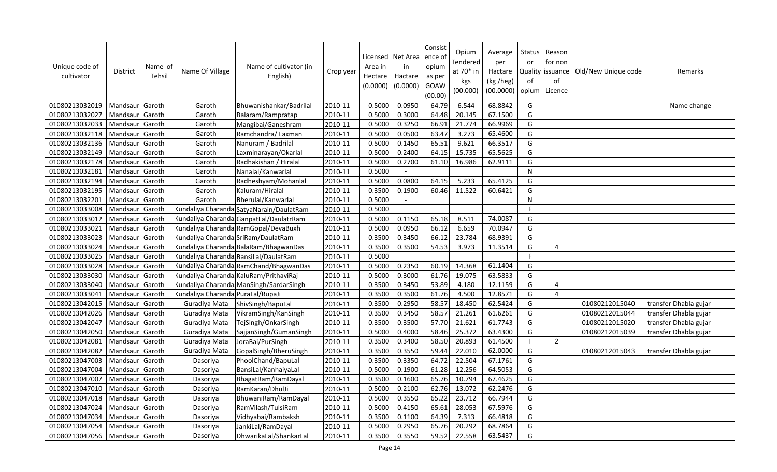| Unique code of<br>cultivator | District        | Name of<br>Tehsil | Name Of Village                                                                                                                                                                                         | Name of cultivator (in<br>English)       | Crop year | Area in<br>Hectare<br>(0.0000) | Licensed   Net Area<br>in<br>Hactare<br>(0.0000) | Consist<br>ence of<br>opium<br>as per<br>GOAW<br>(00.00) | Opium<br>Tendered<br>at 70* in<br>kgs<br>(00.000) | Average<br>per<br>Hactare<br>(kg /heg)<br>(00.0000) | Status<br>or<br><b>Quality</b><br>of<br>opium | Reason<br>for non<br>issuance<br>οf<br>Licence | Old/New Unique code | Remarks               |
|------------------------------|-----------------|-------------------|---------------------------------------------------------------------------------------------------------------------------------------------------------------------------------------------------------|------------------------------------------|-----------|--------------------------------|--------------------------------------------------|----------------------------------------------------------|---------------------------------------------------|-----------------------------------------------------|-----------------------------------------------|------------------------------------------------|---------------------|-----------------------|
| 01080213032019               | Mandsaur Garoth |                   | Garoth                                                                                                                                                                                                  | Bhuwanishankar/Badrilal                  | 2010-11   | 0.5000                         | 0.0950                                           | 64.79                                                    | 6.544                                             | 68.8842                                             | G                                             |                                                |                     | Name change           |
| 01080213032027               | Mandsaur        | Garoth            | Garoth                                                                                                                                                                                                  | Balaram/Rampratap                        | 2010-11   | 0.5000                         | 0.3000                                           | 64.48                                                    | 20.145                                            | 67.1500                                             | G                                             |                                                |                     |                       |
| 01080213032033               | Mandsaur        | Garoth            | Garoth                                                                                                                                                                                                  | Mangibai/Ganeshram                       | 2010-11   | 0.5000                         | 0.3250                                           | 66.91                                                    | 21.774                                            | 66.9969                                             | G                                             |                                                |                     |                       |
| 01080213032118               | Mandsaur        | Garoth            | Garoth                                                                                                                                                                                                  | Ramchandra/ Laxman                       | 2010-11   | 0.5000                         | 0.0500                                           | 63.47                                                    | 3.273                                             | 65.4600                                             | G                                             |                                                |                     |                       |
| 01080213032136               | Mandsaur        | Garoth            | Garoth                                                                                                                                                                                                  | Nanuram / Badrilal                       | 2010-11   | 0.5000                         | 0.1450                                           | 65.51                                                    | 9.621                                             | 66.3517                                             | G                                             |                                                |                     |                       |
| 01080213032149               | Mandsaur        | Garoth            | Garoth                                                                                                                                                                                                  | Laxminarayan/Okarlal                     | 2010-11   | 0.5000                         | 0.2400                                           | 64.15                                                    | 15.735                                            | 65.5625                                             | G                                             |                                                |                     |                       |
| 01080213032178               | Mandsaur        | Garoth            | Garoth                                                                                                                                                                                                  | Radhakishan / Hiralal                    | 2010-11   | 0.5000                         | 0.2700                                           | 61.10                                                    | 16.986                                            | 62.9111                                             | G                                             |                                                |                     |                       |
| 01080213032181               | Mandsaur        | Garoth            | Garoth                                                                                                                                                                                                  | Nanalal/Kanwarlal                        | 2010-11   | 0.5000                         |                                                  |                                                          |                                                   |                                                     | N                                             |                                                |                     |                       |
| 01080213032194               | Mandsaur        | Garoth            | Garoth                                                                                                                                                                                                  | Radheshyam/Mohanlal                      | 2010-11   | 0.5000                         | 0.0800                                           | 64.15                                                    | 5.233                                             | 65.4125                                             | G                                             |                                                |                     |                       |
| 01080213032195               | Mandsaur        | Garoth            | Garoth                                                                                                                                                                                                  | Kaluram/Hiralal                          | 2010-11   | 0.3500                         | 0.1900                                           | 60.46                                                    | 11.522                                            | 60.6421                                             | G                                             |                                                |                     |                       |
| 01080213032201               | Mandsaur        | Garoth            | Garoth                                                                                                                                                                                                  | Bherulal/Kanwarlal                       | 2010-11   | 0.5000                         |                                                  |                                                          |                                                   |                                                     | N                                             |                                                |                     |                       |
| 01080213033008               | Mandsaur        | Garoth            |                                                                                                                                                                                                         | kundaliya Charanda SatyaNarain/DaulatRam | 2010-11   | 0.5000                         |                                                  |                                                          |                                                   |                                                     | F                                             |                                                |                     |                       |
| 01080213033012               | Mandsaur        | Garoth            |                                                                                                                                                                                                         | kundaliya Charanda GanpatLal/DaulatrRam  | 2010-11   | 0.5000                         | 0.1150                                           | 65.18                                                    | 8.511                                             | 74.0087                                             | G                                             |                                                |                     |                       |
| 01080213033021               | Mandsaur        | Garoth            |                                                                                                                                                                                                         | Kundaliya Charanda RamGopal/DevaBuxh     | 2010-11   | 0.5000                         | 0.0950                                           | 66.12                                                    | 6.659                                             | 70.0947                                             | G                                             |                                                |                     |                       |
| 01080213033023               | Mandsaur        | Garoth            | kundaliya Charanda SriRam/DaulatRam                                                                                                                                                                     |                                          | 2010-11   | 0.3500                         | 0.3450                                           | 66.12                                                    | 23.784                                            | 68.9391                                             | G                                             |                                                |                     |                       |
| 01080213033024               | Mandsaur        | Garoth            |                                                                                                                                                                                                         | kundaliya Charanda BalaRam/BhagwanDas    | 2010-11   | 0.3500                         | 0.3500                                           | 54.53                                                    | 3.973                                             | 11.3514                                             | G                                             | 4                                              |                     |                       |
| 01080213033025               | Mandsaur        | Garoth            |                                                                                                                                                                                                         | kundaliya Charanda BansiLal/DaulatRam    | 2010-11   | 0.5000                         |                                                  |                                                          |                                                   |                                                     | E                                             |                                                |                     |                       |
| 01080213033028               | Mandsaur        | Garoth            |                                                                                                                                                                                                         | kundaliya Charanda RamChand/BhagwanDas   | 2010-11   | 0.5000                         | 0.2350                                           | 60.19                                                    | 14.368                                            | 61.1404                                             | G                                             |                                                |                     |                       |
| 01080213033030               | Mandsaur        | Garoth            |                                                                                                                                                                                                         | kundaliya Charanda KaluRam/PrithaviRaj   | 2010-11   | 0.5000                         | 0.3000                                           | 61.76                                                    | 19.075                                            | 63.5833                                             | G                                             |                                                |                     |                       |
| 01080213033040               | Mandsaur        | Garoth            |                                                                                                                                                                                                         | kundaliya Charanda: ManSingh/SardarSingh | 2010-11   | 0.3500                         | 0.3450                                           | 53.89                                                    | 4.180                                             | 12.1159                                             | G                                             | $\overline{4}$                                 |                     |                       |
| 01080213033041               | Mandsaur        | Garoth            | <undaliya charanda:="" puralal="" rupaji<="" td=""><td></td><td>2010-11</td><td>0.3500</td><td>0.3500</td><td>61.76</td><td>4.500</td><td>12.8571</td><td>G</td><td>4</td><td></td><td></td></undaliya> |                                          | 2010-11   | 0.3500                         | 0.3500                                           | 61.76                                                    | 4.500                                             | 12.8571                                             | G                                             | 4                                              |                     |                       |
| 01080213042015               | Mandsaur        | Garoth            | Guradiya Mata                                                                                                                                                                                           | ShivSingh/BapuLal                        | 2010-11   | 0.3500                         | 0.2950                                           | 58.57                                                    | 18.450                                            | 62.5424                                             | G                                             |                                                | 01080212015040      | transfer Dhabla gujar |
| 01080213042026               | Mandsaur        | Garoth            | Guradiya Mata                                                                                                                                                                                           | VikramSingh/KanSingh                     | 2010-11   | 0.3500                         | 0.3450                                           | 58.57                                                    | 21.261                                            | 61.6261                                             | G                                             |                                                | 01080212015044      | transfer Dhabla gujar |
| 01080213042047               | Mandsaur        | Garoth            | Guradiya Mata                                                                                                                                                                                           | TejSingh/OnkarSingh                      | 2010-11   | 0.3500                         | 0.3500                                           | 57.70                                                    | 21.621                                            | 61.7743                                             | G                                             |                                                | 01080212015020      | transfer Dhabla gujar |
| 01080213042050               | Mandsaur        | Garoth            | Guradiya Mata                                                                                                                                                                                           | SajjanSingh/GumanSingh                   | 2010-11   | 0.5000                         | 0.4000                                           | 58.46                                                    | 25.372                                            | 63.4300                                             | G                                             |                                                | 01080212015039      | transfer Dhabla gujar |
| 01080213042081               | Mandsaur        | Garoth            | Guradiya Mata                                                                                                                                                                                           | JoraBai/PurSingh                         | 2010-11   | 0.3500                         | 0.3400                                           | 58.50                                                    | 20.893                                            | 61.4500                                             |                                               | $\overline{2}$                                 |                     |                       |
| 01080213042082               | Mandsaur        | Garoth            | Guradiya Mata                                                                                                                                                                                           | GopalSingh/BheruSingh                    | 2010-11   | 0.3500                         | 0.3550                                           | 59.44                                                    | 22.010                                            | 62.0000                                             | G                                             |                                                | 01080212015043      | transfer Dhabla gujar |
| 01080213047003               | Mandsaur        | Garoth            | Dasoriya                                                                                                                                                                                                | PhoolChand/BapuLal                       | 2010-11   | 0.3500                         | 0.3350                                           | 64.72                                                    | 22.504                                            | 67.1761                                             | G                                             |                                                |                     |                       |
| 01080213047004               | Mandsaur        | Garoth            | Dasoriya                                                                                                                                                                                                | BansiLal/KanhaiyaLal                     | 2010-11   | 0.5000                         | 0.1900                                           | 61.28                                                    | 12.256                                            | 64.5053                                             | G                                             |                                                |                     |                       |
| 01080213047007               | Mandsaur        | Garoth            | Dasoriya                                                                                                                                                                                                | BhagatRam/RamDayal                       | 2010-11   | 0.3500                         | 0.1600                                           | 65.76                                                    | 10.794                                            | 67.4625                                             | G                                             |                                                |                     |                       |
| 01080213047010               | Mandsaur        | Garoth            | Dasoriya                                                                                                                                                                                                | RamKaran/DhulJi                          | 2010-11   | 0.5000                         | 0.2100                                           | 62.76                                                    | 13.072                                            | 62.2476                                             | G                                             |                                                |                     |                       |
| 01080213047018               | Mandsaur        | Garoth            | Dasoriya                                                                                                                                                                                                | BhuwaniRam/RamDayal                      | 2010-11   | 0.5000                         | 0.3550                                           | 65.22                                                    | 23.712                                            | 66.7944                                             | G                                             |                                                |                     |                       |
| 01080213047024               | Mandsaur        | Garoth            | Dasoriya                                                                                                                                                                                                | RamVilash/TulsiRam                       | 2010-11   | 0.5000                         | 0.4150                                           | 65.61                                                    | 28.053                                            | 67.5976                                             | G                                             |                                                |                     |                       |
| 01080213047034               | Mandsaur        | Garoth            | Dasoriya                                                                                                                                                                                                | Vidhyabai/Rambaksh                       | 2010-11   | 0.3500                         | 0.1100                                           | 64.39                                                    | 7.313                                             | 66.4818                                             | G                                             |                                                |                     |                       |
| 01080213047054               | Mandsaur        | Garoth            | Dasoriya                                                                                                                                                                                                | JankiLal/RamDayal                        | 2010-11   | 0.5000                         | 0.2950                                           | 65.76                                                    | 20.292                                            | 68.7864                                             | G                                             |                                                |                     |                       |
| 01080213047056               | Mandsaur Garoth |                   | Dasoriya                                                                                                                                                                                                | DhwarikaLal/ShankarLal                   | 2010-11   | 0.3500                         | 0.3550                                           | 59.52                                                    | 22.558                                            | 63.5437                                             | G                                             |                                                |                     |                       |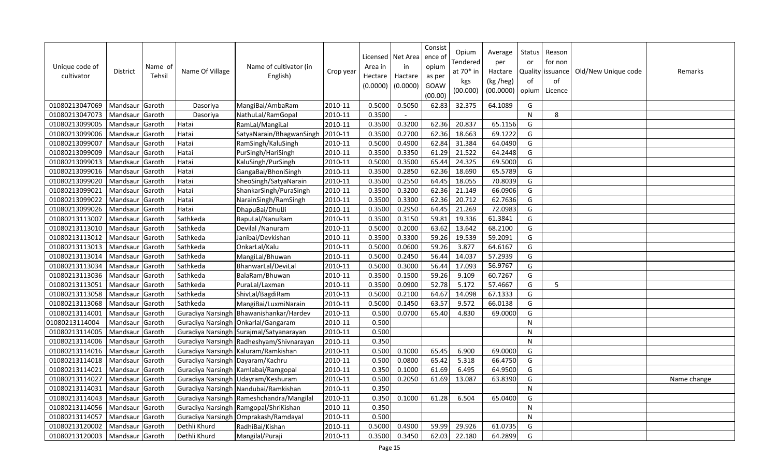| Unique code of<br>cultivator | <b>District</b> | Name of<br>Tehsil | Name Of Village                  | Name of cultivator (in<br>English)         | Crop year | Area in<br>Hectare<br>(0.0000) | Licensed   Net Area<br>in<br>Hactare<br>(0.0000) | Consist<br>ence of<br>opium<br>as per<br>GOAW<br>(00.00) | Opium<br>Tendered<br>at 70* in<br>kgs<br>(00.000) | Average<br>per<br>Hactare<br>(kg /heg)<br>(00.0000) | Status<br>or<br>of<br>opium | Reason<br>for non<br>Quality issuance<br>of<br>Licence | Old/New Unique code | Remarks     |
|------------------------------|-----------------|-------------------|----------------------------------|--------------------------------------------|-----------|--------------------------------|--------------------------------------------------|----------------------------------------------------------|---------------------------------------------------|-----------------------------------------------------|-----------------------------|--------------------------------------------------------|---------------------|-------------|
| 01080213047069               | Mandsaur Garoth |                   | Dasoriya                         | MangiBai/AmbaRam                           | 2010-11   | 0.5000                         | 0.5050                                           | 62.83                                                    | 32.375                                            | 64.1089                                             | G                           |                                                        |                     |             |
| 01080213047073               | Mandsaur        | Garoth            | Dasoriya                         | NathuLal/RamGopal                          | 2010-11   | 0.3500                         | $\overline{\phantom{a}}$                         |                                                          |                                                   |                                                     | N                           | 8                                                      |                     |             |
| 01080213099005               | Mandsaur        | Garoth            | Hatai                            | RamLal/MangiLal                            | 2010-11   | 0.3500                         | 0.3200                                           | 62.36                                                    | 20.837                                            | 65.1156                                             | G                           |                                                        |                     |             |
| 01080213099006               | Mandsaur        | Garoth            | Hatai                            | SatyaNarain/BhagwanSingh                   | 2010-11   | 0.3500                         | 0.2700                                           | 62.36                                                    | 18.663                                            | 69.1222                                             | G                           |                                                        |                     |             |
| 01080213099007               | Mandsaur        | Garoth            | Hatai                            | RamSingh/KaluSingh                         | 2010-11   | 0.5000                         | 0.4900                                           | 62.84                                                    | 31.384                                            | 64.0490                                             | G                           |                                                        |                     |             |
| 01080213099009               | Mandsaur        | Garoth            | Hatai                            | PurSingh/HariSingh                         | 2010-11   | 0.3500                         | 0.3350                                           | 61.29                                                    | 21.522                                            | 64.2448                                             | G                           |                                                        |                     |             |
| 01080213099013               | Mandsaur        | Garoth            | Hatai                            | KaluSingh/PurSingh                         | 2010-11   | 0.5000                         | 0.3500                                           | 65.44                                                    | 24.325                                            | 69.5000                                             | G                           |                                                        |                     |             |
| 01080213099016               | Mandsaur        | Garoth            | Hatai                            | GangaBai/BhoniSingh                        | 2010-11   | 0.3500                         | 0.2850                                           | 62.36                                                    | 18.690                                            | 65.5789                                             | G                           |                                                        |                     |             |
| 01080213099020               | Mandsaur        | Garoth            | Hatai                            | SheoSingh/SatyaNarain                      | 2010-11   | 0.3500                         | 0.2550                                           | 64.45                                                    | 18.055                                            | 70.8039                                             | G                           |                                                        |                     |             |
| 01080213099021               | Mandsaur        | Garoth            | Hatai                            | ShankarSingh/PuraSingh                     | 2010-11   | 0.3500                         | 0.3200                                           | 62.36                                                    | 21.149                                            | 66.0906                                             | G                           |                                                        |                     |             |
| 01080213099022               | Mandsaur        | Garoth            | Hatai                            | NarainSingh/RamSingh                       | 2010-11   | 0.3500                         | 0.3300                                           | 62.36                                                    | 20.712                                            | 62.7636                                             | G                           |                                                        |                     |             |
| 01080213099026               | Mandsaur        | Garoth            | Hatai                            | DhapuBai/DhulJi                            | 2010-11   | 0.3500                         | 0.2950                                           | 64.45                                                    | 21.269                                            | 72.0983                                             | G                           |                                                        |                     |             |
| 01080213113007               | Mandsaur        | Garoth            | Sathkeda                         | BapuLal/NanuRam                            | 2010-11   | 0.3500                         | 0.3150                                           | 59.81                                                    | 19.336                                            | 61.3841                                             | G                           |                                                        |                     |             |
| 01080213113010               | Mandsaur        | Garoth            | Sathkeda                         | Devilal / Nanuram                          | 2010-11   | 0.5000                         | 0.2000                                           | 63.62                                                    | 13.642                                            | 68.2100                                             | G                           |                                                        |                     |             |
| 01080213113012               | Mandsaur        | Garoth            | Sathkeda                         | Janibai/Devkishan                          | 2010-11   | 0.3500                         | 0.3300                                           | 59.26                                                    | 19.539                                            | 59.2091                                             | G                           |                                                        |                     |             |
| 01080213113013               | Mandsaur        | Garoth            | Sathkeda                         | OnkarLal/Kalu                              | 2010-11   | 0.5000                         | 0.0600                                           | 59.26                                                    | 3.877                                             | 64.6167                                             | G                           |                                                        |                     |             |
| 01080213113014               | Mandsaur        | Garoth            | Sathkeda                         | MangiLal/Bhuwan                            | 2010-11   | 0.5000                         | 0.2450                                           | 56.44                                                    | 14.037                                            | 57.2939                                             | G                           |                                                        |                     |             |
| 01080213113034               | Mandsaur        | Garoth            | Sathkeda                         | BhanwarLal/DeviLal                         | 2010-11   | 0.5000                         | 0.3000                                           | 56.44                                                    | 17.093                                            | 56.9767                                             | G                           |                                                        |                     |             |
| 01080213113036               | Mandsaur        | Garoth            | Sathkeda                         | BalaRam/Bhuwan                             | 2010-11   | 0.3500                         | 0.1500                                           | 59.26                                                    | 9.109                                             | 60.7267                                             | G                           |                                                        |                     |             |
| 01080213113051               | Mandsaur        | Garoth            | Sathkeda                         | PuraLal/Laxman                             | 2010-11   | 0.3500                         | 0.0900                                           | 52.78                                                    | 5.172                                             | 57.4667                                             | G                           | 5                                                      |                     |             |
| 01080213113058               | Mandsaur        | Garoth            | Sathkeda                         | ShivLal/BagdiRam                           | 2010-11   | 0.5000                         | 0.2100                                           | 64.67                                                    | 14.098                                            | 67.1333                                             | G                           |                                                        |                     |             |
| 01080213113068               | Mandsaur        | Garoth            | Sathkeda                         | MangiBai/LuxmiNarain                       | 2010-11   | 0.5000                         | 0.1450                                           | 63.57                                                    | 9.572                                             | 66.0138                                             | G                           |                                                        |                     |             |
| 01080213114001               | Mandsaur        | Garoth            |                                  | Guradiya Narsingh Bhawanishankar/Hardev    | 2010-11   | 0.500                          | 0.0700                                           | 65.40                                                    | 4.830                                             | 69.0000                                             | G                           |                                                        |                     |             |
| 01080213114004               | Mandsaur        | Garoth            |                                  | Guradiya Narsingh Onkarlal/Gangaram        | 2010-11   | 0.500                          |                                                  |                                                          |                                                   |                                                     | N                           |                                                        |                     |             |
| 01080213114005               | Mandsaur        | Garoth            |                                  | Guradiya Narsingh Surajmal/Satyanarayan    | 2010-11   | 0.500                          |                                                  |                                                          |                                                   |                                                     | $\mathsf{N}$                |                                                        |                     |             |
| 01080213114006               | Mandsaur        | Garoth            |                                  | Guradiya Narsingh Radheshyam/Shivnarayan   | 2010-11   | 0.350                          |                                                  |                                                          |                                                   |                                                     | N                           |                                                        |                     |             |
| 01080213114016               | Mandsaur        | Garoth            |                                  | Guradiya Narsingh   Kaluram/Ramkishan      | 2010-11   | 0.500                          | 0.1000                                           | 65.45                                                    | 6.900                                             | 69.0000                                             | G                           |                                                        |                     |             |
| 01080213114018               | Mandsaur        | Garoth            | Guradiya Narsingh Dayaram/Kachru |                                            | 2010-11   | 0.500                          | 0.0800                                           | 65.42                                                    | 5.318                                             | 66.4750                                             | G                           |                                                        |                     |             |
| 01080213114021               | Mandsaur        | Garoth            |                                  | Guradiya Narsingh Kamlabai/Ramgopal        | 2010-11   | 0.350                          | 0.1000                                           | 61.69                                                    | 6.495                                             | 64.9500                                             | G                           |                                                        |                     |             |
| 01080213114027               | Mandsaur        | Garoth            |                                  | Guradiya Narsingh Udayram/Keshuram         | 2010-11   | 0.500                          | 0.2050                                           | 61.69                                                    | 13.087                                            | 63.8390                                             | G                           |                                                        |                     | Name change |
| 01080213114031               | Mandsaur        | Garoth            |                                  | Guradiya Narsingh Nandubai/Ramkishan       | 2010-11   | 0.350                          |                                                  |                                                          |                                                   |                                                     | N                           |                                                        |                     |             |
| 01080213114043               | Mandsaur        | Garoth            |                                  | Guradiya Narsingh   Rameshchandra/Mangilal | 2010-11   | 0.350                          | 0.1000                                           | 61.28                                                    | 6.504                                             | 65.0400                                             | G                           |                                                        |                     |             |
| 01080213114056               | Mandsaur        | Garoth            |                                  | Guradiya Narsingh Ramgopal/ShriKishan      | 2010-11   | 0.350                          |                                                  |                                                          |                                                   |                                                     | $\mathsf{N}$                |                                                        |                     |             |
| 01080213114057               | Mandsaur        | Garoth            |                                  | Guradiya Narsingh Omprakash/Ramdayal       | 2010-11   | 0.500                          |                                                  |                                                          |                                                   |                                                     | N                           |                                                        |                     |             |
| 01080213120002               | Mandsaur        | Garoth            | Dethli Khurd                     | RadhiBai/Kishan                            | 2010-11   | 0.5000                         | 0.4900                                           | 59.99                                                    | 29.926                                            | 61.0735                                             | G                           |                                                        |                     |             |
| 01080213120003               | Mandsaur Garoth |                   | Dethli Khurd                     | Mangilal/Puraji                            | 2010-11   | 0.3500                         | 0.3450                                           | 62.03                                                    | 22.180                                            | 64.2899                                             | G                           |                                                        |                     |             |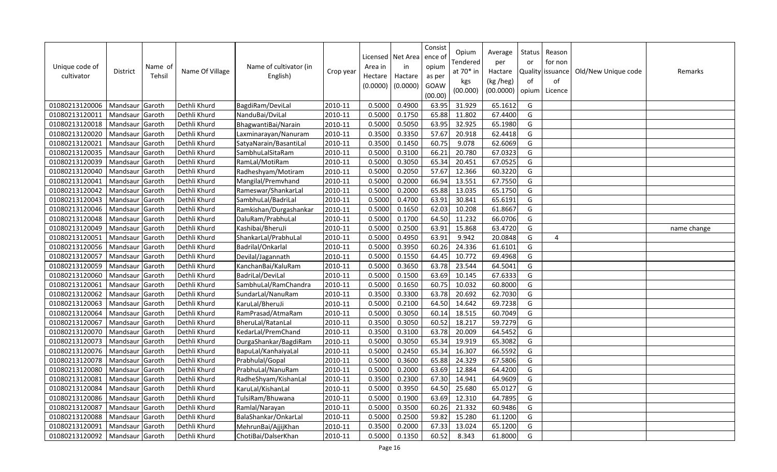| Unique code of<br>cultivator | District        | Name of<br>Tehsil | Name Of Village | Name of cultivator (in<br>English) | Crop year | Area in<br>Hectare<br>(0.0000) | Licensed   Net Area<br>in<br>Hactare<br>(0.0000) | Consist<br>ence of<br>opium<br>as per<br>GOAW<br>(00.00) | Opium<br>Tendered<br>at 70* in<br>kgs<br>(00.000) | Average<br>per<br>Hactare<br>(kg /heg)<br>(00.0000) | Status<br>or<br><b>Quality</b><br>of<br>opium | Reason<br>for non<br>issuance<br>of<br>Licence | Old/New Unique code | Remarks     |
|------------------------------|-----------------|-------------------|-----------------|------------------------------------|-----------|--------------------------------|--------------------------------------------------|----------------------------------------------------------|---------------------------------------------------|-----------------------------------------------------|-----------------------------------------------|------------------------------------------------|---------------------|-------------|
| 01080213120006               | Mandsaur Garoth |                   | Dethli Khurd    | BagdiRam/DeviLal                   | 2010-11   | 0.5000                         | 0.4900                                           | 63.95                                                    | 31.929                                            | 65.1612                                             | G                                             |                                                |                     |             |
| 01080213120011               | Mandsaur        | Garoth            | Dethli Khurd    | NanduBai/DviLal                    | 2010-11   | 0.5000                         | 0.1750                                           | 65.88                                                    | 11.802                                            | 67.4400                                             | G                                             |                                                |                     |             |
| 01080213120018               | Mandsaur        | Garoth            | Dethli Khurd    | BhagwantiBai/Narain                | 2010-11   | 0.5000                         | 0.5050                                           | 63.95                                                    | 32.925                                            | 65.1980                                             | G                                             |                                                |                     |             |
| 01080213120020               | Mandsaur        | Garoth            | Dethli Khurd    | Laxminarayan/Nanuram               | 2010-11   | 0.3500                         | 0.3350                                           | 57.67                                                    | 20.918                                            | 62.4418                                             | G                                             |                                                |                     |             |
| 01080213120021               | Mandsaur        | Garoth            | Dethli Khurd    | Satya Narain/Basanti Lal           | 2010-11   | 0.3500                         | 0.1450                                           | 60.75                                                    | 9.078                                             | 62.6069                                             | G                                             |                                                |                     |             |
| 01080213120035               | Mandsaur        | Garoth            | Dethli Khurd    | SambhuLalSitaRam                   | 2010-11   | 0.5000                         | 0.3100                                           | 66.21                                                    | 20.780                                            | 67.0323                                             | G                                             |                                                |                     |             |
| 01080213120039               | Mandsaur        | Garoth            | Dethli Khurd    | RamLal/MotiRam                     | 2010-11   | 0.5000                         | 0.3050                                           | 65.34                                                    | 20.451                                            | 67.0525                                             | G                                             |                                                |                     |             |
| 01080213120040               | Mandsaur        | Garoth            | Dethli Khurd    | Radheshyam/Motiram                 | 2010-11   | 0.5000                         | 0.2050                                           | 57.67                                                    | 12.366                                            | 60.3220                                             | G                                             |                                                |                     |             |
| 01080213120041               | Mandsaur        | Garoth            | Dethli Khurd    | Mangilal/Premvhand                 | 2010-11   | 0.5000                         | 0.2000                                           | 66.94                                                    | 13.551                                            | 67.7550                                             | G                                             |                                                |                     |             |
| 01080213120042               | Mandsaur        | Garoth            | Dethli Khurd    | Rameswar/ShankarLal                | 2010-11   | 0.5000                         | 0.2000                                           | 65.88                                                    | 13.035                                            | 65.1750                                             | G                                             |                                                |                     |             |
| 01080213120043               | Mandsaur        | Garoth            | Dethli Khurd    | SambhuLal/BadriLal                 | 2010-11   | 0.5000                         | 0.4700                                           | 63.91                                                    | 30.841                                            | 65.6191                                             | G                                             |                                                |                     |             |
| 01080213120046               | Mandsaur        | Garoth            | Dethli Khurd    | Ramkishan/Durgashankar             | 2010-11   | 0.5000                         | 0.1650                                           | 62.03                                                    | 10.208                                            | 61.8667                                             | G                                             |                                                |                     |             |
| 01080213120048               | Mandsaur        | Garoth            | Dethli Khurd    | DaluRam/PrabhuLal                  | 2010-11   | 0.5000                         | 0.1700                                           | 64.50                                                    | 11.232                                            | 66.0706                                             | G                                             |                                                |                     |             |
| 01080213120049               | Mandsaur        | Garoth            | Dethli Khurd    | Kashibai/BheruJi                   | 2010-11   | 0.5000                         | 0.2500                                           | 63.91                                                    | 15.868                                            | 63.4720                                             | G                                             |                                                |                     | name change |
| 01080213120051               | Mandsaur Garoth |                   | Dethli Khurd    | ShankarLal/PrabhuLal               | 2010-11   | 0.5000                         | 0.4950                                           | 63.91                                                    | 9.942                                             | 20.0848                                             | G                                             | 4                                              |                     |             |
| 01080213120056               | Mandsaur        | Garoth            | Dethli Khurd    | Badrilal/Onkarlal                  | 2010-11   | 0.5000                         | 0.3950                                           | 60.26                                                    | 24.336                                            | 61.6101                                             | G                                             |                                                |                     |             |
| 01080213120057               | Mandsaur        | Garoth            | Dethli Khurd    | Devilal/Jagannath                  | 2010-11   | 0.5000                         | 0.1550                                           | 64.45                                                    | 10.772                                            | 69.4968                                             | G                                             |                                                |                     |             |
| 01080213120059               | Mandsaur        | Garoth            | Dethli Khurd    | KanchanBai/KaluRam                 | 2010-11   | 0.5000                         | 0.3650                                           | 63.78                                                    | 23.544                                            | 64.5041                                             | G                                             |                                                |                     |             |
| 01080213120060               | Mandsaur        | Garoth            | Dethli Khurd    | BadriLal/DeviLal                   | 2010-11   | 0.5000                         | 0.1500                                           | 63.69                                                    | 10.145                                            | 67.6333                                             | G                                             |                                                |                     |             |
| 01080213120061               | Mandsaur        | Garoth            | Dethli Khurd    | SambhuLal/RamChandra               | 2010-11   | 0.5000                         | 0.1650                                           | 60.75                                                    | 10.032                                            | 60.8000                                             | G                                             |                                                |                     |             |
| 01080213120062               | Mandsaur        | Garoth            | Dethli Khurd    | SundarLal/NanuRam                  | 2010-11   | 0.3500                         | 0.3300                                           | 63.78                                                    | 20.692                                            | 62.7030                                             | G                                             |                                                |                     |             |
| 01080213120063               | Mandsaur        | Garoth            | Dethli Khurd    | KaruLal/BheruJi                    | 2010-11   | 0.5000                         | 0.2100                                           | 64.50                                                    | 14.642                                            | 69.7238                                             | G                                             |                                                |                     |             |
| 01080213120064               | Mandsaur        | Garoth            | Dethli Khurd    | RamPrasad/AtmaRam                  | 2010-11   | 0.5000                         | 0.3050                                           | 60.14                                                    | 18.515                                            | 60.7049                                             | G                                             |                                                |                     |             |
| 01080213120067               | Mandsaur        | Garoth            | Dethli Khurd    | BheruLal/RatanLal                  | 2010-11   | 0.3500                         | 0.3050                                           | 60.52                                                    | 18.217                                            | 59.7279                                             | G                                             |                                                |                     |             |
| 01080213120070               | Mandsaur        | Garoth            | Dethli Khurd    | KedarLal/PremChand                 | 2010-11   | 0.3500                         | 0.3100                                           | 63.78                                                    | 20.009                                            | 64.5452                                             | G                                             |                                                |                     |             |
| 01080213120073               | Mandsaur        | Garoth            | Dethli Khurd    | DurgaShankar/BagdiRam              | 2010-11   | 0.5000                         | 0.3050                                           | 65.34                                                    | 19.919                                            | 65.3082                                             | G                                             |                                                |                     |             |
| 01080213120076               | Mandsaur        | Garoth            | Dethli Khurd    | BapuLal/KanhaiyaLal                | 2010-11   | 0.5000                         | 0.2450                                           | 65.34                                                    | 16.307                                            | 66.5592                                             | G                                             |                                                |                     |             |
| 01080213120078               | Mandsaur        | Garoth            | Dethli Khurd    | Prabhulal/Gopal                    | 2010-11   | 0.5000                         | 0.3600                                           | 65.88                                                    | 24.329                                            | 67.5806                                             | G                                             |                                                |                     |             |
| 01080213120080               | Mandsaur        | Garoth            | Dethli Khurd    | PrabhuLal/NanuRam                  | 2010-11   | 0.5000                         | 0.2000                                           | 63.69                                                    | 12.884                                            | 64.4200                                             | G                                             |                                                |                     |             |
| 01080213120081               | Mandsaur        | Garoth            | Dethli Khurd    | RadheShyam/KishanLal               | 2010-11   | 0.3500                         | 0.2300                                           | 67.30                                                    | 14.941                                            | 64.9609                                             | G                                             |                                                |                     |             |
| 01080213120084               | Mandsaur        | Garoth            | Dethli Khurd    | KaruLal/KishanLal                  | 2010-11   | 0.5000                         | 0.3950                                           | 64.50                                                    | 25.680                                            | 65.0127                                             | G                                             |                                                |                     |             |
| 01080213120086               | Mandsaur        | Garoth            | Dethli Khurd    | TulsiRam/Bhuwana                   | 2010-11   | 0.5000                         | 0.1900                                           | 63.69                                                    | 12.310                                            | 64.7895                                             | G                                             |                                                |                     |             |
| 01080213120087               | Mandsaur        | Garoth            | Dethli Khurd    | Ramlal/Narayan                     | 2010-11   | 0.5000                         | 0.3500                                           | 60.26                                                    | 21.332                                            | 60.9486                                             | G                                             |                                                |                     |             |
| 01080213120088               | Mandsaur        | Garoth            | Dethli Khurd    | BalaShankar/OnkarLal               | 2010-11   | 0.5000                         | 0.2500                                           | 59.82                                                    | 15.280                                            | 61.1200                                             | G                                             |                                                |                     |             |
| 01080213120091               | Mandsaur        | Garoth            | Dethli Khurd    | MehrunBai/AjjijKhan                | 2010-11   | 0.3500                         | 0.2000                                           | 67.33                                                    | 13.024                                            | 65.1200                                             | G                                             |                                                |                     |             |
| 01080213120092               | Mandsaur Garoth |                   | Dethli Khurd    | ChotiBai/DalserKhan                | 2010-11   | 0.5000                         | 0.1350                                           | 60.52                                                    | 8.343                                             | 61.8000                                             | G                                             |                                                |                     |             |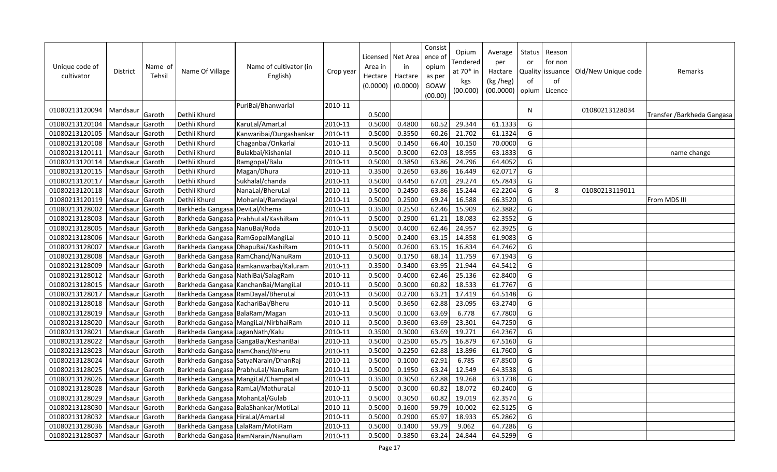| Unique code of<br>cultivator | District        | Name of<br>Tehsil | Name Of Village                  | Name of cultivator (in<br>English)   | Crop year | Area in<br>Hectare<br>(0.0000) | Licensed   Net Area  <br>in<br>Hactare<br>(0.0000) | Consist<br>ence o<br>opium<br>as per<br>GOAW<br>(00.00) | Opium<br>Tendered<br>at 70* in<br>kgs<br>(00.000) | Average<br>per<br>Hactare<br>(kg /heg)<br>(00.0000) | <b>Status</b><br>or<br>of<br>opium | Reason<br>for non<br>Quality issuance<br>of<br>Licence | Old/New Unique code | Remarks                     |
|------------------------------|-----------------|-------------------|----------------------------------|--------------------------------------|-----------|--------------------------------|----------------------------------------------------|---------------------------------------------------------|---------------------------------------------------|-----------------------------------------------------|------------------------------------|--------------------------------------------------------|---------------------|-----------------------------|
| 01080213120094               | Mandsaur        | Garoth            | Dethli Khurd                     | PuriBai/Bhanwarlal                   | 2010-11   | 0.5000                         |                                                    |                                                         |                                                   |                                                     | N.                                 |                                                        | 01080213128034      | Transfer / Barkheda Gangasa |
| 01080213120104               | Mandsaur        | Garoth            | Dethli Khurd                     | KaruLal/AmarLal                      | 2010-11   | 0.5000                         | 0.4800                                             | 60.52                                                   | 29.344                                            | 61.1333                                             | G                                  |                                                        |                     |                             |
| 01080213120105               | Mandsaur        | Garoth            | Dethli Khurd                     | Kanwaribai/Durgashankar              | 2010-11   | 0.5000                         | 0.3550                                             | 60.26                                                   | 21.702                                            | 61.1324                                             | G                                  |                                                        |                     |                             |
| 01080213120108               | Mandsaur        | Garoth            | Dethli Khurd                     | Chaganbai/Onkarlal                   | 2010-11   | 0.5000                         | 0.1450                                             | 66.40                                                   | 10.150                                            | 70.0000                                             | G                                  |                                                        |                     |                             |
| 01080213120111               | Mandsaur        | Garoth            | Dethli Khurd                     | Bulakbai/Kishanlal                   | 2010-11   | 0.5000                         | 0.3000                                             | 62.03                                                   | 18.955                                            | 63.1833                                             | G                                  |                                                        |                     | name change                 |
| 01080213120114               | Mandsaur        | Garoth            | Dethli Khurd                     | Ramgopal/Balu                        | 2010-11   | 0.5000                         | 0.3850                                             | 63.86                                                   | 24.796                                            | 64.4052                                             | G                                  |                                                        |                     |                             |
| 01080213120115               | Mandsaur        | Garoth            | Dethli Khurd                     | Magan/Dhura                          | 2010-11   | 0.3500                         | 0.2650                                             | 63.86                                                   | 16.449                                            | 62.0717                                             | G                                  |                                                        |                     |                             |
| 01080213120117               | Mandsaur        | Garoth            | Dethli Khurd                     | Sukhalal/chanda                      | 2010-11   | 0.5000                         | 0.4450                                             | 67.01                                                   | 29.274                                            | 65.7843                                             | G                                  |                                                        |                     |                             |
| 01080213120118               | Mandsaur        | Garoth            | Dethli Khurd                     | NanaLal/BheruLal                     | 2010-11   | 0.5000                         | 0.2450                                             | 63.86                                                   | 15.244                                            | 62.2204                                             | G                                  | 8                                                      | 01080213119011      |                             |
| 01080213120119               | Mandsaur        | Garoth            | Dethli Khurd                     | Mohanlal/Ramdayal                    | 2010-11   | 0.5000                         | 0.2500                                             | 69.24                                                   | 16.588                                            | 66.3520                                             | G                                  |                                                        |                     | From MDS III                |
| 01080213128002               | Mandsaur        | Garoth            | Barkheda Gangasa DeviLal/Khema   |                                      | 2010-11   | 0.3500                         | 0.2550                                             | 62.46                                                   | 15.909                                            | 62.3882                                             | G                                  |                                                        |                     |                             |
| 01080213128003               | Mandsaur        | Garoth            |                                  | Barkheda Gangasa PrabhuLal/KashiRam  | 2010-11   | 0.5000                         | 0.2900                                             | 61.21                                                   | 18.083                                            | 62.3552                                             | G                                  |                                                        |                     |                             |
| 01080213128005               | Mandsaur        | Garoth            | Barkheda Gangasa NanuBai/Roda    |                                      | 2010-11   | 0.5000                         | 0.4000                                             | 62.46                                                   | 24.957                                            | 62.3925                                             | G                                  |                                                        |                     |                             |
| 01080213128006               | Mandsaur        | Garoth            |                                  | Barkheda Gangasa RamGopalMangiLal    | 2010-11   | 0.5000                         | 0.2400                                             | 63.15                                                   | 14.858                                            | 61.9083                                             | G                                  |                                                        |                     |                             |
| 01080213128007               | Mandsaur        | Garoth            |                                  | Barkheda Gangasa DhapuBai/KashiRam   | 2010-11   | 0.5000                         | 0.2600                                             | 63.15                                                   | 16.834                                            | 64.7462                                             | G                                  |                                                        |                     |                             |
| 01080213128008               | Mandsaur        | Garoth            | Barkheda Gangasa                 | RamChand/NanuRam                     | 2010-11   | 0.5000                         | 0.1750                                             | 68.14                                                   | 11.759                                            | 67.1943                                             | G                                  |                                                        |                     |                             |
| 01080213128009               | Mandsaur        | Garoth            | Barkheda Gangasa                 | Ramkanwarbai/Kaluram                 | 2010-11   | 0.3500                         | 0.3400                                             | 63.95                                                   | 21.944                                            | 64.5412                                             | G                                  |                                                        |                     |                             |
| 01080213128012               | Mandsaur Garoth |                   | Barkheda Gangasa                 | NathiBai/SalagRam                    | 2010-11   | 0.5000                         | 0.4000                                             | 62.46                                                   | 25.136                                            | 62.8400                                             | G                                  |                                                        |                     |                             |
| 01080213128015               | Mandsaur        | Garoth            | Barkheda Gangasa                 | KanchanBai/MangiLal                  | 2010-11   | 0.5000                         | 0.3000                                             | 60.82                                                   | 18.533                                            | 61.7767                                             | G                                  |                                                        |                     |                             |
| 01080213128017               | Mandsaur        | Garoth            | Barkheda Gangasa                 | RamDayal/BheruLal                    | 2010-11   | 0.5000                         | 0.2700                                             | 63.21                                                   | 17.419                                            | 64.5148                                             | G                                  |                                                        |                     |                             |
| 01080213128018               | Mandsaur        | Garoth            | Barkheda Gangasa                 | KachariBai/Bheru                     | 2010-11   | 0.5000                         | 0.3650                                             | 62.88                                                   | 23.095                                            | 63.2740                                             | G                                  |                                                        |                     |                             |
| 01080213128019               | Mandsaur        | Garoth            | Barkheda Gangasa BalaRam/Magan   |                                      | 2010-11   | 0.5000                         | 0.1000                                             | 63.69                                                   | 6.778                                             | 67.7800                                             | G                                  |                                                        |                     |                             |
| 01080213128020               | Mandsaur        | Garoth            |                                  | Barkheda Gangasa MangiLal/NirbhaiRam | 2010-11   | 0.5000                         | 0.3600                                             | 63.69                                                   | 23.301                                            | 64.7250                                             | G                                  |                                                        |                     |                             |
| 01080213128021               | Mandsaur        | Garoth            | Barkheda Gangasa JaganNath/Kalu  |                                      | 2010-11   | 0.3500                         | 0.3000                                             | 63.69                                                   | 19.271                                            | 64.2367                                             | G                                  |                                                        |                     |                             |
| 01080213128022               | Mandsaur        | Garoth            |                                  | Barkheda Gangasa GangaBai/KeshariBai | 2010-11   | 0.5000                         | 0.2500                                             | 65.75                                                   | 16.879                                            | 67.5160                                             | G                                  |                                                        |                     |                             |
| 01080213128023               | Mandsaur        | Garoth            | Barkheda Gangasa RamChand/Bheru  |                                      | 2010-11   | 0.5000                         | 0.2250                                             | 62.88                                                   | 13.896                                            | 61.7600                                             | G                                  |                                                        |                     |                             |
| 01080213128024               | Mandsaur        | Garoth            |                                  | Barkheda Gangasa SatyaNarain/DhanRaj | 2010-11   | 0.5000                         | 0.1000                                             | 62.91                                                   | 6.785                                             | 67.8500                                             | G                                  |                                                        |                     |                             |
| 01080213128025               | Mandsaur        | Garoth            |                                  | Barkheda Gangasa PrabhuLal/NanuRam   | 2010-11   | 0.5000                         | 0.1950                                             | 63.24                                                   | 12.549                                            | 64.3538                                             | G                                  |                                                        |                     |                             |
| 01080213128026               | Mandsaur        | Garoth            |                                  | Barkheda Gangasa MangiLal/ChampaLal  | 2010-11   | 0.3500                         | 0.3050                                             | 62.88                                                   | 19.268                                            | 63.1738                                             | G                                  |                                                        |                     |                             |
| 01080213128028               | Mandsaur        | Garoth            |                                  | Barkheda Gangasa RamLal/MathuraLal   | 2010-11   | 0.5000                         | 0.3000                                             | 60.82                                                   | 18.072                                            | 60.2400                                             | G                                  |                                                        |                     |                             |
| 01080213128029               | Mandsaur        | Garoth            | Barkheda Gangasa MohanLal/Gulab  |                                      | 2010-11   | 0.5000                         | 0.3050                                             | 60.82                                                   | 19.019                                            | 62.3574                                             | G                                  |                                                        |                     |                             |
| 01080213128030               | Mandsaur        | Garoth            |                                  | Barkheda Gangasa BalaShankar/MotiLal | 2010-11   | 0.5000                         | 0.1600                                             | 59.79                                                   | 10.002                                            | 62.5125                                             | G                                  |                                                        |                     |                             |
| 01080213128032               | Mandsaur        | Garoth            | Barkheda Gangasa HiraLal/AmarLal |                                      | 2010-11   | 0.5000                         | 0.2900                                             | 65.97                                                   | 18.933                                            | 65.2862                                             | G                                  |                                                        |                     |                             |
| 01080213128036               | Mandsaur        | Garoth            | Barkheda Gangasa LalaRam/MotiRam |                                      | 2010-11   | 0.5000                         | 0.1400                                             | 59.79                                                   | 9.062                                             | 64.7286                                             | G                                  |                                                        |                     |                             |
| 01080213128037               | Mandsaur Garoth |                   |                                  | Barkheda Gangasa RamNarain/NanuRam   | 2010-11   | 0.5000                         | 0.3850                                             | 63.24                                                   | 24.844                                            | 64.5299                                             | G                                  |                                                        |                     |                             |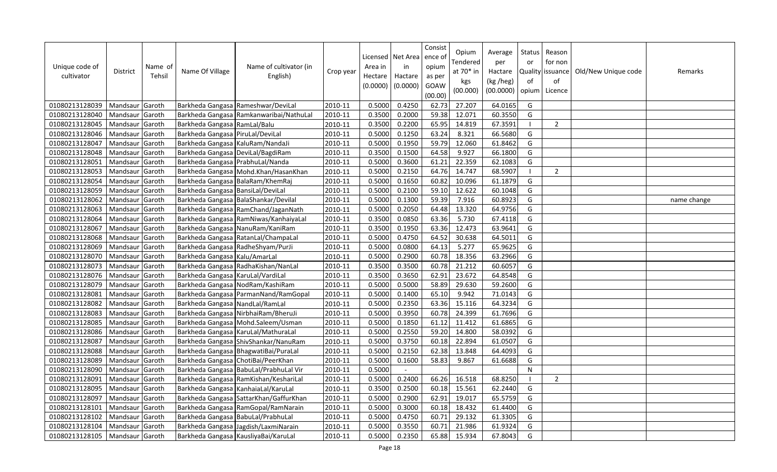| Unique code of<br>cultivator | <b>District</b> | Name of<br>Tehsil | Name Of Village                     | Name of cultivator (in<br>English)       | Crop year | Area in<br>Hectare<br>(0.0000) | Licensed   Net Area<br>in<br>Hactare<br>(0.0000) | Consist<br>ence of<br>opium<br>as per<br>GOAW<br>(00.00) | Opium<br>Tendered<br>at 70* in<br>kgs<br>(00.000) | Average<br>per<br>Hactare<br>(kg /heg)<br>(00.0000) | Status<br>or<br>of<br>opium | Reason<br>for non<br>Quality issuance<br>of<br>Licence | Old/New Unique code | Remarks     |
|------------------------------|-----------------|-------------------|-------------------------------------|------------------------------------------|-----------|--------------------------------|--------------------------------------------------|----------------------------------------------------------|---------------------------------------------------|-----------------------------------------------------|-----------------------------|--------------------------------------------------------|---------------------|-------------|
| 01080213128039               | Mandsaur Garoth |                   |                                     | Barkheda Gangasa Rameshwar/DeviLal       | 2010-11   | 0.5000                         | 0.4250                                           | 62.73                                                    | 27.207                                            | 64.0165                                             | G                           |                                                        |                     |             |
| 01080213128040               | Mandsaur        | Garoth            |                                     | Barkheda Gangasa Ramkanwaribai/NathuLal  | 2010-11   | 0.3500                         | 0.2000                                           | 59.38                                                    | 12.071                                            | 60.3550                                             | G                           |                                                        |                     |             |
| 01080213128045               | Mandsaur        | Garoth            | Barkheda Gangasa RamLal/Balu        |                                          | 2010-11   | 0.3500                         | 0.2200                                           | 65.95                                                    | 14.819                                            | 67.3591                                             |                             | $\overline{2}$                                         |                     |             |
| 01080213128046               | Mandsaur        | Garoth            | Barkheda Gangasa PiruLal/DeviLal    |                                          | 2010-11   | 0.5000                         | 0.1250                                           | 63.24                                                    | 8.321                                             | 66.5680                                             | G                           |                                                        |                     |             |
| 01080213128047               | Mandsaur Garoth |                   | Barkheda Gangasa KaluRam/NandaJi    |                                          | 2010-11   | 0.5000                         | 0.1950                                           | 59.79                                                    | 12.060                                            | 61.8462                                             | G                           |                                                        |                     |             |
| 01080213128048               | Mandsaur Garoth |                   | Barkheda Gangasa DeviLal/BagdiRam   |                                          | 2010-11   | 0.3500                         | 0.1500                                           | 64.58                                                    | 9.927                                             | 66.1800                                             | G                           |                                                        |                     |             |
| 01080213128051               | Mandsaur Garoth |                   | Barkheda Gangasa PrabhuLal/Nanda    |                                          | 2010-11   | 0.5000                         | 0.3600                                           | 61.21                                                    | 22.359                                            | 62.1083                                             | G                           |                                                        |                     |             |
| 01080213128053               | Mandsaur Garoth |                   |                                     | Barkheda Gangasa Mohd.Khan/HasanKhan     | 2010-11   | 0.5000                         | 0.2150                                           | 64.76                                                    | 14.747                                            | 68.5907                                             |                             | $\overline{2}$                                         |                     |             |
| 01080213128054               | Mandsaur        | Garoth            | Barkheda Gangasa BalaRam/KhemRaj    |                                          | 2010-11   | 0.5000                         | 0.1650                                           | 60.82                                                    | 10.096                                            | 61.1879                                             | G                           |                                                        |                     |             |
| 01080213128059               | Mandsaur        | Garoth            | Barkheda Gangasa BansiLal/DeviLal   |                                          | 2010-11   | 0.5000                         | 0.2100                                           | 59.10                                                    | 12.622                                            | 60.1048                                             | G                           |                                                        |                     |             |
| 01080213128062               | Mandsaur        | Garoth            |                                     | Barkheda Gangasa BalaShankar/Devilal     | 2010-11   | 0.5000                         | 0.1300                                           | 59.39                                                    | 7.916                                             | 60.8923                                             | G                           |                                                        |                     | name change |
| 01080213128063               | Mandsaur        | Garoth            |                                     | Barkheda Gangasa RamChand/JaganNath      | 2010-11   | 0.5000                         | 0.2050                                           | 64.48                                                    | 13.320                                            | 64.9756                                             | G                           |                                                        |                     |             |
| 01080213128064               | Mandsaur        | Garoth            |                                     | Barkheda Gangasa RamNiwas/KanhaiyaLal    | 2010-11   | 0.3500                         | 0.0850                                           | 63.36                                                    | 5.730                                             | 67.4118                                             | G                           |                                                        |                     |             |
| 01080213128067               | Mandsaur        | Garoth            |                                     | Barkheda Gangasa NanuRam/KaniRam         | 2010-11   | 0.3500                         | 0.1950                                           | 63.36                                                    | 12.473                                            | 63.9641                                             | G                           |                                                        |                     |             |
| 01080213128068               | Mandsaur Garoth |                   |                                     | Barkheda Gangasa RatanLal/ChampaLal      | 2010-11   | 0.5000                         | 0.4750                                           | 64.52                                                    | 30.638                                            | 64.5011                                             | G                           |                                                        |                     |             |
| 01080213128069               | Mandsaur        | Garoth            | Barkheda Gangasa RadheShyam/PurJi   |                                          | 2010-11   | 0.5000                         | 0.0800                                           | 64.13                                                    | 5.277                                             | 65.9625                                             | G                           |                                                        |                     |             |
| 01080213128070               | Mandsaur        | Garoth            | Barkheda Gangasa Kalu/AmarLal       |                                          | 2010-11   | 0.5000                         | 0.2900                                           | 60.78                                                    | 18.356                                            | 63.2966                                             | G                           |                                                        |                     |             |
| 01080213128073               | Mandsaur        | Garoth            |                                     | Barkheda Gangasa RadhaKishan/NanLal      | 2010-11   | 0.3500                         | 0.3500                                           | 60.78                                                    | 21.212                                            | 60.6057                                             | G                           |                                                        |                     |             |
| 01080213128076               | Mandsaur Garoth |                   | Barkheda Gangasa KaruLal/VardiLal   |                                          | 2010-11   | 0.3500                         | 0.3650                                           | 62.91                                                    | 23.672                                            | 64.8548                                             | G                           |                                                        |                     |             |
| 01080213128079               | Mandsaur        | Garoth            |                                     | Barkheda Gangasa NodRam/KashiRam         | 2010-11   | 0.5000                         | 0.5000                                           | 58.89                                                    | 29.630                                            | 59.2600                                             | G                           |                                                        |                     |             |
| 01080213128081               | Mandsaur        | Garoth            |                                     | Barkheda Gangasa ParmanNand/RamGopal     | 2010-11   | 0.5000                         | 0.1400                                           | 65.10                                                    | 9.942                                             | 71.0143                                             | G                           |                                                        |                     |             |
| 01080213128082               | Mandsaur        | Garoth            | Barkheda Gangasa NandLal/RamLal     |                                          | 2010-11   | 0.5000                         | 0.2350                                           | 63.36                                                    | 15.116                                            | 64.3234                                             | G                           |                                                        |                     |             |
| 01080213128083               | Mandsaur Garoth |                   |                                     | Barkheda Gangasa NirbhaiRam/BheruJi      | 2010-11   | 0.5000                         | 0.3950                                           | 60.78                                                    | 24.399                                            | 61.7696                                             | G                           |                                                        |                     |             |
| 01080213128085               | Mandsaur        | Garoth            |                                     | Barkheda Gangasa Mohd.Saleem/Usman       | 2010-11   | 0.5000                         | 0.1850                                           | 61.12                                                    | 11.412                                            | 61.6865                                             | G                           |                                                        |                     |             |
| 01080213128086               | Mandsaur        | Garoth            |                                     | Barkheda Gangasa KaruLal/MathuraLal      | 2010-11   | 0.5000                         | 0.2550                                           | 59.20                                                    | 14.800                                            | 58.0392                                             | G                           |                                                        |                     |             |
| 01080213128087               | Mandsaur        | Garoth            |                                     | Barkheda Gangasa ShivShankar/NanuRam     | 2010-11   | 0.5000                         | 0.3750                                           | 60.18                                                    | 22.894                                            | 61.0507                                             | G                           |                                                        |                     |             |
| 01080213128088               | Mandsaur        | Garoth            |                                     | Barkheda Gangasa BhagwatiBai/PuraLal     | 2010-11   | 0.5000                         | 0.2150                                           | 62.38                                                    | 13.848                                            | 64.4093                                             | G                           |                                                        |                     |             |
| 01080213128089               | Mandsaur        | Garoth            | Barkheda Gangasa ChotiBai/PeerKhan  |                                          | 2010-11   | 0.5000                         | 0.1600                                           | 58.83                                                    | 9.867                                             | 61.6688                                             | G                           |                                                        |                     |             |
| 01080213128090               | Mandsaur        | Garoth            |                                     | Barkheda Gangasa   BabuLal/PrabhuLal Vir | 2010-11   | 0.5000                         | $\overline{\phantom{a}}$                         |                                                          |                                                   |                                                     | N                           |                                                        |                     |             |
| 01080213128091               | Mandsaur        | Garoth            |                                     | Barkheda Gangasa RamKishan/KeshariLal    | 2010-11   | 0.5000                         | 0.2400                                           | 66.26                                                    | 16.518                                            | 68.8250                                             |                             | $\overline{2}$                                         |                     |             |
| 01080213128095               | Mandsaur        | Garoth            | Barkheda Gangasa KanhaiaLal/KaruLal |                                          | 2010-11   | 0.3500                         | 0.2500                                           | 60.18                                                    | 15.561                                            | 62.2440                                             | G                           |                                                        |                     |             |
| 01080213128097               | Mandsaur Garoth |                   |                                     | Barkheda Gangasa SattarKhan/GaffurKhan   | 2010-11   | 0.5000                         | 0.2900                                           | 62.91                                                    | 19.017                                            | 65.5759                                             | G                           |                                                        |                     |             |
| 01080213128101               | Mandsaur        | Garoth            |                                     | Barkheda Gangasa RamGopal/RamNarain      | 2010-11   | 0.5000                         | 0.3000                                           | 60.18                                                    | 18.432                                            | 61.4400                                             | G                           |                                                        |                     |             |
| 01080213128102               | Mandsaur        | Garoth            | Barkheda Gangasa BabuLal/PrabhuLal  |                                          | 2010-11   | 0.5000                         | 0.4750                                           | 60.71                                                    | 29.132                                            | 61.3305                                             | G                           |                                                        |                     |             |
| 01080213128104               | Mandsaur        | Garoth            |                                     | Barkheda Gangasa Jagdish/LaxmiNarain     | 2010-11   | 0.5000                         | 0.3550                                           | 60.71                                                    | 21.986                                            | 61.9324                                             | G                           |                                                        |                     |             |
| 01080213128105               | Mandsaur Garoth |                   |                                     | Barkheda Gangasa KausliyaBai/KaruLal     | 2010-11   | 0.5000                         | 0.2350                                           | 65.88                                                    | 15.934                                            | 67.8043                                             | G                           |                                                        |                     |             |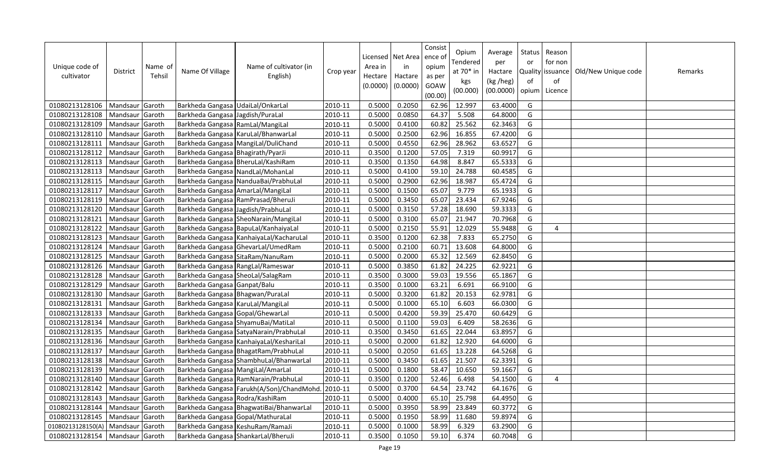| Unique code of<br>cultivator | District          | Name of<br>Tehsil | Name Of Village                    | Name of cultivator (in<br>English)        | Crop year | Area in<br>Hectare<br>(0.0000) | Licensed   Net Area<br>in<br>Hactare<br>(0.0000) | Consist<br>ence of<br>opium<br>as per<br>GOAW<br>(00.00) | Opium<br>Tendered<br>at 70* in<br>kgs<br>(00.000) | Average<br>per<br>Hactare<br>(kg /heg)<br>(00.0000) | Status<br>or<br><b>Quality</b><br>of<br>opium | Reason<br>for non<br>issuance<br>of<br>Licence | Old/New Unique code | Remarks |
|------------------------------|-------------------|-------------------|------------------------------------|-------------------------------------------|-----------|--------------------------------|--------------------------------------------------|----------------------------------------------------------|---------------------------------------------------|-----------------------------------------------------|-----------------------------------------------|------------------------------------------------|---------------------|---------|
| 01080213128106               | Mandsaur Garoth   |                   | Barkheda Gangasa UdaiLal/OnkarLal  |                                           | 2010-11   | 0.5000                         | 0.2050                                           | 62.96                                                    | 12.997                                            | 63.4000                                             | G                                             |                                                |                     |         |
| 01080213128108               | Mandsaur Garoth   |                   | Barkheda Gangasa Jagdish/PuraLal   |                                           | 2010-11   | 0.5000                         | 0.0850                                           | 64.37                                                    | 5.508                                             | 64.8000                                             | G                                             |                                                |                     |         |
| 01080213128109               | Mandsaur          | Garoth            | Barkheda Gangasa RamLal/MangiLal   |                                           | 2010-11   | 0.5000                         | 0.4100                                           | 60.82                                                    | 25.562                                            | 62.3463                                             | G                                             |                                                |                     |         |
| 01080213128110               | Mandsaur          | Garoth            |                                    | Barkheda Gangasa KaruLal/BhanwarLal       | 2010-11   | 0.5000                         | 0.2500                                           | 62.96                                                    | 16.855                                            | 67.4200                                             | G                                             |                                                |                     |         |
| 01080213128111               | Mandsaur Garoth   |                   |                                    | Barkheda Gangasa MangiLal/DuliChand       | 2010-11   | 0.5000                         | 0.4550                                           | 62.96                                                    | 28.962                                            | 63.6527                                             | G                                             |                                                |                     |         |
| 01080213128112               | Mandsaur Garoth   |                   | Barkheda Gangasa Bhagirath/PyarJi  |                                           | 2010-11   | 0.3500                         | 0.1200                                           | 57.05                                                    | 7.319                                             | 60.9917                                             | G                                             |                                                |                     |         |
| 01080213128113               | Mandsaur          | Garoth            |                                    | Barkheda Gangasa BheruLal/KashiRam        | 2010-11   | 0.3500                         | 0.1350                                           | 64.98                                                    | 8.847                                             | 65.5333                                             | G                                             |                                                |                     |         |
| 01080213128113               | Mandsaur          | Garoth            | Barkheda Gangasa NandLal/MohanLal  |                                           | 2010-11   | 0.5000                         | 0.4100                                           | 59.10                                                    | 24.788                                            | 60.4585                                             | G                                             |                                                |                     |         |
| 01080213128115               | Mandsaur          | Garoth            |                                    | Barkheda Gangasa NanduaBai/PrabhuLal      | 2010-11   | 0.5000                         | 0.2900                                           | 62.96                                                    | 18.987                                            | 65.4724                                             | G                                             |                                                |                     |         |
| 01080213128117               | Mandsaur          | Garoth            | Barkheda Gangasa AmarLal/MangiLal  |                                           | 2010-11   | 0.5000                         | 0.1500                                           | 65.07                                                    | 9.779                                             | 65.1933                                             | G                                             |                                                |                     |         |
| 01080213128119               | Mandsaur          | Garoth            |                                    | Barkheda Gangasa RamPrasad/BheruJi        | 2010-11   | 0.5000                         | 0.3450                                           | 65.07                                                    | 23.434                                            | 67.9246                                             | G                                             |                                                |                     |         |
| 01080213128120               | Mandsaur          | Garoth            | Barkheda Gangasa Jagdish/PrabhuLal |                                           | 2010-11   | 0.5000                         | 0.3150                                           | 57.28                                                    | 18.690                                            | 59.3333                                             | G                                             |                                                |                     |         |
| 01080213128121               | Mandsaur          | Garoth            |                                    | Barkheda Gangasa SheoNarain/MangiLal      | 2010-11   | 0.5000                         | 0.3100                                           | 65.07                                                    | 21.947                                            | 70.7968                                             | G                                             |                                                |                     |         |
| 01080213128122               | Mandsaur Garoth   |                   |                                    | Barkheda Gangasa BapuLal/KanhaiyaLal      | 2010-11   | 0.5000                         | 0.2150                                           | 55.91                                                    | 12.029                                            | 55.9488                                             | G                                             | $\overline{4}$                                 |                     |         |
| 01080213128123               | Mandsaur Garoth   |                   |                                    | Barkheda Gangasa KanhaiyaLal/KacharuLal   | 2010-11   | 0.3500                         | 0.1200                                           | 62.38                                                    | 7.833                                             | 65.2750                                             | G                                             |                                                |                     |         |
| 01080213128124               | Mandsaur Garoth   |                   |                                    | Barkheda Gangasa GhevarLal/UmedRam        | 2010-11   | 0.5000                         | 0.2100                                           | 60.71                                                    | 13.608                                            | 64.8000                                             | G                                             |                                                |                     |         |
| 01080213128125               | Mandsaur          | Garoth            | Barkheda Gangasa SitaRam/NanuRam   |                                           | 2010-11   | 0.5000                         | 0.2000                                           | 65.32                                                    | 12.569                                            | 62.8450                                             | G                                             |                                                |                     |         |
| 01080213128126               | Mandsaur          | Garoth            | Barkheda Gangasa RangLal/Rameswar  |                                           | 2010-11   | 0.5000                         | 0.3850                                           | 61.82                                                    | 24.225                                            | 62.9221                                             | G                                             |                                                |                     |         |
| 01080213128128               | Mandsaur Garoth   |                   | Barkheda Gangasa SheoLal/SalagRam  |                                           | 2010-11   | 0.3500                         | 0.3000                                           | 59.03                                                    | 19.556                                            | 65.1867                                             | G                                             |                                                |                     |         |
| 01080213128129               | Mandsaur          | Garoth            | Barkheda Gangasa Ganpat/Balu       |                                           | 2010-11   | 0.3500                         | 0.1000                                           | 63.21                                                    | 6.691                                             | 66.9100                                             | G                                             |                                                |                     |         |
| 01080213128130               | Mandsaur          | Garoth            | Barkheda Gangasa Bhagwan/PuraLal   |                                           | 2010-11   | 0.5000                         | 0.3200                                           | 61.82                                                    | 20.153                                            | 62.9781                                             | G                                             |                                                |                     |         |
| 01080213128131               | Mandsaur          | Garoth            | Barkheda Gangasa KaruLal/MangiLal  |                                           | 2010-11   | 0.5000                         | 0.1000                                           | 65.10                                                    | 6.603                                             | 66.0300                                             | G                                             |                                                |                     |         |
| 01080213128133               | Mandsaur          | Garoth            | Barkheda Gangasa Gopal/GhewarLal   |                                           | 2010-11   | 0.5000                         | 0.4200                                           | 59.39                                                    | 25.470                                            | 60.6429                                             | G                                             |                                                |                     |         |
| 01080213128134               | Mandsaur Garoth   |                   | Barkheda Gangasa ShyamuBai/MatiLal |                                           | 2010-11   | 0.5000                         | 0.1100                                           | 59.03                                                    | 6.409                                             | 58.2636                                             | G                                             |                                                |                     |         |
| 01080213128135               | Mandsaur          | Garoth            |                                    | Barkheda Gangasa SatyaNarain/PrabhuLal    | 2010-11   | 0.3500                         | 0.3450                                           | 61.65                                                    | 22.044                                            | 63.8957                                             | G                                             |                                                |                     |         |
| 01080213128136               | Mandsaur          | Garoth            |                                    | Barkheda Gangasa KanhaiyaLal/KeshariLal   | 2010-11   | 0.5000                         | 0.2000                                           | 61.82                                                    | 12.920                                            | 64.6000                                             | G                                             |                                                |                     |         |
| 01080213128137               | Mandsaur          | Garoth            |                                    | Barkheda Gangasa BhagatRam/PrabhuLal      | 2010-11   | 0.5000                         | 0.2050                                           | 61.65                                                    | 13.228                                            | 64.5268                                             | G                                             |                                                |                     |         |
| 01080213128138               | Mandsaur Garoth   |                   |                                    | Barkheda Gangasa ShambhuLal/BhanwarLal    | 2010-11   | 0.5000                         | 0.3450                                           | 61.65                                                    | 21.507                                            | 62.3391                                             | G                                             |                                                |                     |         |
| 01080213128139               | Mandsaur          | Garoth            | Barkheda Gangasa MangiLal/AmarLal  |                                           | 2010-11   | 0.5000                         | 0.1800                                           | 58.47                                                    | 10.650                                            | 59.1667                                             | G                                             |                                                |                     |         |
| 01080213128140               | Mandsaur          | Garoth            |                                    | Barkheda Gangasa RamNarain/PrabhuLal      | 2010-11   | 0.3500                         | 0.1200                                           | 52.46                                                    | 6.498                                             | 54.1500                                             | G                                             | 4                                              |                     |         |
| 01080213128142               | Mandsaur          | Garoth            |                                    | Barkheda Gangasa Farukh(A/Son)/ChandMohd. | 2010-11   | 0.5000                         | 0.3700                                           | 64.54                                                    | 23.742                                            | 64.1676                                             | G                                             |                                                |                     |         |
| 01080213128143               | Mandsaur Garoth   |                   | Barkheda Gangasa Rodra/KashiRam    |                                           | 2010-11   | 0.5000                         | 0.4000                                           | 65.10                                                    | 25.798                                            | 64.4950                                             | G                                             |                                                |                     |         |
| 01080213128144               | Mandsaur          | Garoth            |                                    | Barkheda Gangasa BhagwatiBai/BhanwarLal   | 2010-11   | 0.5000                         | 0.3950                                           | 58.99                                                    | 23.849                                            | 60.3772                                             | G                                             |                                                |                     |         |
| 01080213128145               | Mandsaur          | Garoth            | Barkheda Gangasa Gopal/MathuraLal  |                                           | 2010-11   | 0.5000                         | 0.1950                                           | 58.99                                                    | 11.680                                            | 59.8974                                             | G                                             |                                                |                     |         |
| 01080213128150(A)            | Mandsaur   Garoth |                   | Barkheda Gangasa KeshuRam/RamaJi   |                                           | 2010-11   | 0.5000                         | 0.1000                                           | 58.99                                                    | 6.329                                             | 63.2900                                             | G                                             |                                                |                     |         |
| 01080213128154               | Mandsaur Garoth   |                   |                                    | Barkheda Gangasa ShankarLal/BheruJi       | 2010-11   | 0.3500                         | 0.1050                                           | 59.10                                                    | 6.374                                             | 60.7048                                             | G                                             |                                                |                     |         |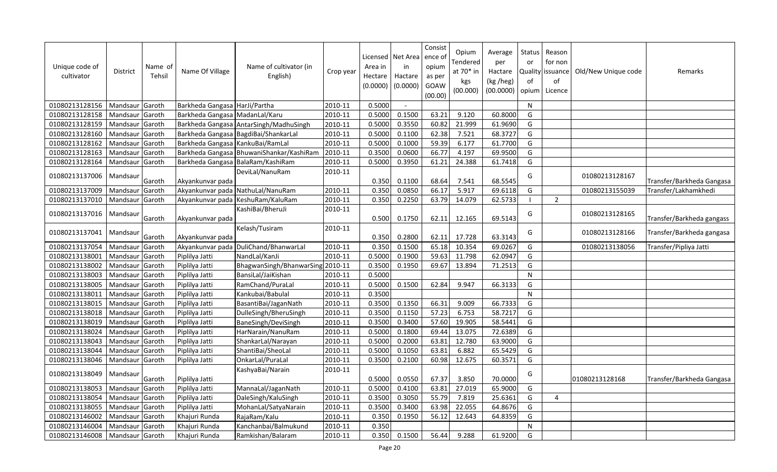| Unique code of<br>cultivator | <b>District</b> | Name of<br>Tehsil | Name Of Village                  | Name of cultivator (in<br>English)       | Crop year | Area in<br>Hectare<br>(0.0000) | Licensed   Net Area<br>in<br>Hactare<br>(0.0000) | Consist<br>ence of<br>opium<br>as per<br>GOAW<br>(00.00) | Opium<br>Tendered<br>at 70* in<br>kgs<br>(00.000) | Average<br>per<br>Hactare<br>(kg /heg)<br>(00.0000) | Status<br>or<br>of<br>opium | Reason<br>for non<br>Quality issuance<br>of<br>Licence | Old/New Unique code | Remarks                   |
|------------------------------|-----------------|-------------------|----------------------------------|------------------------------------------|-----------|--------------------------------|--------------------------------------------------|----------------------------------------------------------|---------------------------------------------------|-----------------------------------------------------|-----------------------------|--------------------------------------------------------|---------------------|---------------------------|
| 01080213128156               | Mandsaur Garoth |                   | Barkheda Gangasa HarJi/Partha    |                                          | 2010-11   | 0.5000                         | $\overline{\phantom{a}}$                         |                                                          |                                                   |                                                     | N                           |                                                        |                     |                           |
| 01080213128158               | Mandsaur        | Garoth            | Barkheda Gangasa MadanLal/Karu   |                                          | 2010-11   | 0.5000                         | 0.1500                                           | 63.21                                                    | 9.120                                             | 60.8000                                             | G                           |                                                        |                     |                           |
| 01080213128159               | Mandsaur        | Garoth            |                                  | Barkheda Gangasa AntarSingh/MadhuSingh   | 2010-11   | 0.5000                         | 0.3550                                           | 60.82                                                    | 21.999                                            | 61.9690                                             | G                           |                                                        |                     |                           |
| 01080213128160               | Mandsaur        | Garoth            |                                  | Barkheda Gangasa BagdiBai/ShankarLal     | 2010-11   | 0.5000                         | 0.1100                                           | 62.38                                                    | 7.521                                             | 68.3727                                             | G                           |                                                        |                     |                           |
| 01080213128162               | Mandsaur        | Garoth            | Barkheda Gangasa KankuBai/RamLal |                                          | 2010-11   | 0.5000                         | 0.1000                                           | 59.39                                                    | 6.177                                             | 61.7700                                             | G                           |                                                        |                     |                           |
| 01080213128163               | Mandsaur        | Garoth            |                                  | Barkheda Gangasa BhuwaniShankar/KashiRam | 2010-11   | 0.3500                         | 0.0600                                           | 66.77                                                    | 4.197                                             | 69.9500                                             | G                           |                                                        |                     |                           |
| 01080213128164               | Mandsaur        | Garoth            |                                  | Barkheda Gangasa BalaRam/KashiRam        | 2010-11   | 0.5000                         | 0.3950                                           | 61.21                                                    | 24.388                                            | 61.7418                                             | G                           |                                                        |                     |                           |
| 01080213137006               | Mandsaur        | Garoth            | Akyankunvar pada                 | DeviLal/NanuRam                          | 2010-11   | 0.350                          | 0.1100                                           | 68.64                                                    | 7.541                                             | 68.5545                                             | G                           |                                                        | 01080213128167      | Transfer/Barkheda Gangasa |
| 01080213137009               | Mandsaur        | Garoth            |                                  | Akyankunvar pada NathuLal/NanuRam        | 2010-11   | 0.350                          | 0.0850                                           | 66.17                                                    | 5.917                                             | 69.6118                                             | G                           |                                                        | 01080213155039      | Transfer/Lakhamkhedi      |
| 01080213137010               | Mandsaur        | Garoth            |                                  | Akyankunvar pada   KeshuRam/KaluRam      | 2010-11   | 0.350                          | 0.2250                                           | 63.79                                                    | 14.079                                            | 62.5733                                             |                             | $\overline{2}$                                         |                     |                           |
| 01080213137016               | Mandsaur        | Garoth            | Akyankunvar pada                 | KashiBai/BheruJi                         | 2010-11   | 0.500                          | 0.1750                                           | 62.11                                                    | 12.165                                            | 69.5143                                             | G                           |                                                        | 01080213128165      | Transfer/Barkheda gangass |
| 01080213137041               | Mandsaur        | Garoth            | Akyankunvar pada                 | Kelash/Tusiram                           | 2010-11   | 0.350                          | 0.2800                                           | 62.11                                                    | 17.728                                            | 63.3143                                             | G                           |                                                        | 01080213128166      | Transfer/Barkheda gangasa |
| 01080213137054               | Mandsaur        | Garoth            | Akyankunvar pada                 | DuliChand/BhanwarLal                     | 2010-11   | 0.350                          | 0.1500                                           | 65.18                                                    | 10.354                                            | 69.0267                                             | G                           |                                                        | 01080213138056      | Transfer/Pipliya Jatti    |
| 01080213138001               | Mandsaur        | Garoth            | Piplilya Jatti                   | NandLal/KanJi                            | 2010-11   | 0.5000                         | 0.1900                                           | 59.63                                                    | 11.798                                            | 62.0947                                             | G                           |                                                        |                     |                           |
| 01080213138002               | Mandsaur        | Garoth            | Piplilya Jatti                   | BhagwanSingh/BhanwarSing 2010-11         |           | 0.3500                         | 0.1950                                           | 69.67                                                    | 13.894                                            | 71.2513                                             | G                           |                                                        |                     |                           |
| 01080213138003               | Mandsaur        | Garoth            | Piplilya Jatti                   | BansiLal/JaiKishan                       | 2010-11   | 0.5000                         |                                                  |                                                          |                                                   |                                                     | N                           |                                                        |                     |                           |
| 01080213138005               | Mandsaur        | Garoth            | Piplilya Jatti                   | RamChand/PuraLal                         | 2010-11   | 0.5000                         | 0.1500                                           | 62.84                                                    | 9.947                                             | 66.3133                                             | G                           |                                                        |                     |                           |
| 01080213138011               | Mandsaur        | Garoth            | Piplilya Jatti                   | Kankubai/Babulal                         | 2010-11   | 0.3500                         |                                                  |                                                          |                                                   |                                                     | N                           |                                                        |                     |                           |
| 01080213138015               | Mandsaur        | Garoth            | Piplilya Jatti                   | BasantiBai/JaganNath                     | 2010-11   | 0.3500                         | 0.1350                                           | 66.31                                                    | 9.009                                             | 66.7333                                             | G                           |                                                        |                     |                           |
| 01080213138018               | Mandsaur        | Garoth            | Piplilya Jatti                   | DulleSingh/BheruSingh                    | 2010-11   | 0.3500                         | 0.1150                                           | 57.23                                                    | 6.753                                             | 58.7217                                             | G                           |                                                        |                     |                           |
| 01080213138019               | Mandsaur        | Garoth            | Piplilya Jatti                   | BaneSingh/DeviSingh                      | 2010-11   | 0.3500                         | 0.3400                                           | 57.60                                                    | 19.905                                            | 58.5441                                             | G                           |                                                        |                     |                           |
| 01080213138024               | Mandsaur        | Garoth            | Piplilya Jatti                   | HarNarain/NanuRam                        | 2010-11   | 0.5000                         | 0.1800                                           | 69.44                                                    | 13.075                                            | 72.6389                                             | G                           |                                                        |                     |                           |
| 01080213138043               | Mandsaur        | Garoth            | Piplilya Jatti                   | ShankarLal/Narayan                       | 2010-11   | 0.5000                         | 0.2000                                           | 63.81                                                    | 12.780                                            | 63.9000                                             | G                           |                                                        |                     |                           |
| 01080213138044               | Mandsaur        | Garoth            | Piplilya Jatti                   | ShantiBai/SheoLal                        | 2010-11   | 0.5000                         | 0.1050                                           | 63.81                                                    | 6.882                                             | 65.5429                                             | G                           |                                                        |                     |                           |
| 01080213138046               | Mandsaur        | Garoth            | Piplilya Jatti                   | OnkarLal/PuraLal                         | 2010-11   | 0.3500                         | 0.2100                                           | 60.98                                                    | 12.675                                            | 60.3571                                             | G                           |                                                        |                     |                           |
| 01080213138049               | Mandsaur        | Garoth            | Piplilya Jatti                   | KashyaBai/Narain                         | 2010-11   | 0.5000                         | 0.0550                                           | 67.37                                                    | 3.850                                             | 70.0000                                             | G                           |                                                        | 01080213128168      | Transfer/Barkheda Gangasa |
| 01080213138053               | Mandsaur        | Garoth            | Piplilya Jatti                   | MannaLal/JaganNath                       | 2010-11   | 0.5000                         | 0.4100                                           | 63.81                                                    | 27.019                                            | 65.9000                                             | G                           |                                                        |                     |                           |
| 01080213138054               | Mandsaur        | Garoth            | Piplilya Jatti                   | DaleSingh/KaluSingh                      | 2010-11   | 0.3500                         | 0.3050                                           | 55.79                                                    | 7.819                                             | 25.6361                                             | G                           | $\overline{4}$                                         |                     |                           |
| 01080213138055               | Mandsaur Garoth |                   | Piplilya Jatti                   | MohanLal/SatyaNarain                     | 2010-11   | 0.3500                         | 0.3400                                           | 63.98                                                    | 22.055                                            | 64.8676                                             | G                           |                                                        |                     |                           |
| 01080213146002               | Mandsaur        | Garoth            | Khajuri Runda                    | RajaRam/Kalu                             | 2010-11   | 0.350                          | 0.1950                                           | 56.12                                                    | 12.643                                            | 64.8359                                             | G                           |                                                        |                     |                           |
| 01080213146004               | Mandsaur        | Garoth            | Khajuri Runda                    | Kanchanbai/Balmukund                     | 2010-11   | 0.350                          |                                                  |                                                          |                                                   |                                                     | $\mathsf{N}$                |                                                        |                     |                           |
| 01080213146008               | Mandsaur Garoth |                   | Khajuri Runda                    | Ramkishan/Balaram                        | 2010-11   | 0.350                          | 0.1500                                           | 56.44                                                    | 9.288                                             | 61.9200                                             | G                           |                                                        |                     |                           |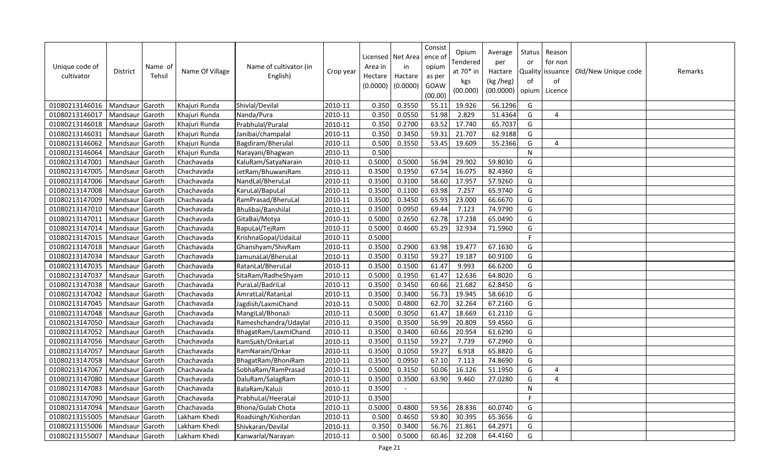| Unique code of<br>cultivator | <b>District</b> | Name of<br>Tehsil | Name Of Village | Name of cultivator (in<br>English) | Crop year | Area in<br>Hectare<br>(0.0000) | Licensed   Net Area<br>in<br>Hactare<br>(0.0000) | Consist<br>ence of<br>opium<br>as per<br>GOAW<br>(00.00) | Opium<br>Tendered<br>at 70* in<br>kgs<br>(00.000) | Average<br>per<br>Hactare<br>(kg /heg)<br>(00.0000) | <b>Status</b><br>or<br>of<br>opium | Reason<br>for non<br>Quality issuance<br>of<br>Licence | Old/New Unique code | Remarks |
|------------------------------|-----------------|-------------------|-----------------|------------------------------------|-----------|--------------------------------|--------------------------------------------------|----------------------------------------------------------|---------------------------------------------------|-----------------------------------------------------|------------------------------------|--------------------------------------------------------|---------------------|---------|
| 01080213146016               | Mandsaur        | Garoth            | Khajuri Runda   | Shivlal/Devilal                    | 2010-11   | 0.350                          | 0.3550                                           | 55.11                                                    | 19.926                                            | 56.1296                                             | G                                  |                                                        |                     |         |
| 01080213146017               | Mandsaur        | Garoth            | Khajuri Runda   | Nanda/Pura                         | 2010-11   | 0.350                          | 0.0550                                           | 51.98                                                    | 2.829                                             | 51.4364                                             | G                                  | $\overline{4}$                                         |                     |         |
| 01080213146018               | Mandsaur        | Garoth            | Khajuri Runda   | Prabhulal/Puralal                  | 2010-11   | 0.350                          | 0.2700                                           | 63.52                                                    | 17.740                                            | 65.7037                                             | G                                  |                                                        |                     |         |
| 01080213146031               | Mandsaur        | Garoth            | Khajuri Runda   | Janibai/champalal                  | 2010-11   | 0.350                          | 0.3450                                           | 59.31                                                    | 21.707                                            | 62.9188                                             | G                                  |                                                        |                     |         |
| 01080213146062               | Mandsaur        | Garoth            | Khajuri Runda   | Bagdiram/Bherulal                  | 2010-11   | 0.500                          | 0.3550                                           | 53.45                                                    | 19.609                                            | 55.2366                                             | G                                  | 4                                                      |                     |         |
| 01080213146064               | Mandsaur        | Garoth            | Khajuri Runda   | Narayani/Bhagwan                   | 2010-11   | 0.500                          |                                                  |                                                          |                                                   |                                                     | N                                  |                                                        |                     |         |
| 01080213147001               | Mandsaur        | Garoth            | Chachavada      | KaluRam/SatyaNarain                | 2010-11   | 0.5000                         | 0.5000                                           | 56.94                                                    | 29.902                                            | 59.8030                                             | G                                  |                                                        |                     |         |
| 01080213147005               | Mandsaur        | Garoth            | Chachavada      | JetRam/BhuwaniRam                  | 2010-11   | 0.3500                         | 0.1950                                           | 67.54                                                    | 16.075                                            | 82.4360                                             | G                                  |                                                        |                     |         |
| 01080213147006               | Mandsaur        | Garoth            | Chachavada      | NandLal/BheruLal                   | 2010-11   | 0.3500                         | 0.3100                                           | 58.60                                                    | 17.957                                            | 57.9260                                             | G                                  |                                                        |                     |         |
| 01080213147008               | Mandsaur        | Garoth            | Chachavada      | KaruLal/BapuLal                    | 2010-11   | 0.3500                         | 0.1100                                           | 63.98                                                    | 7.257                                             | 65.9740                                             | G                                  |                                                        |                     |         |
| 01080213147009               | Mandsaur        | Garoth            | Chachavada      | RamPrasad/BheruLal                 | 2010-11   | 0.3500                         | 0.3450                                           | 65.93                                                    | 23.000                                            | 66.6670                                             | G                                  |                                                        |                     |         |
| 01080213147010               | Mandsaur        | Garoth            | Chachavada      | Bhulibai/Banshilal                 | 2010-11   | 0.3500                         | 0.0950                                           | 69.44                                                    | 7.123                                             | 74.9790                                             | G                                  |                                                        |                     |         |
| 01080213147011               | Mandsaur        | Garoth            | Chachavada      | GitaBai/Motya                      | 2010-11   | 0.5000                         | 0.2650                                           | 62.78                                                    | 17.238                                            | 65.0490                                             | G                                  |                                                        |                     |         |
| 01080213147014               | Mandsaur        | Garoth            | Chachavada      | BapuLal/TejRam                     | 2010-11   | 0.5000                         | 0.4600                                           | 65.29                                                    | 32.934                                            | 71.5960                                             | G                                  |                                                        |                     |         |
| 01080213147015               | Mandsaur        | Garoth            | Chachavada      | KrishnaGopal/UdaiLal               | 2010-11   | 0.5000                         |                                                  |                                                          |                                                   |                                                     | Þ                                  |                                                        |                     |         |
| 01080213147018               | Mandsaur        | Garoth            | Chachavada      | Ghanshyam/ShivRam                  | 2010-11   | 0.3500                         | 0.2900                                           | 63.98                                                    | 19.477                                            | 67.1630                                             | G                                  |                                                        |                     |         |
| 01080213147034               | Mandsaur        | Garoth            | Chachavada      | JamunaLal/BheruLal                 | 2010-11   | 0.3500                         | 0.3150                                           | 59.27                                                    | 19.187                                            | 60.9100                                             | G                                  |                                                        |                     |         |
| 01080213147035               | Mandsaur        | Garoth            | Chachavada      | RatanLal/BheruLal                  | 2010-11   | 0.3500                         | 0.1500                                           | 61.47                                                    | 9.993                                             | 66.6200                                             | G                                  |                                                        |                     |         |
| 01080213147037               | Mandsaur        | Garoth            | Chachavada      | SitaRam/RadheShyam                 | 2010-11   | 0.5000                         | 0.1950                                           | 61.47                                                    | 12.636                                            | 64.8020                                             | G                                  |                                                        |                     |         |
| 01080213147038               | Mandsaur        | Garoth            | Chachavada      | PuraLal/BadriLal                   | 2010-11   | 0.3500                         | 0.3450                                           | 60.66                                                    | 21.682                                            | 62.8450                                             | G                                  |                                                        |                     |         |
| 01080213147042               | Mandsaur        | Garoth            | Chachavada      | AmratLal/RatanLal                  | 2010-11   | 0.3500                         | 0.3400                                           | 56.73                                                    | 19.945                                            | 58.6610                                             | G                                  |                                                        |                     |         |
| 01080213147045               | Mandsaur        | Garoth            | Chachavada      | Jagdish/LaxmiChand                 | 2010-11   | 0.5000                         | 0.4800                                           | 62.70                                                    | 32.264                                            | 67.2160                                             | G                                  |                                                        |                     |         |
| 01080213147048               | Mandsaur        | Garoth            | Chachavada      | MangiLal/BhonaJi                   | 2010-11   | 0.5000                         | 0.3050                                           | 61.47                                                    | 18.669                                            | 61.2110                                             | G                                  |                                                        |                     |         |
| 01080213147050               | Mandsaur        | Garoth            | Chachavada      | Rameshchandra/Udaylal              | 2010-11   | 0.3500                         | 0.3500                                           | 56.99                                                    | 20.809                                            | 59.4560                                             | G                                  |                                                        |                     |         |
| 01080213147052               | Mandsaur        | Garoth            | Chachavada      | BhagatRam/LaxmiChand               | 2010-11   | 0.3500                         | 0.3400                                           | 60.66                                                    | 20.954                                            | 61.6290                                             | G                                  |                                                        |                     |         |
| 01080213147056               | Mandsaur        | Garoth            | Chachavada      | RamSukh/OnkarLal                   | 2010-11   | 0.3500                         | 0.1150                                           | 59.27                                                    | 7.739                                             | 67.2960                                             | G                                  |                                                        |                     |         |
| 01080213147057               | Mandsaur        | Garoth            | Chachavada      | RamNarain/Onkar                    | 2010-11   | 0.3500                         | 0.1050                                           | 59.27                                                    | 6.918                                             | 65.8820                                             | G                                  |                                                        |                     |         |
| 01080213147058               | Mandsaur        | Garoth            | Chachavada      | BhagatRam/BhoniRam                 | 2010-11   | 0.3500                         | 0.0950                                           | 67.10                                                    | 7.113                                             | 74.8690                                             | G                                  |                                                        |                     |         |
| 01080213147067               | Mandsaur        | Garoth            | Chachavada      | SobhaRam/RamPrasad                 | 2010-11   | 0.5000                         | 0.3150                                           | 50.06                                                    | 16.126                                            | 51.1950                                             | G                                  | 4                                                      |                     |         |
| 01080213147080               | Mandsaur        | Garoth            | Chachavada      | DaluRam/SalagRam                   | 2010-11   | 0.3500                         | 0.3500                                           | 63.90                                                    | 9.460                                             | 27.0280                                             | G                                  | $\boldsymbol{\Delta}$                                  |                     |         |
| 01080213147083               | Mandsaur        | Garoth            | Chachavada      | BalaRam/KaluJi                     | 2010-11   | 0.3500                         | $\sim$                                           |                                                          |                                                   |                                                     | N                                  |                                                        |                     |         |
| 01080213147090               | Mandsaur        | Garoth            | Chachavada      | PrabhuLal/HeeraLal                 | 2010-11   | 0.3500                         |                                                  |                                                          |                                                   |                                                     | F                                  |                                                        |                     |         |
| 01080213147094               | Mandsaur        | Garoth            | Chachavada      | Bhona/Gulab Chota                  | 2010-11   | 0.5000                         | 0.4800                                           | 59.56                                                    | 28.836                                            | 60.0740                                             | G                                  |                                                        |                     |         |
| 01080213155005               | Mandsaur        | Garoth            | Lakham Khedi    | Roadsingh/Kishordan                | 2010-11   | 0.500                          | 0.4650                                           | 59.80                                                    | 30.395                                            | 65.3656                                             | G                                  |                                                        |                     |         |
| 01080213155006               | Mandsaur        | Garoth            | Lakham Khedi    | Shivkaran/Devilal                  | 2010-11   | 0.350                          | 0.3400                                           | 56.76                                                    | 21.861                                            | 64.2971                                             | G                                  |                                                        |                     |         |
| 01080213155007               | Mandsaur Garoth |                   | Lakham Khedi    | Kanwarlal/Narayan                  | 2010-11   | 0.500                          | 0.5000                                           | 60.46                                                    | 32.208                                            | 64.4160                                             | G                                  |                                                        |                     |         |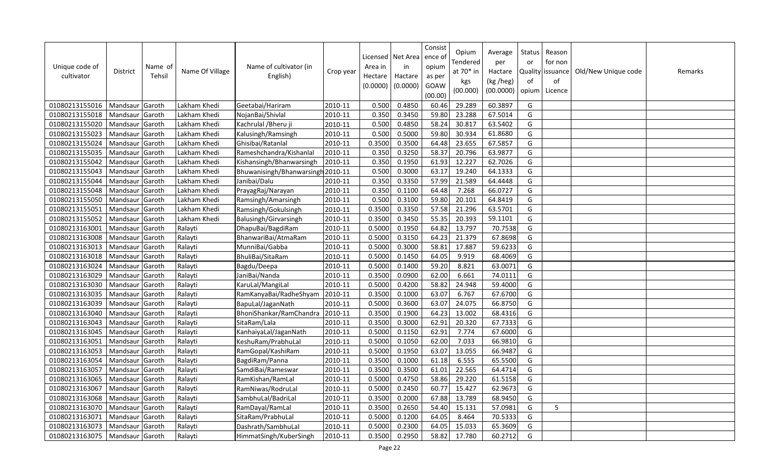| Unique code of<br>cultivator | <b>District</b> | Name of<br>Tehsil | Name Of Village | Name of cultivator (in<br>English) | Crop year | Licensed<br>Area in<br>Hectare<br>(0.0000) | Net Area<br>in<br>Hactare<br>(0.0000) | Consist<br>ence of<br>opium<br>as per<br>GOAW<br>(00.00) | Opium<br>Tendered<br>at $70*$ in<br>kgs<br>(00.000) | Average<br>per<br>Hactare<br>(kg /heg)<br>(00.0000) | Status<br>or<br>of<br>opium | Reason<br>for non<br>Quality   issuance<br>of<br>Licence | Old/New Unique code | Remarks |
|------------------------------|-----------------|-------------------|-----------------|------------------------------------|-----------|--------------------------------------------|---------------------------------------|----------------------------------------------------------|-----------------------------------------------------|-----------------------------------------------------|-----------------------------|----------------------------------------------------------|---------------------|---------|
| 01080213155016               | Mandsaur        | Garoth            | Lakham Khedi    | Geetabai/Hariram                   | 2010-11   | 0.500                                      | 0.4850                                | 60.46                                                    | 29.289                                              | 60.3897                                             | G                           |                                                          |                     |         |
| 01080213155018               | Mandsaur        | Garoth            | Lakham Khedi    | NojanBai/Shivlal                   | 2010-11   | 0.350                                      | 0.3450                                | 59.80                                                    | 23.288                                              | 67.5014                                             | G                           |                                                          |                     |         |
| 01080213155020               | Mandsaur        | Garoth            | Lakham Khedi    | Kachrulal / Bheru ji               | 2010-11   | 0.500                                      | 0.4850                                | 58.24                                                    | 30.817                                              | 63.5402                                             | G                           |                                                          |                     |         |
| 01080213155023               | Mandsaur        | Garoth            | Lakham Khedi    | Kalusingh/Ramsingh                 | 2010-11   | 0.500                                      | 0.5000                                | 59.80                                                    | 30.934                                              | 61.8680                                             | G                           |                                                          |                     |         |
| 01080213155024               | Mandsaur        | Garoth            | Lakham Khedi    | Ghisibai/Ratanlal                  | 2010-11   | 0.3500                                     | 0.3500                                | 64.48                                                    | 23.655                                              | 67.5857                                             | G                           |                                                          |                     |         |
| 01080213155035               | Mandsaur        | Garoth            | Lakham Khedi    | Rameshchandra/Kishanlal            | 2010-11   | 0.350                                      | 0.3250                                | 58.37                                                    | 20.796                                              | 63.9877                                             | G                           |                                                          |                     |         |
| 01080213155042               | Mandsaur        | Garoth            | Lakham Khedi    | Kishansingh/Bhanwarsingh           | 2010-11   | 0.350                                      | 0.1950                                | 61.93                                                    | 12.227                                              | 62.7026                                             | G                           |                                                          |                     |         |
| 01080213155043               | Mandsaur        | Garoth            | Lakham Khedi    | Bhuwanisingh/Bhanwarsingh 2010-11  |           | 0.500                                      | 0.3000                                | 63.17                                                    | 19.240                                              | 64.1333                                             | G                           |                                                          |                     |         |
| 01080213155044               | Mandsaur        | Garoth            | Lakham Khedi    | Janibai/Dalu                       | 2010-11   | 0.350                                      | 0.3350                                | 57.99                                                    | 21.589                                              | 64.4448                                             | G                           |                                                          |                     |         |
| 01080213155048               | Mandsaur        | Garoth            | Lakham Khedi    | PrayagRaj/Narayan                  | 2010-11   | 0.350                                      | 0.1100                                | 64.48                                                    | 7.268                                               | 66.0727                                             | G                           |                                                          |                     |         |
| 01080213155050               | Mandsaur        | Garoth            | Lakham Khedi    | Ramsingh/Amarsingh                 | 2010-11   | 0.500                                      | 0.3100                                | 59.80                                                    | 20.101                                              | 64.8419                                             | G                           |                                                          |                     |         |
| 01080213155051               | Mandsaur        | Garoth            | Lakham Khedi    | Ramsingh/Gokulsingh                | 2010-11   | 0.3500                                     | 0.3350                                | 57.58                                                    | 21.296                                              | 63.5701                                             | G                           |                                                          |                     |         |
| 01080213155052               | Mandsaur        | Garoth            | Lakham Khedi    | Balusingh/Girvarsingh              | 2010-11   | 0.3500                                     | 0.3450                                | 55.35                                                    | 20.393                                              | 59.1101                                             | G                           |                                                          |                     |         |
| 01080213163001               | Mandsaur        | Garoth            | Ralayti         | DhapuBai/BagdiRam                  | 2010-11   | 0.5000                                     | 0.1950                                | 64.82                                                    | 13.797                                              | 70.7538                                             | G                           |                                                          |                     |         |
| 01080213163008               | Mandsaur        | Garoth            | Ralayti         | BhanwariBai/AtmaRam                | 2010-11   | 0.5000                                     | 0.3150                                | 64.23                                                    | 21.379                                              | 67.8698                                             | G                           |                                                          |                     |         |
| 01080213163013               | Mandsaur        | Garoth            | Ralayti         | MunniBai/Gabba                     | 2010-11   | 0.5000                                     | 0.3000                                | 58.81                                                    | 17.887                                              | 59.6233                                             | G                           |                                                          |                     |         |
| 01080213163018               | Mandsaur        | Garoth            | Ralayti         | BhuliBai/SitaRam                   | 2010-11   | 0.5000                                     | 0.1450                                | 64.05                                                    | 9.919                                               | 68.4069                                             | G                           |                                                          |                     |         |
| 01080213163024               | Mandsaur        | Garoth            | Ralayti         | Bagdu/Deepa                        | 2010-11   | 0.5000                                     | 0.1400                                | 59.20                                                    | 8.821                                               | 63.0071                                             | G                           |                                                          |                     |         |
| 01080213163029               | Mandsaur        | Garoth            | Ralayti         | JaniBai/Nanda                      | 2010-11   | 0.3500                                     | 0.0900                                | 62.00                                                    | 6.661                                               | 74.0111                                             | G                           |                                                          |                     |         |
| 01080213163030               | Mandsaur        | Garoth            | Ralayti         | KaruLal/MangiLal                   | 2010-11   | 0.5000                                     | 0.4200                                | 58.82                                                    | 24.948                                              | 59.4000                                             | G                           |                                                          |                     |         |
| 01080213163035               | Mandsaur        | Garoth            | Ralayti         | RamKanyaBai/RadheShyam             | 2010-11   | 0.3500                                     | 0.1000                                | 63.07                                                    | 6.767                                               | 67.6700                                             | G                           |                                                          |                     |         |
| 01080213163039               | Mandsaur        | Garoth            | Ralayti         | BapuLal/JaganNath                  | 2010-11   | 0.5000                                     | 0.3600                                | 63.07                                                    | 24.075                                              | 66.8750                                             | G                           |                                                          |                     |         |
| 01080213163040               | Mandsaur        | Garoth            | Ralayti         | BhoniShankar/RamChandra            | 2010-11   | 0.3500                                     | 0.1900                                | 64.23                                                    | 13.002                                              | 68.4316                                             | G                           |                                                          |                     |         |
| 01080213163043               | Mandsaur        | Garoth            | Ralayti         | SitaRam/Lala                       | 2010-11   | 0.3500                                     | 0.3000                                | 62.91                                                    | 20.320                                              | 67.7333                                             | G                           |                                                          |                     |         |
| 01080213163045               | Mandsaur        | Garoth            | Ralayti         | KanhaiyaLal/JaganNath              | 2010-11   | 0.5000                                     | 0.1150                                | 62.91                                                    | 7.774                                               | 67.6000                                             | G                           |                                                          |                     |         |
| 01080213163051               | Mandsaur        | Garoth            | Ralayti         | KeshuRam/PrabhuLal                 | 2010-11   | 0.5000                                     | 0.1050                                | 62.00                                                    | 7.033                                               | 66.9810                                             | G                           |                                                          |                     |         |
| 01080213163053               | Mandsaur        | Garoth            | Ralayti         | RamGopal/KashiRam                  | 2010-11   | 0.5000                                     | 0.1950                                | 63.07                                                    | 13.055                                              | 66.9487                                             | G                           |                                                          |                     |         |
| 01080213163054               | Mandsaur        | Garoth            | Ralayti         | BagdiRam/Panna                     | 2010-11   | 0.3500                                     | 0.1000                                | 61.18                                                    | 6.555                                               | 65.5500                                             | G                           |                                                          |                     |         |
| 01080213163057               | Mandsaur        | Garoth            | Ralayti         | SamdiBai/Rameswar                  | 2010-11   | 0.3500                                     | 0.3500                                | 61.01                                                    | 22.565                                              | 64.4714                                             | G                           |                                                          |                     |         |
| 01080213163065               | Mandsaur        | Garoth            | Ralayti         | RamKishan/RamLal                   | 2010-11   | 0.5000                                     | 0.4750                                | 58.86                                                    | 29.220                                              | 61.5158                                             | G                           |                                                          |                     |         |
| 01080213163067               | Mandsaur        | Garoth            | Ralayti         | RamNiwas/RodruLal                  | 2010-11   | 0.5000                                     | 0.2450                                | 60.77                                                    | 15.427                                              | 62.9673                                             | G                           |                                                          |                     |         |
| 01080213163068               | Mandsaur        | Garoth            | Ralayti         | SambhuLal/BadriLal                 | 2010-11   | 0.3500                                     | 0.2000                                | 67.88                                                    | 13.789                                              | 68.9450                                             | G                           |                                                          |                     |         |
| 01080213163070               | Mandsaur        | Garoth            | Ralayti         | RamDayal/RamLal                    | 2010-11   | 0.3500                                     | 0.2650                                | 54.40                                                    | 15.131                                              | 57.0981                                             | G                           | 5                                                        |                     |         |
| 01080213163071               | Mandsaur        | Garoth            | Ralayti         | SitaRam/PrabhuLal                  | 2010-11   | 0.5000                                     | 0.1200                                | 64.05                                                    | 8.464                                               | 70.5333                                             | G                           |                                                          |                     |         |
| 01080213163073               | Mandsaur        | Garoth            | Ralayti         | Dashrath/SambhuLal                 | 2010-11   | 0.5000                                     | 0.2300                                | 64.05                                                    | 15.033                                              | 65.3609                                             | G                           |                                                          |                     |         |
| 01080213163075               | Mandsaur Garoth |                   | Ralayti         | HimmatSingh/KuberSingh             | 2010-11   | 0.3500                                     | 0.2950                                | 58.82                                                    | 17.780                                              | 60.2712                                             | G                           |                                                          |                     |         |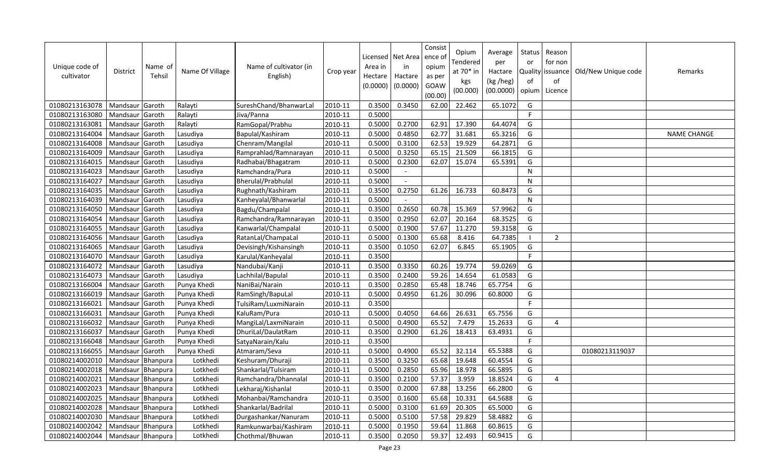| Unique code of<br>cultivator | <b>District</b>   | Name of<br>Tehsil | Name Of Village | Name of cultivator (in<br>English) | Crop year | Licensed<br>Area in<br>Hectare<br>(0.0000) | Net Area<br>in<br>Hactare<br>(0.0000) | Consist<br>ence of<br>opium<br>as per<br>GOAW<br>(00.00) | Opium<br>Tendered<br>at 70* in<br>kgs<br>(00.000) | Average<br>per<br>Hactare<br>(kg /heg)<br>(00.0000) | <b>Status</b><br>or<br>of<br>opium | Reason<br>for non<br>Quality issuance<br>of<br>Licence | Old/New Unique code | Remarks     |
|------------------------------|-------------------|-------------------|-----------------|------------------------------------|-----------|--------------------------------------------|---------------------------------------|----------------------------------------------------------|---------------------------------------------------|-----------------------------------------------------|------------------------------------|--------------------------------------------------------|---------------------|-------------|
| 01080213163078               | Mandsaur          | Garoth            | Ralayti         | SureshChand/BhanwarLal             | 2010-11   | 0.3500                                     | 0.3450                                | 62.00                                                    | 22.462                                            | 65.1072                                             | G                                  |                                                        |                     |             |
| 01080213163080               | Mandsaur          | Garoth            | Ralayti         | Jiva/Panna                         | 2010-11   | 0.5000                                     |                                       |                                                          |                                                   |                                                     | F                                  |                                                        |                     |             |
| 01080213163081               | Mandsaur          | Garoth            | Ralayti         | RamGopal/Prabhu                    | 2010-11   | 0.5000                                     | 0.2700                                | 62.91                                                    | 17.390                                            | 64.4074                                             | G                                  |                                                        |                     |             |
| 01080213164004               | Mandsaur          | Garoth            | Lasudiya        | Bapulal/Kashiram                   | 2010-11   | 0.5000                                     | 0.4850                                | 62.77                                                    | 31.681                                            | 65.3216                                             | G                                  |                                                        |                     | NAME CHANGE |
| 01080213164008               | Mandsaur          | Garoth            | Lasudiya        | Chenram/Mangilal                   | 2010-11   | 0.5000                                     | 0.3100                                | 62.53                                                    | 19.929                                            | 64.2871                                             | G                                  |                                                        |                     |             |
| 01080213164009               | Mandsaur          | Garoth            | Lasudiya        | Ramprahlad/Ramnarayan              | 2010-11   | 0.5000                                     | 0.3250                                | 65.15                                                    | 21.509                                            | 66.1815                                             | G                                  |                                                        |                     |             |
| 01080213164015               | Mandsaur          | Garoth            | Lasudiya        | Radhabai/Bhagatram                 | 2010-11   | 0.5000                                     | 0.2300                                | 62.07                                                    | 15.074                                            | 65.5391                                             | G                                  |                                                        |                     |             |
| 01080213164023               | Mandsaur          | Garoth            | Lasudiya        | Ramchandra/Pura                    | 2010-11   | 0.5000                                     | $\overline{\phantom{a}}$              |                                                          |                                                   |                                                     | ${\sf N}$                          |                                                        |                     |             |
| 01080213164027               | Mandsaur          | Garoth            | Lasudiya        | Bherulal/Prabhulal                 | 2010-11   | 0.5000                                     |                                       |                                                          |                                                   |                                                     | $\mathsf{N}$                       |                                                        |                     |             |
| 01080213164035               | Mandsaur          | Garoth            | Lasudiya        | Rughnath/Kashiram                  | 2010-11   | 0.3500                                     | 0.2750                                | 61.26                                                    | 16.733                                            | 60.8473                                             | G                                  |                                                        |                     |             |
| 01080213164039               | Mandsaur          | Garoth            | Lasudiya        | Kanheyalal/Bhanwarlal              | 2010-11   | 0.5000                                     |                                       |                                                          |                                                   |                                                     | N                                  |                                                        |                     |             |
| 01080213164050               | Mandsaur          | Garoth            | Lasudiya        | Bagdu/Champalal                    | 2010-11   | 0.3500                                     | 0.2650                                | 60.78                                                    | 15.369                                            | 57.9962                                             | G                                  |                                                        |                     |             |
| 01080213164054               | Mandsaur          | Garoth            | Lasudiya        | Ramchandra/Ramnarayan              | 2010-11   | 0.3500                                     | 0.2950                                | 62.07                                                    | 20.164                                            | 68.3525                                             | G                                  |                                                        |                     |             |
| 01080213164055               | Mandsaur          | Garoth            | Lasudiya        | Kanwarlal/Champalal                | 2010-11   | 0.5000                                     | 0.1900                                | 57.67                                                    | 11.270                                            | 59.3158                                             | G                                  |                                                        |                     |             |
| 01080213164056               | Mandsaur          | Garoth            | Lasudiya        | RatanLal/ChampaLal                 | 2010-11   | 0.5000                                     | 0.1300                                | 65.68                                                    | 8.416                                             | 64.7385                                             |                                    | $\overline{2}$                                         |                     |             |
| 01080213164065               | Mandsaur          | Garoth            | Lasudiya        | Devisingh/Kishansingh              | 2010-11   | 0.3500                                     | 0.1050                                | 62.07                                                    | 6.845                                             | 65.1905                                             | G                                  |                                                        |                     |             |
| 01080213164070               | Mandsaur          | Garoth            | Lasudiya        | Karulal/Kanheyalal                 | 2010-11   | 0.3500                                     |                                       |                                                          |                                                   |                                                     | E                                  |                                                        |                     |             |
| 01080213164072               | Mandsaur          | Garoth            | Lasudiya        | Nandubai/Kanji                     | 2010-11   | 0.3500                                     | 0.3350                                | 60.26                                                    | 19.774                                            | 59.0269                                             | G                                  |                                                        |                     |             |
| 01080213164073               | Mandsaur          | Garoth            | Lasudiya        | Lachhilal/Bapulal                  | 2010-11   | 0.3500                                     | 0.2400                                | 59.26                                                    | 14.654                                            | 61.0583                                             | G                                  |                                                        |                     |             |
| 01080213166004               | Mandsaur          | Garoth            | Punya Khedi     | NaniBai/Narain                     | 2010-11   | 0.3500                                     | 0.2850                                | 65.48                                                    | 18.746                                            | 65.7754                                             | G                                  |                                                        |                     |             |
| 01080213166019               | Mandsaur          | Garoth            | Punya Khedi     | RamSingh/BapuLal                   | 2010-11   | 0.5000                                     | 0.4950                                | 61.26                                                    | 30.096                                            | 60.8000                                             | G                                  |                                                        |                     |             |
| 01080213166021               | Mandsaur          | Garoth            | Punya Khedi     | TulsiRam/LuxmiNarain               | 2010-11   | 0.3500                                     |                                       |                                                          |                                                   |                                                     | F                                  |                                                        |                     |             |
| 01080213166031               | Mandsaur          | Garoth            | Punya Khedi     | KaluRam/Pura                       | 2010-11   | 0.5000                                     | 0.4050                                | 64.66                                                    | 26.631                                            | 65.7556                                             | G                                  |                                                        |                     |             |
| 01080213166032               | Mandsaur          | Garoth            | Punya Khedi     | MangiLal/LaxmiNarain               | 2010-11   | 0.5000                                     | 0.4900                                | 65.52                                                    | 7.479                                             | 15.2633                                             | G                                  | $\overline{4}$                                         |                     |             |
| 01080213166037               | Mandsaur          | Garoth            | Punya Khedi     | DhuriLal/DaulatRam                 | 2010-11   | 0.3500                                     | 0.2900                                | 61.26                                                    | 18.413                                            | 63.4931                                             | G                                  |                                                        |                     |             |
| 01080213166048               | Mandsaur          | Garoth            | Punya Khedi     | SatyaNarain/Kalu                   | 2010-11   | 0.3500                                     |                                       |                                                          |                                                   |                                                     | F                                  |                                                        |                     |             |
| 01080213166055               | Mandsaur          | Garoth            | Punya Khedi     | Atmaram/Seva                       | 2010-11   | 0.5000                                     | 0.4900                                | 65.52                                                    | 32.114                                            | 65.5388                                             | G                                  |                                                        | 01080213119037      |             |
| 01080214002010               | Mandsaur          | Bhanpura          | Lotkhedi        | Keshuram/Dhuraji                   | 2010-11   | 0.3500                                     | 0.3250                                | 65.68                                                    | 19.648                                            | 60.4554                                             | G                                  |                                                        |                     |             |
| 01080214002018               | Mandsaur          | Bhanpura          | Lotkhedi        | Shankarlal/Tulsiram                | 2010-11   | 0.5000                                     | 0.2850                                | 65.96                                                    | 18.978                                            | 66.5895                                             | G                                  |                                                        |                     |             |
| 01080214002021               | Mandsaur Bhanpura |                   | Lotkhedi        | Ramchandra/Dhannalal               | 2010-11   | 0.3500                                     | 0.2100                                | 57.37                                                    | 3.959                                             | 18.8524                                             | G                                  | 4                                                      |                     |             |
| 01080214002023               | Mandsaur Bhanpura |                   | Lotkhedi        | Lekharaj/Kishanlal                 | 2010-11   | 0.3500                                     | 0.2000                                | 67.88                                                    | 13.256                                            | 66.2800                                             | G                                  |                                                        |                     |             |
| 01080214002025               | Mandsaur Bhanpura |                   | Lotkhedi        | Mohanbai/Ramchandra                | 2010-11   | 0.3500                                     | 0.1600                                | 65.68                                                    | 10.331                                            | 64.5688                                             | G                                  |                                                        |                     |             |
| 01080214002028               | Mandsaur          | Bhanpura          | Lotkhedi        | Shankarlal/Badrilal                | 2010-11   | 0.5000                                     | 0.3100                                | 61.69                                                    | 20.305                                            | 65.5000                                             | G                                  |                                                        |                     |             |
| 01080214002030               | Mandsaur          | Bhanpura          | Lotkhedi        | Durgashankar/Nanuram               | 2010-11   | 0.5000                                     | 0.5100                                | 57.58                                                    | 29.829                                            | 58.4882                                             | G                                  |                                                        |                     |             |
| 01080214002042               | Mandsaur          | Bhanpura          | Lotkhedi        | Ramkunwarbai/Kashiram              | 2010-11   | 0.5000                                     | 0.1950                                | 59.64                                                    | 11.868                                            | 60.8615                                             | G                                  |                                                        |                     |             |
| 01080214002044               | Mandsaur Bhanpura |                   | Lotkhedi        | Chothmal/Bhuwan                    | 2010-11   | 0.3500                                     | 0.2050                                | 59.37                                                    | 12.493                                            | 60.9415                                             | G                                  |                                                        |                     |             |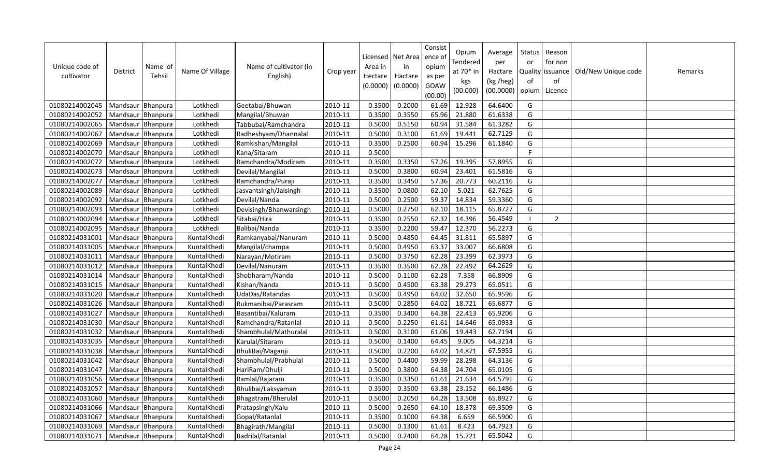| Unique code of<br>cultivator | <b>District</b>     | Name of<br>Tehsil | Name Of Village | Name of cultivator (in<br>English) | Crop year | Area in<br>Hectare<br>(0.0000) | Licensed   Net Area<br>in<br>Hactare<br>(0.0000) | Consist<br>ence of<br>opium<br>as per<br>GOAW<br>(00.00) | Opium<br>Tendered<br>at 70* in<br>kgs<br>(00.000) | Average<br>per<br>Hactare<br>(kg /heg)<br>(00.0000) | Status<br>or<br>of<br>opium | Reason<br>for non<br>Quality issuance<br>of<br>Licence | Old/New Unique code | Remarks |
|------------------------------|---------------------|-------------------|-----------------|------------------------------------|-----------|--------------------------------|--------------------------------------------------|----------------------------------------------------------|---------------------------------------------------|-----------------------------------------------------|-----------------------------|--------------------------------------------------------|---------------------|---------|
| 01080214002045               | Mandsaur Bhanpura   |                   | Lotkhedi        | Geetabai/Bhuwan                    | 2010-11   | 0.3500                         | 0.2000                                           | 61.69                                                    | 12.928                                            | 64.6400                                             | G                           |                                                        |                     |         |
| 01080214002052               | Mandsaur Bhanpura   |                   | Lotkhedi        | Mangilal/Bhuwan                    | 2010-11   | 0.3500                         | 0.3550                                           | 65.96                                                    | 21.880                                            | 61.6338                                             | G                           |                                                        |                     |         |
| 01080214002065               | Mandsaur            | Bhanpura          | Lotkhedi        | Tabbubai/Ramchandra                | 2010-11   | 0.5000                         | 0.5150                                           | 60.94                                                    | 31.584                                            | 61.3282                                             | G                           |                                                        |                     |         |
| 01080214002067               | Mandsaur Bhanpura   |                   | Lotkhedi        | Radheshyam/Dhannalal               | 2010-11   | 0.5000                         | 0.3100                                           | 61.69                                                    | 19.441                                            | 62.7129                                             | G                           |                                                        |                     |         |
| 01080214002069               | Mandsaur Bhanpura   |                   | Lotkhedi        | Ramkishan/Mangilal                 | 2010-11   | 0.3500                         | 0.2500                                           | 60.94                                                    | 15.296                                            | 61.1840                                             | G                           |                                                        |                     |         |
| 01080214002070               | Mandsaur Bhanpura   |                   | Lotkhedi        | Kana/Sitaram                       | 2010-11   | 0.5000                         |                                                  |                                                          |                                                   |                                                     | $\mathsf{F}$                |                                                        |                     |         |
| 01080214002072               | Mandsaur Bhanpura   |                   | Lotkhedi        | Ramchandra/Modiram                 | 2010-11   | 0.3500                         | 0.3350                                           | 57.26                                                    | 19.395                                            | 57.8955                                             | G                           |                                                        |                     |         |
| 01080214002073               | Mandsaur   Bhanpura |                   | Lotkhedi        | Devilal/Mangilal                   | 2010-11   | 0.5000                         | 0.3800                                           | 60.94                                                    | 23.401                                            | 61.5816                                             | G                           |                                                        |                     |         |
| 01080214002077               | Mandsaur Bhanpura   |                   | Lotkhedi        | Ramchandra/Puraji                  | 2010-11   | 0.3500                         | 0.3450                                           | 57.36                                                    | 20.773                                            | 60.2116                                             | G                           |                                                        |                     |         |
| 01080214002089               | Mandsaur Bhanpura   |                   | Lotkhedi        | Jasvantsingh/Jaisingh              | 2010-11   | 0.3500                         | 0.0800                                           | 62.10                                                    | 5.021                                             | 62.7625                                             | G                           |                                                        |                     |         |
| 01080214002092               | Mandsaur            | Bhanpura          | Lotkhedi        | Devilal/Nanda                      | 2010-11   | 0.5000                         | 0.2500                                           | 59.37                                                    | 14.834                                            | 59.3360                                             | G                           |                                                        |                     |         |
| 01080214002093               | Mandsaur            | Bhanpura          | Lotkhedi        | Devisingh/Bhanwarsingh             | 2010-11   | 0.5000                         | 0.2750                                           | 62.10                                                    | 18.115                                            | 65.8727                                             | G                           |                                                        |                     |         |
| 01080214002094               | Mandsaur            | Bhanpura          | Lotkhedi        | Sitabai/Hira                       | 2010-11   | 0.3500                         | 0.2550                                           | 62.32                                                    | 14.396                                            | 56.4549                                             |                             | 2                                                      |                     |         |
| 01080214002095               | Mandsaur Bhanpura   |                   | Lotkhedi        | Balibai/Nanda                      | 2010-11   | 0.3500                         | 0.2200                                           | 59.47                                                    | 12.370                                            | 56.2273                                             | G                           |                                                        |                     |         |
| 01080214031001               | Mandsaur Bhanpura   |                   | KuntalKhedi     | Ramkanyabai/Nanuram                | 2010-11   | 0.5000                         | 0.4850                                           | 64.45                                                    | 31.811                                            | 65.5897                                             | G                           |                                                        |                     |         |
| 01080214031005               | Mandsaur Bhanpura   |                   | KuntalKhedi     | Mangilal/champa                    | 2010-11   | 0.5000                         | 0.4950                                           | 63.37                                                    | 33.007                                            | 66.6808                                             | G                           |                                                        |                     |         |
| 01080214031011               | Mandsaur Bhanpura   |                   | KuntalKhedi     | Narayan/Motiram                    | 2010-11   | 0.5000                         | 0.3750                                           | 62.28                                                    | 23.399                                            | 62.3973                                             | G                           |                                                        |                     |         |
| 01080214031012               | Mandsaur            | Bhanpura          | KuntalKhedi     | Devilal/Nanuram                    | 2010-11   | 0.3500                         | 0.3500                                           | 62.28                                                    | 22.492                                            | 64.2629                                             | G                           |                                                        |                     |         |
| 01080214031014               | Mandsaur Bhanpura   |                   | KuntalKhedi     | Shobharam/Nanda                    | 2010-11   | 0.5000                         | 0.1100                                           | 62.28                                                    | 7.358                                             | 66.8909                                             | G                           |                                                        |                     |         |
| 01080214031015               | Mandsaur            | Bhanpura          | KuntalKhedi     | Kishan/Nanda                       | 2010-11   | 0.5000                         | 0.4500                                           | 63.38                                                    | 29.273                                            | 65.0511                                             | G                           |                                                        |                     |         |
| 01080214031020               | Mandsaur Bhanpura   |                   | KuntalKhedi     | UdaDas/Ratandas                    | 2010-11   | 0.5000                         | 0.4950                                           | 64.02                                                    | 32.650                                            | 65.9596                                             | G                           |                                                        |                     |         |
| 01080214031026               | Mandsaur Bhanpura   |                   | KuntalKhedi     | Rukmanibai/Parasram                | 2010-11   | 0.5000                         | 0.2850                                           | 64.02                                                    | 18.721                                            | 65.6877                                             | G                           |                                                        |                     |         |
| 01080214031027               | Mandsaur Bhanpura   |                   | KuntalKhedi     | Basantibai/Kaluram                 | 2010-11   | 0.3500                         | 0.3400                                           | 64.38                                                    | 22.413                                            | 65.9206                                             | G                           |                                                        |                     |         |
| 01080214031030               | Mandsaur Bhanpura   |                   | KuntalKhedi     | Ramchandra/Ratanlal                | 2010-11   | 0.5000                         | 0.2250                                           | 61.61                                                    | 14.646                                            | 65.0933                                             | G                           |                                                        |                     |         |
| 01080214031032               | Mandsaur Bhanpura   |                   | KuntalKhedi     | Shambhulal/Mathuralal              | 2010-11   | 0.5000                         | 0.3100                                           | 61.06                                                    | 19.443                                            | 62.7194                                             | G                           |                                                        |                     |         |
| 01080214031035               | Mandsaur Bhanpura   |                   | KuntalKhedi     | Karulal/Sitaram                    | 2010-11   | 0.5000                         | 0.1400                                           | 64.45                                                    | 9.005                                             | 64.3214                                             | G                           |                                                        |                     |         |
| 01080214031038               | Mandsaur Bhanpura   |                   | KuntalKhedi     | BhuliBai/Maganji                   | 2010-11   | 0.5000                         | 0.2200                                           | 64.02                                                    | 14.871                                            | 67.5955                                             | G                           |                                                        |                     |         |
| 01080214031042               | Mandsaur            | Bhanpura          | KuntalKhedi     | Shambhulal/Prabhulal               | 2010-11   | 0.5000                         | 0.4400                                           | 59.99                                                    | 28.298                                            | 64.3136                                             | G                           |                                                        |                     |         |
| 01080214031047               | Mandsaur            | Bhanpura          | KuntalKhedi     | HariRam/Dhulji                     | 2010-11   | 0.5000                         | 0.3800                                           | 64.38                                                    | 24.704                                            | 65.0105                                             | G                           |                                                        |                     |         |
| 01080214031056               | Mandsaur            | Bhanpura          | KuntalKhedi     | Ramlal/Rajaram                     | 2010-11   | 0.3500                         | 0.3350                                           | 61.61                                                    | 21.634                                            | 64.5791                                             | G                           |                                                        |                     |         |
| 01080214031057               | Mandsaur Bhanpura   |                   | KuntalKhedi     | Bhulibai/Laksyaman                 | 2010-11   | 0.3500                         | 0.3500                                           | 63.38                                                    | 23.152                                            | 66.1486                                             | G                           |                                                        |                     |         |
| 01080214031060               | Mandsaur Bhanpura   |                   | KuntalKhedi     | Bhagatram/Bherulal                 | 2010-11   | 0.5000                         | 0.2050                                           | 64.28                                                    | 13.508                                            | 65.8927                                             | G                           |                                                        |                     |         |
| 01080214031066               | Mandsaur            | Bhanpura          | KuntalKhedi     | Pratapsingh/Kalu                   | 2010-11   | 0.5000                         | 0.2650                                           | 64.10                                                    | 18.378                                            | 69.3509                                             | G                           |                                                        |                     |         |
| 01080214031067               | Mandsaur Bhanpura   |                   | KuntalKhedi     | Gopal/Ratanlal                     | 2010-11   | 0.3500                         | 0.1000                                           | 64.38                                                    | 6.659                                             | 66.5900                                             | G                           |                                                        |                     |         |
| 01080214031069               | Mandsaur Bhanpura   |                   | KuntalKhedi     | Bhagirath/Mangilal                 | 2010-11   | 0.5000                         | 0.1300                                           | 61.61                                                    | 8.423                                             | 64.7923                                             | G                           |                                                        |                     |         |
| 01080214031071               | Mandsaur Bhanpura   |                   | KuntalKhedi     | Badrilal/Ratanlal                  | 2010-11   | 0.5000                         | 0.2400                                           | 64.28                                                    | 15.721                                            | 65.5042                                             | G                           |                                                        |                     |         |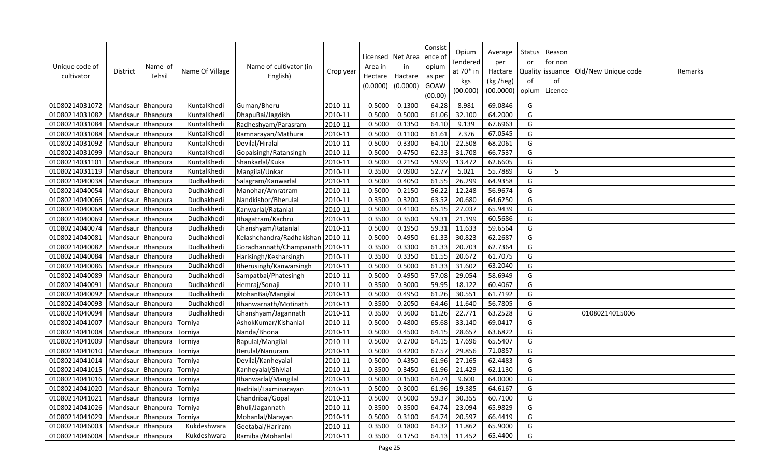| Unique code of<br>cultivator | <b>District</b>   | Name of<br>Tehsil | Name Of Village | Name of cultivator (in<br>English) | Crop year | Area in<br>Hectare<br>(0.0000) | Licensed   Net Area<br>in<br>Hactare<br>(0.0000) | Consist<br>ence of<br>opium<br>as per<br>GOAW<br>(00.00) | Opium<br>Tendered<br>at 70* in<br>kgs<br>(00.000) | Average<br>per<br>Hactare<br>(kg /heg)<br>(00.0000) | Status<br>or<br>of<br>opium | Reason<br>for non<br>Quality issuance<br>of<br>Licence | Old/New Unique code | Remarks |
|------------------------------|-------------------|-------------------|-----------------|------------------------------------|-----------|--------------------------------|--------------------------------------------------|----------------------------------------------------------|---------------------------------------------------|-----------------------------------------------------|-----------------------------|--------------------------------------------------------|---------------------|---------|
| 01080214031072               | Mandsaur Bhanpura |                   | KuntalKhedi     | Guman/Bheru                        | 2010-11   | 0.5000                         | 0.1300                                           | 64.28                                                    | 8.981                                             | 69.0846                                             | G                           |                                                        |                     |         |
| 01080214031082               | Mandsaur Bhanpura |                   | KuntalKhedi     | DhapuBai/Jagdish                   | 2010-11   | 0.5000                         | 0.5000                                           | 61.06                                                    | 32.100                                            | 64.2000                                             | G                           |                                                        |                     |         |
| 01080214031084               | Mandsaur          | Bhanpura          | KuntalKhedi     | Radheshyam/Parasram                | 2010-11   | 0.5000                         | 0.1350                                           | 64.10                                                    | 9.139                                             | 67.6963                                             | G                           |                                                        |                     |         |
| 01080214031088               | Mandsaur Bhanpura |                   | KuntalKhedi     | Ramnarayan/Mathura                 | 2010-11   | 0.5000                         | 0.1100                                           | 61.61                                                    | 7.376                                             | 67.0545                                             | G                           |                                                        |                     |         |
| 01080214031092               | Mandsaur Bhanpura |                   | KuntalKhedi     | Devilal/Hiralal                    | 2010-11   | 0.5000                         | 0.3300                                           | 64.10                                                    | 22.508                                            | 68.2061                                             | G                           |                                                        |                     |         |
| 01080214031099               | Mandsaur Bhanpura |                   | KuntalKhedi     | Gopalsingh/Ratansingh              | 2010-11   | 0.5000                         | 0.4750                                           | 62.33                                                    | 31.708                                            | 66.7537                                             | G                           |                                                        |                     |         |
| 01080214031101               | Mandsaur Bhanpura |                   | KuntalKhedi     | Shankarlal/Kuka                    | 2010-11   | 0.5000                         | 0.2150                                           | 59.99                                                    | 13.472                                            | 62.6605                                             | G                           |                                                        |                     |         |
| 01080214031119               | Mandsaur Bhanpura |                   | KuntalKhedi     | Mangilal/Unkar                     | 2010-11   | 0.3500                         | 0.0900                                           | 52.77                                                    | 5.021                                             | 55.7889                                             | G                           | 5                                                      |                     |         |
| 01080214040038               | Mandsaur Bhanpura |                   | Dudhakhedi      | Salagram/Kanwarlal                 | 2010-11   | 0.5000                         | 0.4050                                           | 61.55                                                    | 26.299                                            | 64.9358                                             | G                           |                                                        |                     |         |
| 01080214040054               | Mandsaur Bhanpura |                   | Dudhakhedi      | Manohar/Amratram                   | 2010-11   | 0.5000                         | 0.2150                                           | 56.22                                                    | 12.248                                            | 56.9674                                             | G                           |                                                        |                     |         |
| 01080214040066               | Mandsaur          | Bhanpura          | Dudhakhedi      | Nandkishor/Bherulal                | 2010-11   | 0.3500                         | 0.3200                                           | 63.52                                                    | 20.680                                            | 64.6250                                             | G                           |                                                        |                     |         |
| 01080214040068               | Mandsaur          | Bhanpura          | Dudhakhedi      | Kanwarlal/Ratanlal                 | 2010-11   | 0.5000                         | 0.4100                                           | 65.15                                                    | 27.037                                            | 65.9439                                             | G                           |                                                        |                     |         |
| 01080214040069               | Mandsaur          | Bhanpura          | Dudhakhedi      | Bhagatram/Kachru                   | 2010-11   | 0.3500                         | 0.3500                                           | 59.31                                                    | 21.199                                            | 60.5686                                             | G                           |                                                        |                     |         |
| 01080214040074               | Mandsaur Bhanpura |                   | Dudhakhedi      | Ghanshyam/Ratanlal                 | 2010-11   | 0.5000                         | 0.1950                                           | 59.31                                                    | 11.633                                            | 59.6564                                             | G                           |                                                        |                     |         |
| 01080214040081               | Mandsaur Bhanpura |                   | Dudhakhedi      | Kelashchandra/Radhakishan          | 2010-11   | 0.5000                         | 0.4950                                           | 61.33                                                    | 30.823                                            | 62.2687                                             | G                           |                                                        |                     |         |
| 01080214040082               | Mandsaur Bhanpura |                   | Dudhakhedi      | Goradhannath/Champanath            | 2010-11   | 0.3500                         | 0.3300                                           | 61.33                                                    | 20.703                                            | 62.7364                                             | G                           |                                                        |                     |         |
| 01080214040084               | Mandsaur Bhanpura |                   | Dudhakhedi      | Harisingh/Kesharsingh              | 2010-11   | 0.3500                         | 0.3350                                           | 61.55                                                    | 20.672                                            | 61.7075                                             | G                           |                                                        |                     |         |
| 01080214040086               | Mandsaur          | Bhanpura          | Dudhakhedi      | Bherusingh/Kanwarsingh             | 2010-11   | 0.5000                         | 0.5000                                           | 61.33                                                    | 31.602                                            | 63.2040                                             | G                           |                                                        |                     |         |
| 01080214040089               | Mandsaur Bhanpura |                   | Dudhakhedi      | Sampatbai/Phatesingh               | 2010-11   | 0.5000                         | 0.4950                                           | 57.08                                                    | 29.054                                            | 58.6949                                             | G                           |                                                        |                     |         |
| 01080214040091               | Mandsaur          | Bhanpura          | Dudhakhedi      | Hemraj/Sonaji                      | 2010-11   | 0.3500                         | 0.3000                                           | 59.95                                                    | 18.122                                            | 60.4067                                             | G                           |                                                        |                     |         |
| 01080214040092               | Mandsaur          | Bhanpura          | Dudhakhedi      | MohanBai/Mangilal                  | 2010-11   | 0.5000                         | 0.4950                                           | 61.26                                                    | 30.551                                            | 61.7192                                             | G                           |                                                        |                     |         |
| 01080214040093               | Mandsaur Bhanpura |                   | Dudhakhedi      | Bhanwarnath/Motinath               | 2010-11   | 0.3500                         | 0.2050                                           | 64.46                                                    | 11.640                                            | 56.7805                                             | G                           |                                                        |                     |         |
| 01080214040094               | Mandsaur Bhanpura |                   | Dudhakhedi      | Ghanshyam/Jagannath                | 2010-11   | 0.3500                         | 0.3600                                           | 61.26                                                    | 22.771                                            | 63.2528                                             | G                           |                                                        | 01080214015006      |         |
| 01080214041007               | Mandsaur          | Bhanpura          | Torniya         | AshokKumar/Kishanlal               | 2010-11   | 0.5000                         | 0.4800                                           | 65.68                                                    | 33.140                                            | 69.0417                                             | G                           |                                                        |                     |         |
| 01080214041008               | Mandsaur Bhanpura |                   | Torniya         | Nanda/Bhona                        | 2010-11   | 0.5000                         | 0.4500                                           | 64.15                                                    | 28.657                                            | 63.6822                                             | G                           |                                                        |                     |         |
| 01080214041009               | Mandsaur          | Bhanpura          | Torniya         | Bapulal/Mangilal                   | 2010-11   | 0.5000                         | 0.2700                                           | 64.15                                                    | 17.696                                            | 65.5407                                             | G                           |                                                        |                     |         |
| 01080214041010               | Mandsaur Bhanpura |                   | Torniya         | Berulal/Nanuram                    | 2010-11   | 0.5000                         | 0.4200                                           | 67.57                                                    | 29.856                                            | 71.0857                                             | G                           |                                                        |                     |         |
| 01080214041014               | Mandsaur          | Bhanpura          | Torniya         | Devilal/Kanheyalal                 | 2010-11   | 0.5000                         | 0.4350                                           | 61.96                                                    | 27.165                                            | 62.4483                                             | G                           |                                                        |                     |         |
| 01080214041015               | Mandsaur          | Bhanpura          | Torniya         | Kanheyalal/Shivlal                 | 2010-11   | 0.3500                         | 0.3450                                           | 61.96                                                    | 21.429                                            | 62.1130                                             | G                           |                                                        |                     |         |
| 01080214041016               | Mandsaur          | Bhanpura          | Torniya         | Bhanwarlal/Mangilal                | 2010-11   | 0.5000                         | 0.1500                                           | 64.74                                                    | 9.600                                             | 64.0000                                             | G                           |                                                        |                     |         |
| 01080214041020               | Mandsaur Bhanpura |                   | Torniya         | Badrilal/Laxminarayan              | 2010-11   | 0.5000                         | 0.3000                                           | 61.96                                                    | 19.385                                            | 64.6167                                             | G                           |                                                        |                     |         |
| 01080214041021               | Mandsaur Bhanpura |                   | Torniya         | Chandribai/Gopal                   | 2010-11   | 0.5000                         | 0.5000                                           | 59.37                                                    | 30.355                                            | 60.7100                                             | G                           |                                                        |                     |         |
| 01080214041026               | Mandsaur          | Bhanpura          | Torniya         | Bhuli/Jagannath                    | 2010-11   | 0.3500                         | 0.3500                                           | 64.74                                                    | 23.094                                            | 65.9829                                             | G                           |                                                        |                     |         |
| 01080214041029               | Mandsaur          | Bhanpura          | Torniya         | Mohanlal/Narayan                   | 2010-11   | 0.5000                         | 0.3100                                           | 64.74                                                    | 20.597                                            | 66.4419                                             | G                           |                                                        |                     |         |
| 01080214046003               | Mandsaur Bhanpura |                   | Kukdeshwara     | Geetabai/Hariram                   | 2010-11   | 0.3500                         | 0.1800                                           | 64.32                                                    | 11.862                                            | 65.9000                                             | G                           |                                                        |                     |         |
| 01080214046008               | Mandsaur Bhanpura |                   | Kukdeshwara     | Ramibai/Mohanlal                   | 2010-11   | 0.3500                         | 0.1750                                           | 64.13                                                    | 11.452                                            | 65.4400                                             | G                           |                                                        |                     |         |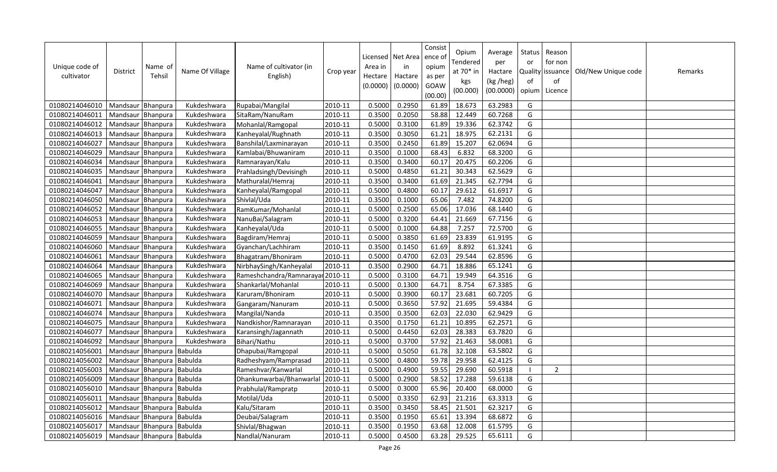| Unique code of<br>cultivator | District                  | Name of<br>Tehsil | Name Of Village | Name of cultivator (in<br>English) | Crop year | Area in<br>Hectare<br>(0.0000) | Licensed   Net Area<br>in<br>Hactare<br>(0.0000) | Consist<br>ence of<br>opium<br>as per<br>GOAW<br>(00.00) | Opium<br>Tendered<br>at 70* in<br>kgs<br>(00.000) | Average<br>per<br>Hactare<br>(kg /heg)<br>(00.0000) | Status<br>or<br><b>Quality</b><br>of<br>opium | Reason<br>for non<br>issuance<br>οf<br>Licence | Old/New Unique code | Remarks |
|------------------------------|---------------------------|-------------------|-----------------|------------------------------------|-----------|--------------------------------|--------------------------------------------------|----------------------------------------------------------|---------------------------------------------------|-----------------------------------------------------|-----------------------------------------------|------------------------------------------------|---------------------|---------|
| 01080214046010               | Mandsaur Bhanpura         |                   | Kukdeshwara     | Rupabai/Mangilal                   | 2010-11   | 0.5000                         | 0.2950                                           | 61.89                                                    | 18.673                                            | 63.2983                                             | G                                             |                                                |                     |         |
| 01080214046011               | Mandsaur Bhanpura         |                   | Kukdeshwara     | SitaRam/NanuRam                    | 2010-11   | 0.3500                         | 0.2050                                           | 58.88                                                    | 12.449                                            | 60.7268                                             | G                                             |                                                |                     |         |
| 01080214046012               | Mandsaur                  | Bhanpura          | Kukdeshwara     | Mohanlal/Ramgopal                  | 2010-11   | 0.5000                         | 0.3100                                           | 61.89                                                    | 19.336                                            | 62.3742                                             | G                                             |                                                |                     |         |
| 01080214046013               | Mandsaur Bhanpura         |                   | Kukdeshwara     | Kanheyalal/Rughnath                | 2010-11   | 0.3500                         | 0.3050                                           | 61.21                                                    | 18.975                                            | 62.2131                                             | G                                             |                                                |                     |         |
| 01080214046027               | Mandsaur Bhanpura         |                   | Kukdeshwara     | Banshilal/Laxminarayan             | 2010-11   | 0.3500                         | 0.2450                                           | 61.89                                                    | 15.207                                            | 62.0694                                             | G                                             |                                                |                     |         |
| 01080214046029               | Mandsaur Bhanpura         |                   | Kukdeshwara     | Kamlabai/Bhuwaniram                | 2010-11   | 0.3500                         | 0.1000                                           | 68.43                                                    | 6.832                                             | 68.3200                                             | G                                             |                                                |                     |         |
| 01080214046034               | Mandsaur Bhanpura         |                   | Kukdeshwara     | Ramnarayan/Kalu                    | 2010-11   | 0.3500                         | 0.3400                                           | 60.17                                                    | 20.475                                            | 60.2206                                             | G                                             |                                                |                     |         |
| 01080214046035               | Mandsaur Bhanpura         |                   | Kukdeshwara     | Prahladsingh/Devisingh             | 2010-11   | 0.5000                         | 0.4850                                           | 61.21                                                    | 30.343                                            | 62.5629                                             | G                                             |                                                |                     |         |
| 01080214046041               | Mandsaur                  | Bhanpura          | Kukdeshwara     | Mathuralal/Hemraj                  | 2010-11   | 0.3500                         | 0.3400                                           | 61.69                                                    | 21.345                                            | 62.7794                                             | G                                             |                                                |                     |         |
| 01080214046047               | Mandsaur Bhanpura         |                   | Kukdeshwara     | Kanheyalal/Ramgopal                | 2010-11   | 0.5000                         | 0.4800                                           | 60.17                                                    | 29.612                                            | 61.6917                                             | G                                             |                                                |                     |         |
| 01080214046050               | Mandsaur                  | Bhanpura          | Kukdeshwara     | Shivlal/Uda                        | 2010-11   | 0.3500                         | 0.1000                                           | 65.06                                                    | 7.482                                             | 74.8200                                             | G                                             |                                                |                     |         |
| 01080214046052               | Mandsaur                  | Bhanpura          | Kukdeshwara     | RamKumar/Mohanlal                  | 2010-11   | 0.5000                         | 0.2500                                           | 65.06                                                    | 17.036                                            | 68.1440                                             | G                                             |                                                |                     |         |
| 01080214046053               | Mandsaur                  | Bhanpura          | Kukdeshwara     | NanuBai/Salagram                   | 2010-11   | 0.5000                         | 0.3200                                           | 64.41                                                    | 21.669                                            | 67.7156                                             | G                                             |                                                |                     |         |
| 01080214046055               | Mandsaur Bhanpura         |                   | Kukdeshwara     | Kanheyalal/Uda                     | 2010-11   | 0.5000                         | 0.1000                                           | 64.88                                                    | 7.257                                             | 72.5700                                             | G                                             |                                                |                     |         |
| 01080214046059               | Mandsaur Bhanpura         |                   | Kukdeshwara     | Bagdiram/Hemraj                    | 2010-11   | 0.5000                         | 0.3850                                           | 61.69                                                    | 23.839                                            | 61.9195                                             | G                                             |                                                |                     |         |
| 01080214046060               | Mandsaur                  | Bhanpura          | Kukdeshwara     | Gyanchan/Lachhiram                 | 2010-11   | 0.3500                         | 0.1450                                           | 61.69                                                    | 8.892                                             | 61.3241                                             | G                                             |                                                |                     |         |
| 01080214046061               | Mandsaur Bhanpura         |                   | Kukdeshwara     | Bhagatram/Bhoniram                 | 2010-11   | 0.5000                         | 0.4700                                           | 62.03                                                    | 29.544                                            | 62.8596                                             | G                                             |                                                |                     |         |
| 01080214046064               | Mandsaur                  | Bhanpura          | Kukdeshwara     | NirbhaySingh/Kanheyalal            | 2010-11   | 0.3500                         | 0.2900                                           | 64.71                                                    | 18.886                                            | 65.1241                                             | G                                             |                                                |                     |         |
| 01080214046065               | Mandsaur Bhanpura         |                   | Kukdeshwara     | Rameshchandra/Ramnarayar 2010-11   |           | 0.5000                         | 0.3100                                           | 64.71                                                    | 19.949                                            | 64.3516                                             | G                                             |                                                |                     |         |
| 01080214046069               | Mandsaur                  | Bhanpura          | Kukdeshwara     | Shankarlal/Mohanlal                | 2010-11   | 0.5000                         | 0.1300                                           | 64.71                                                    | 8.754                                             | 67.3385                                             | G                                             |                                                |                     |         |
| 01080214046070               | Mandsaur                  | Bhanpura          | Kukdeshwara     | Karuram/Bhoniram                   | 2010-11   | 0.5000                         | 0.3900                                           | 60.17                                                    | 23.681                                            | 60.7205                                             | G                                             |                                                |                     |         |
| 01080214046071               | Mandsaur Bhanpura         |                   | Kukdeshwara     | Gangaram/Nanuram                   | 2010-11   | 0.5000                         | 0.3650                                           | 57.92                                                    | 21.695                                            | 59.4384                                             | G                                             |                                                |                     |         |
| 01080214046074               | Mandsaur Bhanpura         |                   | Kukdeshwara     | Mangilal/Nanda                     | 2010-11   | 0.3500                         | 0.3500                                           | 62.03                                                    | 22.030                                            | 62.9429                                             | G                                             |                                                |                     |         |
| 01080214046075               | Mandsaur Bhanpura         |                   | Kukdeshwara     | Nandkishor/Ramnarayan              | 2010-11   | 0.3500                         | 0.1750                                           | 61.21                                                    | 10.895                                            | 62.2571                                             | G                                             |                                                |                     |         |
| 01080214046077               | Mandsaur                  | Bhanpura          | Kukdeshwara     | Karansingh/Jagannath               | 2010-11   | 0.5000                         | 0.4450                                           | 62.03                                                    | 28.383                                            | 63.7820                                             | G                                             |                                                |                     |         |
| 01080214046092               | Mandsaur                  | Bhanpura          | Kukdeshwara     | Bihari/Nathu                       | 2010-11   | 0.5000                         | 0.3700                                           | 57.92                                                    | 21.463                                            | 58.0081                                             | G                                             |                                                |                     |         |
| 01080214056001               | Mandsaur Bhanpura         |                   | Babulda         | Dhapubai/Ramgopal                  | 2010-11   | 0.5000                         | 0.5050                                           | 61.78                                                    | 32.108                                            | 63.5802                                             | G                                             |                                                |                     |         |
| 01080214056002               | Mandsaur Bhanpura Babulda |                   |                 | Radheshyam/Ramprasad               | 2010-11   | 0.5000                         | 0.4800                                           | 59.78                                                    | 29.958                                            | 62.4125                                             | G                                             |                                                |                     |         |
| 01080214056003               | Mandsaur                  | Bhanpura Babulda  |                 | Rameshvar/Kanwarlal                | 2010-11   | 0.5000                         | 0.4900                                           | 59.55                                                    | 29.690                                            | 60.5918                                             |                                               | $\overline{2}$                                 |                     |         |
| 01080214056009               | Mandsaur Bhanpura         |                   | Babulda         | Dhankunwarbai/Bhanwarlal           | 2010-11   | 0.5000                         | 0.2900                                           | 58.52                                                    | 17.288                                            | 59.6138                                             | G                                             |                                                |                     |         |
| 01080214056010               | Mandsaur Bhanpura         |                   | Babulda         | Prabhulal/Rampratp                 | 2010-11   | 0.5000                         | 0.3000                                           | 65.96                                                    | 20.400                                            | 68.0000                                             | G                                             |                                                |                     |         |
| 01080214056011               | Mandsaur Bhanpura Babulda |                   |                 | Motilal/Uda                        | 2010-11   | 0.5000                         | 0.3350                                           | 62.93                                                    | 21.216                                            | 63.3313                                             | G                                             |                                                |                     |         |
| 01080214056012               | Mandsaur                  | Bhanpura Babulda  |                 | Kalu/Sitaram                       | 2010-11   | 0.3500                         | 0.3450                                           | 58.45                                                    | 21.501                                            | 62.3217                                             | G                                             |                                                |                     |         |
| 01080214056016               | Mandsaur                  | Bhanpura          | Babulda         | Deubai/Salagram                    | 2010-11   | 0.3500                         | 0.1950                                           | 65.61                                                    | 13.394                                            | 68.6872                                             | G                                             |                                                |                     |         |
| 01080214056017               | Mandsaur Bhanpura         |                   | <b>Babulda</b>  | Shivlal/Bhagwan                    | 2010-11   | 0.3500                         | 0.1950                                           | 63.68                                                    | 12.008                                            | 61.5795                                             | G                                             |                                                |                     |         |
| 01080214056019               | Mandsaur Bhanpura Babulda |                   |                 | Nandlal/Nanuram                    | 2010-11   | 0.5000                         | 0.4500                                           | 63.28                                                    | 29.525                                            | 65.6111                                             | G                                             |                                                |                     |         |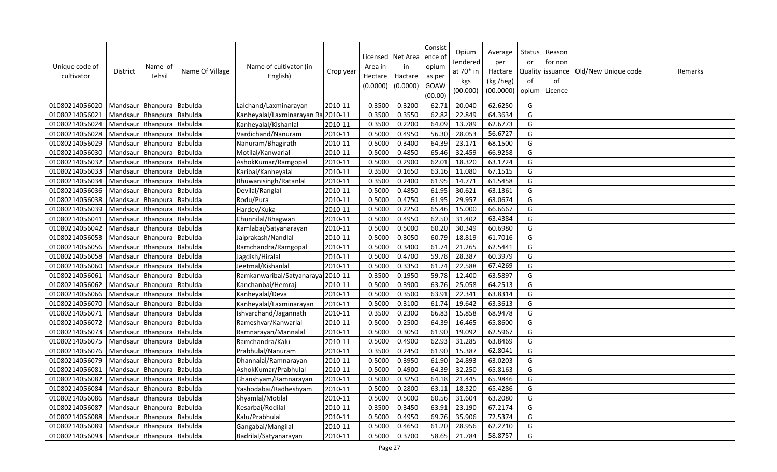| Unique code of<br>cultivator | <b>District</b>           | Name of<br>Tehsil | Name Of Village | Name of cultivator (in<br>English) | Crop year | Area in<br>Hectare<br>(0.0000) | Licensed   Net Area<br>in<br>Hactare<br>(0.0000) | Consist<br>ence o<br>opium<br>as per<br>GOAW<br>(00.00) | Opium<br>Tendered<br>at 70* in<br>kgs<br>(00.000) | Average<br>per<br>Hactare<br>(kg /heg)<br>(00.0000) | Status<br>or<br><b>Quality</b><br>of<br>opium | Reason<br>for non<br>issuance<br>of<br>Licence | Old/New Unique code | Remarks |
|------------------------------|---------------------------|-------------------|-----------------|------------------------------------|-----------|--------------------------------|--------------------------------------------------|---------------------------------------------------------|---------------------------------------------------|-----------------------------------------------------|-----------------------------------------------|------------------------------------------------|---------------------|---------|
| 01080214056020               | Mandsaur Bhanpura         |                   | Babulda         | Lalchand/Laxminarayan              | 2010-11   | 0.3500                         | 0.3200                                           | 62.71                                                   | 20.040                                            | 62.6250                                             | G                                             |                                                |                     |         |
| 01080214056021               | Mandsaur Bhanpura         |                   | <b>Babulda</b>  | Kanheyalal/Laxminarayan Ra 2010-11 |           | 0.3500                         | 0.3550                                           | 62.82                                                   | 22.849                                            | 64.3634                                             | G                                             |                                                |                     |         |
| 01080214056024               | Mandsaur                  | Bhanpura          | Babulda         | Kanheyalal/Kishanlal               | 2010-11   | 0.3500                         | 0.2200                                           | 64.09                                                   | 13.789                                            | 62.6773                                             | G                                             |                                                |                     |         |
| 01080214056028               | Mandsaur Bhanpura         |                   | Babulda         | Vardichand/Nanuram                 | 2010-11   | 0.5000                         | 0.4950                                           | 56.30                                                   | 28.053                                            | 56.6727                                             | G                                             |                                                |                     |         |
| 01080214056029               | Mandsaur Bhanpura         |                   | Babulda         | Nanuram/Bhagirath                  | 2010-11   | 0.5000                         | 0.3400                                           | 64.39                                                   | 23.171                                            | 68.1500                                             | G                                             |                                                |                     |         |
| 01080214056030               | Mandsaur Bhanpura Babulda |                   |                 | Motilal/Kanwarlal                  | 2010-11   | 0.5000                         | 0.4850                                           | 65.46                                                   | 32.459                                            | 66.9258                                             | G                                             |                                                |                     |         |
| 01080214056032               | Mandsaur                  | Bhanpura          | <b>Babulda</b>  | AshokKumar/Ramgopal                | 2010-11   | 0.5000                         | 0.2900                                           | 62.01                                                   | 18.320                                            | 63.1724                                             | G                                             |                                                |                     |         |
| 01080214056033               | Mandsaur Bhanpura         |                   | Babulda         | Karibai/Kanheyalal                 | 2010-11   | 0.3500                         | 0.1650                                           | 63.16                                                   | 11.080                                            | 67.1515                                             | G                                             |                                                |                     |         |
| 01080214056034               | Mandsaur                  | Bhanpura          | Babulda         | Bhuwanisingh/Ratanlal              | 2010-11   | 0.3500                         | 0.2400                                           | 61.95                                                   | 14.771                                            | 61.5458                                             | G                                             |                                                |                     |         |
| 01080214056036               | Mandsaur                  | Bhanpura          | Babulda         | Devilal/Ranglal                    | 2010-11   | 0.5000                         | 0.4850                                           | 61.95                                                   | 30.621                                            | 63.1361                                             | G                                             |                                                |                     |         |
| 01080214056038               | Mandsaur                  | Bhanpura          | Babulda         | Rodu/Pura                          | 2010-11   | 0.5000                         | 0.4750                                           | 61.95                                                   | 29.957                                            | 63.0674                                             | G                                             |                                                |                     |         |
| 01080214056039               | Mandsaur                  | Bhanpura          | Babulda         | Hardev/Kuka                        | 2010-11   | 0.5000                         | 0.2250                                           | 65.46                                                   | 15.000                                            | 66.6667                                             | G                                             |                                                |                     |         |
| 01080214056041               | Mandsaur                  | Bhanpura          | Babulda         | Chunnilal/Bhagwan                  | 2010-11   | 0.5000                         | 0.4950                                           | 62.50                                                   | 31.402                                            | 63.4384                                             | G                                             |                                                |                     |         |
| 01080214056042               | Mandsaur Bhanpura         |                   | Babulda         | Kamlabai/Satyanarayan              | 2010-11   | 0.5000                         | 0.5000                                           | 60.20                                                   | 30.349                                            | 60.6980                                             | G                                             |                                                |                     |         |
| 01080214056053               | Mandsaur Bhanpura         |                   | Babulda         | Jaiprakash/Nandlal                 | 2010-11   | 0.5000                         | 0.3050                                           | 60.79                                                   | 18.819                                            | 61.7016                                             | G                                             |                                                |                     |         |
| 01080214056056               | Mandsaur                  | Bhanpura          | Babulda         | Ramchandra/Ramgopal                | 2010-11   | 0.5000                         | 0.3400                                           | 61.74                                                   | 21.265                                            | 62.5441                                             | G                                             |                                                |                     |         |
| 01080214056058               | Mandsaur Bhanpura         |                   | Babulda         | Jagdish/Hiralal                    | 2010-11   | 0.5000                         | 0.4700                                           | 59.78                                                   | 28.387                                            | 60.3979                                             | G                                             |                                                |                     |         |
| 01080214056060               | Mandsaur                  | Bhanpura          | Babulda         | Jeetmal/Kishanlal                  | 2010-11   | 0.5000                         | 0.3350                                           | 61.74                                                   | 22.588                                            | 67.4269                                             | G                                             |                                                |                     |         |
| 01080214056061               | Mandsaur Bhanpura Babulda |                   |                 | Ramkanwaribai/Satyanarayai 2010-11 |           | 0.3500                         | 0.1950                                           | 59.78                                                   | 12.400                                            | 63.5897                                             | G                                             |                                                |                     |         |
| 01080214056062               | Mandsaur                  | Bhanpura          | Babulda         | Kanchanbai/Hemraj                  | 2010-11   | 0.5000                         | 0.3900                                           | 63.76                                                   | 25.058                                            | 64.2513                                             | G                                             |                                                |                     |         |
| 01080214056066               | Mandsaur Bhanpura         |                   | Babulda         | Kanheyalal/Deva                    | 2010-11   | 0.5000                         | 0.3500                                           | 63.91                                                   | 22.341                                            | 63.8314                                             | G                                             |                                                |                     |         |
| 01080214056070               | Mandsaur Bhanpura         |                   | Babulda         | Kanheyalal/Laxminarayan            | 2010-11   | 0.5000                         | 0.3100                                           | 61.74                                                   | 19.642                                            | 63.3613                                             | G                                             |                                                |                     |         |
| 01080214056071               | Mandsaur                  | Bhanpura Babulda  |                 | Ishvarchand/Jagannath              | 2010-11   | 0.3500                         | 0.2300                                           | 66.83                                                   | 15.858                                            | 68.9478                                             | G                                             |                                                |                     |         |
| 01080214056072               | Mandsaur Bhanpura Babulda |                   |                 | Rameshvar/Kanwarlal                | 2010-11   | 0.5000                         | 0.2500                                           | 64.39                                                   | 16.465                                            | 65.8600                                             | G                                             |                                                |                     |         |
| 01080214056073               | Mandsaur                  | Bhanpura          | Babulda         | Ramnarayan/Mannalal                | 2010-11   | 0.5000                         | 0.3050                                           | 61.90                                                   | 19.092                                            | 62.5967                                             | G                                             |                                                |                     |         |
| 01080214056075               | Mandsaur                  | Bhanpura          | Babulda         | Ramchandra/Kalu                    | 2010-11   | 0.5000                         | 0.4900                                           | 62.93                                                   | 31.285                                            | 63.8469                                             | G                                             |                                                |                     |         |
| 01080214056076               | Mandsaur                  | Bhanpura          | Babulda         | Prabhulal/Nanuram                  | 2010-11   | 0.3500                         | 0.2450                                           | 61.90                                                   | 15.387                                            | 62.8041                                             | G                                             |                                                |                     |         |
| 01080214056079               | Mandsaur Bhanpura         |                   | Babulda         | Dhannalal/Ramnarayan               | 2010-11   | 0.5000                         | 0.3950                                           | 61.90                                                   | 24.893                                            | 63.0203                                             | G                                             |                                                |                     |         |
| 01080214056081               | Mandsaur                  | Bhanpura          | Babulda         | AshokKumar/Prabhulal               | 2010-11   | 0.5000                         | 0.4900                                           | 64.39                                                   | 32.250                                            | 65.8163                                             | G                                             |                                                |                     |         |
| 01080214056082               | Mandsaur Bhanpura         |                   | Babulda         | Ghanshyam/Ramnarayan               | 2010-11   | 0.5000                         | 0.3250                                           | 64.18                                                   | 21.445                                            | 65.9846                                             | G                                             |                                                |                     |         |
| 01080214056084               | Mandsaur Bhanpura         |                   | Babulda         | Yashodabai/Radheshyam              | 2010-11   | 0.5000                         | 0.2800                                           | 63.11                                                   | 18.320                                            | 65.4286                                             | G                                             |                                                |                     |         |
| 01080214056086               | Mandsaur Bhanpura Babulda |                   |                 | Shyamlal/Motilal                   | 2010-11   | 0.5000                         | 0.5000                                           | 60.56                                                   | 31.604                                            | 63.2080                                             | G                                             |                                                |                     |         |
| 01080214056087               | Mandsaur Bhanpura         |                   | Babulda         | Kesarbai/Rodilal                   | 2010-11   | 0.3500                         | 0.3450                                           | 63.91                                                   | 23.190                                            | 67.2174                                             | G                                             |                                                |                     |         |
| 01080214056088               | Mandsaur                  | Bhanpura          | Babulda         | Kalu/Prabhulal                     | 2010-11   | 0.5000                         | 0.4950                                           | 69.76                                                   | 35.906                                            | 72.5374                                             | G                                             |                                                |                     |         |
| 01080214056089               | Mandsaur Bhanpura         |                   | <b>Babulda</b>  | Gangabai/Mangilal                  | 2010-11   | 0.5000                         | 0.4650                                           | 61.20                                                   | 28.956                                            | 62.2710                                             | G                                             |                                                |                     |         |
| 01080214056093               | Mandsaur Bhanpura Babulda |                   |                 | Badrilal/Satyanarayan              | 2010-11   | 0.5000                         | 0.3700                                           | 58.65                                                   | 21.784                                            | 58.8757                                             | G                                             |                                                |                     |         |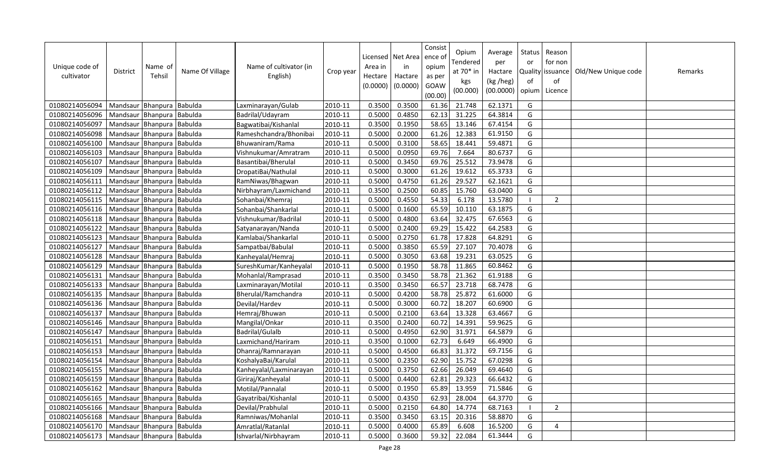| Unique code of<br>cultivator | <b>District</b>           | Name of<br>Tehsil | Name Of Village | Name of cultivator (in<br>English) | Crop year | Licensed<br>Area in<br>Hectare<br>(0.0000) | Net Area<br>in<br>Hactare<br>(0.0000) | Consist<br>ence o<br>opium<br>as per<br>GOAW<br>(00.00) | Opium<br>Tendered<br>at 70* in<br>kgs<br>(00.000) | Average<br>per<br>Hactare<br>(kg /heg)<br>(00.0000) | Status<br>or<br>of<br>opium | Reason<br>for non<br>Quality issuance<br>of<br>Licence | Old/New Unique code | Remarks |
|------------------------------|---------------------------|-------------------|-----------------|------------------------------------|-----------|--------------------------------------------|---------------------------------------|---------------------------------------------------------|---------------------------------------------------|-----------------------------------------------------|-----------------------------|--------------------------------------------------------|---------------------|---------|
| 01080214056094               | Mandsaur Bhanpura         |                   | Babulda         | Laxminarayan/Gulab                 | 2010-11   | 0.3500                                     | 0.3500                                | 61.36                                                   | 21.748                                            | 62.1371                                             | G                           |                                                        |                     |         |
| 01080214056096               | Mandsaur Bhanpura Babulda |                   |                 | Badrilal/Udayram                   | 2010-11   | 0.5000                                     | 0.4850                                | 62.13                                                   | 31.225                                            | 64.3814                                             | G                           |                                                        |                     |         |
| 01080214056097               | Mandsaur                  | Bhanpura Babulda  |                 | Bagwatibai/Kishanlal               | 2010-11   | 0.3500                                     | 0.1950                                | 58.65                                                   | 13.146                                            | 67.4154                                             | G                           |                                                        |                     |         |
| 01080214056098               | Mandsaur Bhanpura         |                   | Babulda         | Rameshchandra/Bhonibai             | 2010-11   | 0.5000                                     | 0.2000                                | 61.26                                                   | 12.383                                            | 61.9150                                             | G                           |                                                        |                     |         |
| 01080214056100               | Mandsaur Bhanpura         |                   | Babulda         | Bhuwaniram/Rama                    | 2010-11   | 0.5000                                     | 0.3100                                | 58.65                                                   | 18.441                                            | 59.4871                                             | G                           |                                                        |                     |         |
| 01080214056103               | Mandsaur                  | Bhanpura Babulda  |                 | Vishnukumar/Amratram               | 2010-11   | 0.5000                                     | 0.0950                                | 69.76                                                   | 7.664                                             | 80.6737                                             | G                           |                                                        |                     |         |
| 01080214056107               | Mandsaur Bhanpura Babulda |                   |                 | Basantibai/Bherulal                | 2010-11   | 0.5000                                     | 0.3450                                | 69.76                                                   | 25.512                                            | 73.9478                                             | G                           |                                                        |                     |         |
| 01080214056109               | Mandsaur Bhanpura         |                   | Babulda         | DropatiBai/Nathulal                | 2010-11   | 0.5000                                     | 0.3000                                | 61.26                                                   | 19.612                                            | 65.3733                                             | G                           |                                                        |                     |         |
| 01080214056111               | Mandsaur                  | Bhanpura          | Babulda         | RamNiwas/Bhagwan                   | 2010-11   | 0.5000                                     | 0.4750                                | 61.26                                                   | 29.527                                            | 62.1621                                             | G                           |                                                        |                     |         |
| 01080214056112               | Mandsaur                  | Bhanpura          | Babulda         | Nirbhayram/Laxmichand              | 2010-11   | 0.3500                                     | 0.2500                                | 60.85                                                   | 15.760                                            | 63.0400                                             | G                           |                                                        |                     |         |
| 01080214056115               | Mandsaur Bhanpura         |                   | Babulda         | Sohanbai/Khemraj                   | 2010-11   | 0.5000                                     | 0.4550                                | 54.33                                                   | 6.178                                             | 13.5780                                             |                             | 2                                                      |                     |         |
| 01080214056116               | Mandsaur                  | Bhanpura          | Babulda         | Sohanbai/Shankarlal                | 2010-11   | 0.5000                                     | 0.1600                                | 65.59                                                   | 10.110                                            | 63.1875                                             | G                           |                                                        |                     |         |
| 01080214056118               | Mandsaur                  | Bhanpura          | Babulda         | Vishnukumar/Badrilal               | 2010-11   | 0.5000                                     | 0.4800                                | 63.64                                                   | 32.475                                            | 67.6563                                             | G                           |                                                        |                     |         |
| 01080214056122               | Mandsaur                  | Bhanpura          | Babulda         | Satyanarayan/Nanda                 | 2010-11   | 0.5000                                     | 0.2400                                | 69.29                                                   | 15.422                                            | 64.2583                                             | G                           |                                                        |                     |         |
| 01080214056123               | Mandsaur Bhanpura Babulda |                   |                 | Kamlabai/Shankarlal                | 2010-11   | 0.5000                                     | 0.2750                                | 61.78                                                   | 17.828                                            | 64.8291                                             | G                           |                                                        |                     |         |
| 01080214056127               | Mandsaur                  | Bhanpura          | Babulda         | Sampatbai/Babulal                  | 2010-11   | 0.5000                                     | 0.3850                                | 65.59                                                   | 27.107                                            | 70.4078                                             | G                           |                                                        |                     |         |
| 01080214056128               | Mandsaur Bhanpura         |                   | Babulda         | Kanheyalal/Hemraj                  | 2010-11   | 0.5000                                     | 0.3050                                | 63.68                                                   | 19.231                                            | 63.0525                                             | G                           |                                                        |                     |         |
| 01080214056129               | Mandsaur                  | Bhanpura          | Babulda         | Suresh Kumar/Kanheyalal            | 2010-11   | 0.5000                                     | 0.1950                                | 58.78                                                   | 11.865                                            | 60.8462                                             | G                           |                                                        |                     |         |
| 01080214056131               | Mandsaur                  | Bhanpura Babulda  |                 | Mohanlal/Ramprasad                 | 2010-11   | 0.3500                                     | 0.3450                                | 58.78                                                   | 21.362                                            | 61.9188                                             | G                           |                                                        |                     |         |
| 01080214056133               | Mandsaur                  | Bhanpura          | Babulda         | Laxminarayan/Motilal               | 2010-11   | 0.3500                                     | 0.3450                                | 66.57                                                   | 23.718                                            | 68.7478                                             | G                           |                                                        |                     |         |
| 01080214056135               | Mandsaur                  | Bhanpura          | Babulda         | Bherulal/Ramchandra                | 2010-11   | 0.5000                                     | 0.4200                                | 58.78                                                   | 25.872                                            | 61.6000                                             | G                           |                                                        |                     |         |
| 01080214056136               | Mandsaur                  | Bhanpura          | Babulda         | Devilal/Hardev                     | 2010-11   | 0.5000                                     | 0.3000                                | 60.72                                                   | 18.207                                            | 60.6900                                             | G                           |                                                        |                     |         |
| 01080214056137               | Mandsaur                  | Bhanpura          | Babulda         | Hemraj/Bhuwan                      | 2010-11   | 0.5000                                     | 0.2100                                | 63.64                                                   | 13.328                                            | 63.4667                                             | G                           |                                                        |                     |         |
| 01080214056146               | Mandsaur Bhanpura         |                   | <b>Babulda</b>  | Mangilal/Onkar                     | 2010-11   | 0.3500                                     | 0.2400                                | 60.72                                                   | 14.391                                            | 59.9625                                             | G                           |                                                        |                     |         |
| 01080214056147               | Mandsaur                  | Bhanpura          | Babulda         | Badrilal/Gulalb                    | 2010-11   | 0.5000                                     | 0.4950                                | 62.90                                                   | 31.971                                            | 64.5879                                             | G                           |                                                        |                     |         |
| 01080214056151               | Mandsaur                  | Bhanpura          | Babulda         | Laxmichand/Hariram                 | 2010-11   | 0.3500                                     | 0.1000                                | 62.73                                                   | 6.649                                             | 66.4900                                             | G                           |                                                        |                     |         |
| 01080214056153               | Mandsaur                  | Bhanpura          | Babulda         | Dhanraj/Ramnarayan                 | 2010-11   | 0.5000                                     | 0.4500                                | 66.83                                                   | 31.372                                            | 69.7156                                             | G                           |                                                        |                     |         |
| 01080214056154               | Mandsaur   Bhanpura       |                   | Babulda         | KoshalyaBai/Karulal                | 2010-11   | 0.5000                                     | 0.2350                                | 62.90                                                   | 15.752                                            | 67.0298                                             | G                           |                                                        |                     |         |
| 01080214056155               | Mandsaur                  | Bhanpura          | Babulda         | Kanheyalal/Laxminarayan            | 2010-11   | 0.5000                                     | 0.3750                                | 62.66                                                   | 26.049                                            | 69.4640                                             | G                           |                                                        |                     |         |
| 01080214056159               | Mandsaur Bhanpura         |                   | Babulda         | Giriraj/Kanheyalal                 | 2010-11   | 0.5000                                     | 0.4400                                | 62.81                                                   | 29.323                                            | 66.6432                                             | G                           |                                                        |                     |         |
| 01080214056162               | Mandsaur Bhanpura         |                   | Babulda         | Motilal/Pannalal                   | 2010-11   | 0.5000                                     | 0.1950                                | 65.89                                                   | 13.959                                            | 71.5846                                             | G                           |                                                        |                     |         |
| 01080214056165               | Mandsaur Bhanpura Babulda |                   |                 | Gayatribai/Kishanlal               | 2010-11   | 0.5000                                     | 0.4350                                | 62.93                                                   | 28.004                                            | 64.3770                                             | G                           |                                                        |                     |         |
| 01080214056166               | Mandsaur                  | Bhanpura          | Babulda         | Devilal/Prabhulal                  | 2010-11   | 0.5000                                     | 0.2150                                | 64.80                                                   | 14.774                                            | 68.7163                                             |                             | $\overline{2}$                                         |                     |         |
| 01080214056168               | Mandsaur                  | Bhanpura          | Babulda         | Ramniwas/Mohanlal                  | 2010-11   | 0.3500                                     | 0.3450                                | 63.15                                                   | 20.316                                            | 58.8870                                             | G                           |                                                        |                     |         |
| 01080214056170               | Mandsaur Bhanpura         |                   | Babulda         | Amratlal/Ratanlal                  | 2010-11   | 0.5000                                     | 0.4000                                | 65.89                                                   | 6.608                                             | 16.5200                                             | G                           | 4                                                      |                     |         |
| 01080214056173               | Mandsaur Bhanpura Babulda |                   |                 | Ishvarlal/Nirbhayram               | 2010-11   | 0.5000                                     | 0.3600                                | 59.32                                                   | 22.084                                            | 61.3444                                             | G                           |                                                        |                     |         |